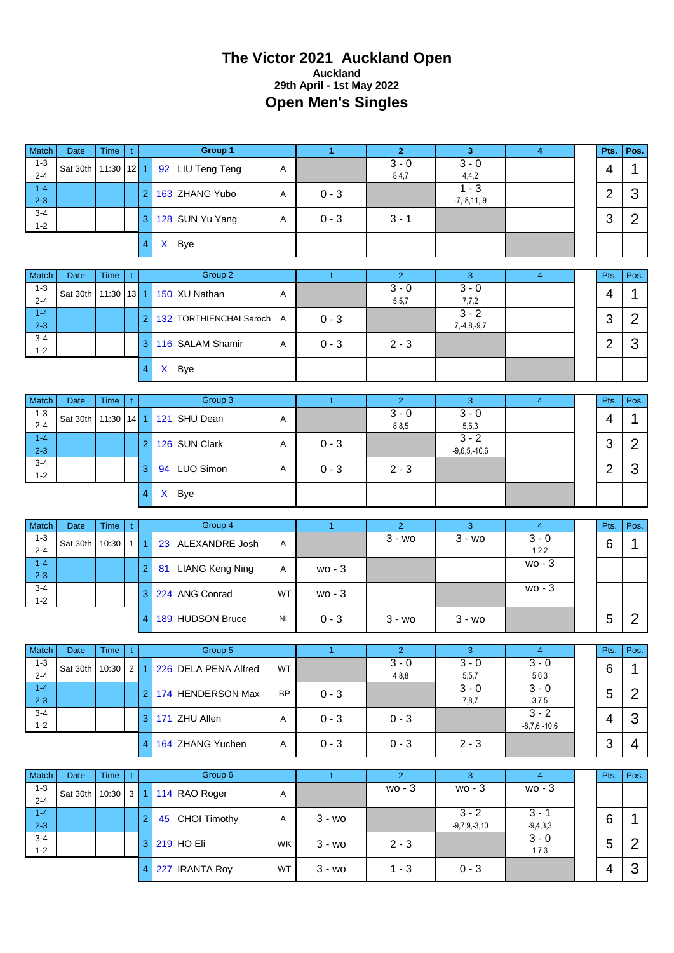# **The Victor 2021 Auckland Open Auckland 29th April - 1st May 2022 Open Men's Singles**

| Match              | Date        | <b>Time</b>     | $\mathbf{t}$ |                 | Group 1                   |              | $\mathbf{1}$   | $\overline{2}$            | $\overline{\mathbf{3}}$      | $\boldsymbol{4}$            | Pts.           | Pos.           |
|--------------------|-------------|-----------------|--------------|-----------------|---------------------------|--------------|----------------|---------------------------|------------------------------|-----------------------------|----------------|----------------|
| $1 - 3$<br>$2 - 4$ | Sat 30th    | $11:30$ 12 1    |              |                 | 92 LIU Teng Teng          | Α            |                | $3 - 0$<br>8,4,7          | $3 - 0$<br>4,4,2             |                             | $\overline{4}$ | 1              |
| $1 - 4$<br>$2 - 3$ |             |                 |              | $\overline{2}$  | 163 ZHANG Yubo            | Α            | $0 - 3$        |                           | $1 - 3$<br>$-7, -8, 11, -9$  |                             | $\overline{2}$ | 3              |
| $3 - 4$<br>$1 - 2$ |             |                 |              | 3               | 128 SUN Yu Yang           | Α            | $0 - 3$        | $3 - 1$                   |                              |                             | 3              | $\overline{2}$ |
|                    |             |                 |              | X Bye<br>4      |                           |              |                |                           |                              |                             |                |                |
| Match              | Date        | <b>Time</b>     | t            |                 | Group 2                   |              | $\mathbf{1}$   | $\overline{2}$            | 3                            | $\overline{4}$              | Pts.           | Pos.           |
| $1 - 3$<br>$2 - 4$ | Sat 30th    | 11:30           | 13           | 1               | 150 XU Nathan             | Α            |                | $3 - 0$<br>5, 5, 7        | $3 - 0$<br>7,7,2             |                             | 4              | 1              |
| $1 - 4$<br>$2 - 3$ |             |                 |              | 2               | 132 TORTHIENCHAI Saroch A |              | $0 - 3$        |                           | $3 - 2$<br>$7, -4, 8, -9, 7$ |                             | 3              | $\overline{2}$ |
| $3 - 4$<br>$1 - 2$ |             |                 |              | 3               | 116 SALAM Shamir          | Α            | $0 - 3$        | $2 - 3$                   |                              |                             | $\overline{2}$ | 3              |
|                    |             |                 |              | X Bye<br>4      |                           |              |                |                           |                              |                             |                |                |
|                    |             |                 |              |                 |                           |              |                |                           |                              |                             |                |                |
| Match<br>$1 - 3$   | <b>Date</b> | <b>Time</b>     | t.           |                 | Group 3                   |              | $\mathbf{1}$   | $\overline{2}$<br>$3 - 0$ | 3<br>$3 - 0$                 | $\overline{4}$              | Pts.           | Pos.           |
| $2 - 4$<br>$1 - 4$ | Sat 30th    | 11:30           | 14           | 1               | 121 SHU Dean              | Α            |                | 8,8,5                     | 5,6,3<br>$3 - 2$             |                             | 4              | 1              |
| $2 - 3$            |             |                 |              | $\overline{2}$  | 126 SUN Clark             | Α            | $0 - 3$        |                           | $-9,6,5,-10,6$               |                             | 3              | $\overline{2}$ |
| $3 - 4$<br>$1 - 2$ |             |                 |              | 3               | 94 LUO Simon              | Α            | $0 - 3$        | $2 - 3$                   |                              |                             | $\overline{2}$ | 3              |
|                    |             |                 |              | X Bye<br>4      |                           |              |                |                           |                              |                             |                |                |
| <b>Match</b>       | Date        | <b>Time</b>     | t            |                 | Group 4                   |              | 1 <sup>1</sup> | 2 <sup>1</sup>            | 3                            | $\overline{4}$              | Pts.           | Pos.           |
| $1 - 3$<br>$2 - 4$ | Sat 30th    | 10:30           | $\mathbf{1}$ | 1               | 23 ALEXANDRE Josh         | Α            |                | $\overline{3}$ - wo       | $\overline{3}$ - wo          | $3 - 0$<br>1,2,2            | 6              | 1              |
| $1 - 4$<br>$2 - 3$ |             |                 |              | $\overline{2}$  | 81 LIANG Keng Ning        | Α            | $wo - 3$       |                           |                              | $wo - 3$                    |                |                |
| $3 - 4$<br>$1 - 2$ |             |                 |              | 3               | 224 ANG Conrad            | WT           | $wo - 3$       |                           |                              | $wo - 3$                    |                |                |
|                    |             |                 |              | 4               | 189 HUDSON Bruce          | <b>NL</b>    | $0 - 3$        | $3 - w$ o                 | $3 - w$ o                    |                             | 5              | $\overline{2}$ |
|                    |             |                 |              |                 | Group 5                   |              |                |                           |                              |                             |                |                |
| Match<br>$1 - 3$   | Date        | Time $ t $      |              |                 |                           |              |                | $\overline{2}$<br>$3 - 0$ | 3 <sup>o</sup><br>$3 - 0$    | $-4$<br>$3 - 0$             | Pts.           | Pos.           |
| $2 - 4$<br>$1 - 4$ | Sat 30th    | $10:30$   2   1 |              |                 | 226 DELA PENA Alfred      | WT           |                | 4,8,8                     | 5,5,7<br>$3 - 0$             | 5,6,3<br>$\overline{3} - 0$ | 6              | $\mathbf 1$    |
| $2 - 3$<br>$3 - 4$ |             |                 |              |                 | 2 174 HENDERSON Max       | <b>BP</b>    | $0 - 3$        |                           | 7,8,7                        | 3,7,5<br>$3 - 2$            | 5              | $\overline{2}$ |
| $1 - 2$            |             |                 |              | 3 171 ZHU Allen |                           | A            | $0 - 3$        | $0 - 3$                   |                              | $-8,7,6,-10,6$              | 4              | 3              |
|                    |             |                 |              | 4               | 164 ZHANG Yuchen          | $\mathsf{A}$ | $0 - 3$        | $0 - 3$                   | $2 - 3$                      |                             | 3              | 4              |
|                    |             |                 |              |                 |                           |              |                |                           |                              |                             |                |                |
| Match              | Date        | Time            | $\mathbf{t}$ |                 | Group 6                   |              | $\mathbf{1}$   | $\overline{2}$            | 3 <sup>°</sup>               | $\overline{4}$              | Pts.           | Pos.           |
| $1 - 3$<br>$2 - 4$ | Sat 30th    | 10:30           | 3 1          |                 | 114 RAO Roger             | A            |                | wo - 3                    | wo - 3                       | wo - 3                      |                |                |
| $1 - 4$<br>$2 - 3$ |             |                 |              | $\overline{2}$  | 45 CHOI Timothy           | A            | $3 - w0$       |                           | $3 - 2$<br>$-9,7,9,-3,10$    | $3 - 1$<br>$-9,4,3,3$       | 6              | 1              |
| $3 - 4$<br>$1 - 2$ |             |                 |              | 3 219 HO Eli    |                           | WK           | $3 - w$ o      | $2 - 3$                   |                              | $3 - 0$<br>1,7,3            | 5              | $\overline{2}$ |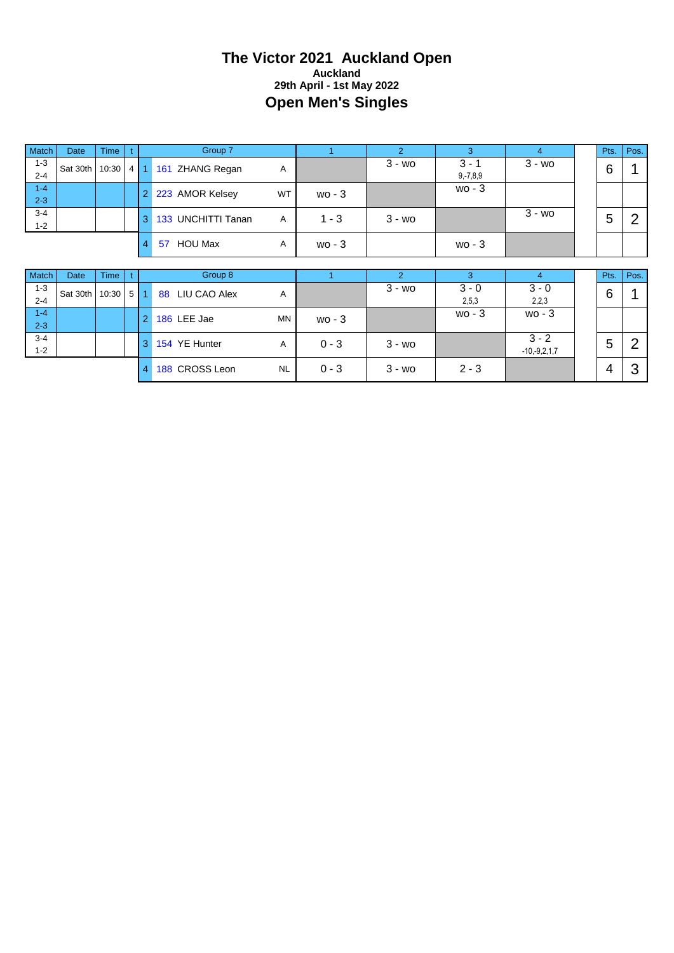#### **The Victor 2021 Auckland Open Auckland 29th April - 1st May 2022 Open Men's Singles**

| Match              | <b>Date</b> | <b>Time</b> |     |                | Group 7              |                |          | $\overline{2}$ | 3                        | $\overline{4}$            | Pts. | Pos.           |
|--------------------|-------------|-------------|-----|----------------|----------------------|----------------|----------|----------------|--------------------------|---------------------------|------|----------------|
| $1 - 3$<br>$2 - 4$ | Sat 30th    | 10:30       |     | $4 \mid 1$     | 161 ZHANG Regan      | Α              |          | $3 - w0$       | $3 - 1$<br>$9, -7, 8, 9$ | $3 - w$ o                 | 6    |                |
| $1 - 4$<br>$2 - 3$ |             |             |     | $\overline{2}$ | 223 AMOR Kelsey      | <b>WT</b>      | $wo - 3$ |                | $wo - 3$                 |                           |      |                |
| $3 - 4$<br>$1 - 2$ |             |             |     | 3              | 133 UNCHITTI Tanan   | $\overline{A}$ | $1 - 3$  | $3 - w$        |                          | $3 - w$ o                 | 5    | 2              |
|                    |             |             |     | 4              | <b>HOU Max</b><br>57 | Α              | $wo - 3$ |                | $wo - 3$                 |                           |      |                |
|                    |             |             |     |                |                      |                |          |                |                          |                           |      |                |
|                    |             |             |     |                |                      |                |          |                |                          |                           |      |                |
| Match              | Date        | <b>Time</b> |     |                | Group 8              |                |          | $\overline{2}$ | 3                        | $\overline{4}$            | Pts. | Pos.           |
| $1 - 3$<br>$2 - 4$ | Sat 30th    | 10:30       | 5 1 |                | LIU CAO Alex<br>88   | A              |          | $3 - w0$       | $3 - 0$<br>2,5,3         | $3 - 0$<br>2,2,3          | 6    |                |
| $1 - 4$<br>$2 - 3$ |             |             |     | $\overline{2}$ | 186 LEE Jae          | <b>MN</b>      | $wo - 3$ |                | $wo - 3$                 | $wo - 3$                  |      |                |
| $3 - 4$<br>$1 - 2$ |             |             |     | 3              | 154 YE Hunter        | A              | $0 - 3$  | $3 - w_0$      |                          | $3 - 2$<br>$-10,-9,2,1,7$ | 5    | $\overline{2}$ |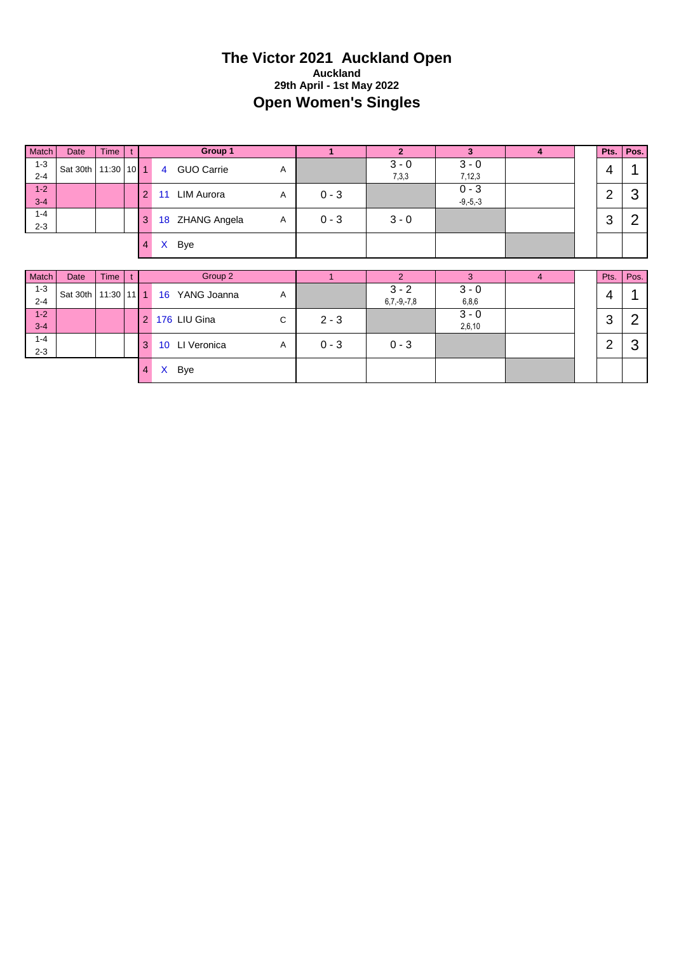#### **The Victor 2021 Auckland Open Auckland 29th April - 1st May 2022 Open Women's Singles**

| Match              | Date     | Time         | t |                |                 | Group 1             |              | $\mathbf{1}$ | $\overline{2}$           | 3                       | $\overline{4}$ | Pts.           | Pos.           |
|--------------------|----------|--------------|---|----------------|-----------------|---------------------|--------------|--------------|--------------------------|-------------------------|----------------|----------------|----------------|
| $1 - 3$<br>$2 - 4$ | Sat 30th | $11:30$ 10 1 |   |                | $\overline{4}$  | <b>GUO Carrie</b>   | Α            |              | $3 - 0$<br>7,3,3         | $3 - 0$<br>7,12,3       |                | 4              |                |
| $1 - 2$<br>$3 - 4$ |          |              |   | $\overline{2}$ | 11              | <b>LIM Aurora</b>   | Α            | $0 - 3$      |                          | $0 - 3$<br>$-9, -5, -3$ |                | $\overline{2}$ | 3              |
| $1 - 4$<br>$2 - 3$ |          |              |   | 3              | 18              | <b>ZHANG Angela</b> | Α            | $0 - 3$      | $3 - 0$                  |                         |                | 3              | 2              |
|                    |          |              |   | $\overline{4}$ | X.              | Bye                 |              |              |                          |                         |                |                |                |
|                    |          |              |   |                |                 |                     |              |              |                          |                         |                |                |                |
|                    |          |              |   |                |                 |                     |              |              |                          |                         |                |                |                |
| Match              | Date     | Time         |   |                |                 | Group 2             |              |              | $\overline{2}$           | 3                       | $\overline{4}$ | Pts.           | Pos.           |
| $1 - 3$<br>$2 - 4$ | Sat 30th | $11:30$ 11 1 |   |                | 16              | YANG Joanna         | Α            |              | $3 - 2$<br>$6,7,-9,-7,8$ | $3 - 0$<br>6,8,6        |                | 4              | 4              |
| $1 - 2$<br>$3 - 4$ |          |              |   | $\overline{2}$ |                 | 176 LIU Gina        | $\mathsf{C}$ | $2 - 3$      |                          | $3 - 0$<br>2,6,10       |                | 3              | $\overline{2}$ |
| $1 - 4$<br>$2 - 3$ |          |              |   | 3              | 10 <sup>°</sup> | LI Veronica         | A            | $0 - 3$      | $0 - 3$                  |                         |                | $\overline{2}$ | 3              |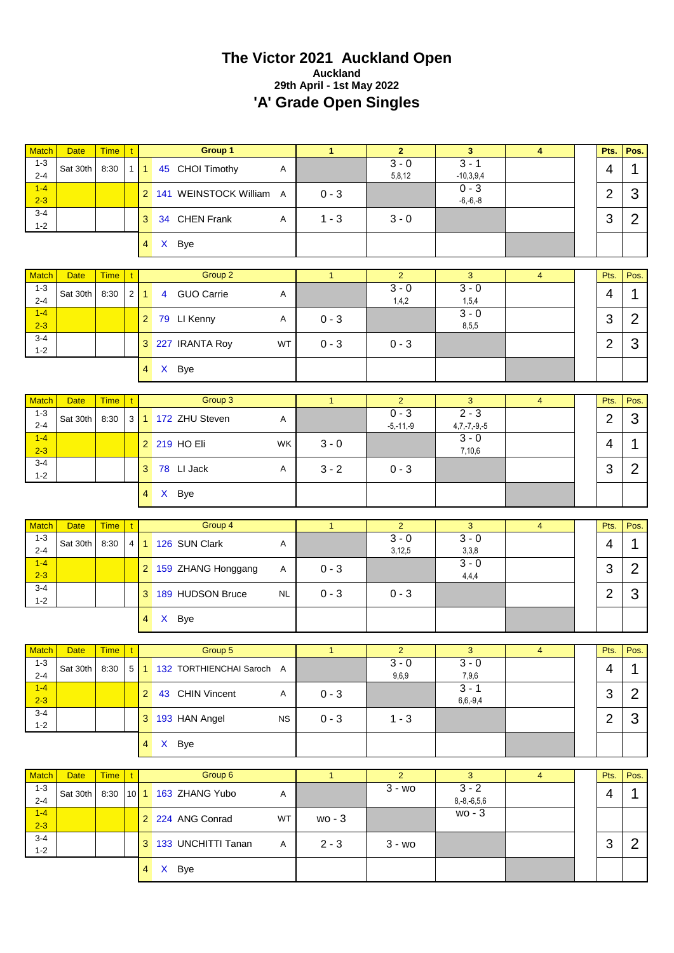# **The Victor 2021 Auckland Open Auckland 29th April - 1st May 2022 'A' Grade Open Singles**

| <b>Match</b>       | <b>Date</b>                   | <b>Time</b> | $\mathbf{t}$   | Group 1                                  |           | $\mathbf{1}$ | $\overline{2}$            | $\overline{\mathbf{3}}$      | $\overline{\mathbf{4}}$ | Pts.           | Pos.                     |
|--------------------|-------------------------------|-------------|----------------|------------------------------------------|-----------|--------------|---------------------------|------------------------------|-------------------------|----------------|--------------------------|
| $1 - 3$<br>$2 - 4$ | Sat 30th                      | 8:30        |                | 1 1 45 CHOI Timothy                      | Α         |              | $3 - 0$<br>5,8,12         | $3 - 1$<br>$-10,3,9,4$       |                         | 4              | 1                        |
| $1 - 4$<br>$2 - 3$ |                               |             |                | 2 141 WEINSTOCK William                  | A         | $0 - 3$      |                           | $0 - 3$<br>$-6,-6,-8$        |                         | $\overline{2}$ | 3                        |
| $3 - 4$<br>$1 - 2$ |                               |             |                | 34 CHEN Frank<br>3                       | Α         | $1 - 3$      | $3 - 0$                   |                              |                         | 3              | $\overline{2}$           |
|                    |                               |             |                | X Bye<br>4 <sup>1</sup>                  |           |              |                           |                              |                         |                |                          |
| <b>Match</b>       | <b>Date</b>                   | <b>Time</b> |                | Group 2                                  |           | $\mathbf{1}$ | $\overline{2}$            | 3                            | $\overline{4}$          | Pts.           | Pos.                     |
| $1 - 3$            |                               |             | t              |                                          |           |              | $3 - 0$                   | $3 - 0$                      |                         |                |                          |
| $2 - 4$<br>$1 - 4$ | Sat 30th                      | 8:30        | 2              | <b>GUO Carrie</b><br>$\mathbf{1}$<br>4   | Α         |              | 1,4,2                     | 1,5,4<br>$3 - 0$             |                         | 4              | 1                        |
| $2 - 3$            |                               |             |                | 79 LI Kenny<br>$\overline{2}$            | Α         | $0 - 3$      |                           | 8,5,5                        |                         | 3              | $\overline{2}$           |
| $3 - 4$<br>$1 - 2$ |                               |             |                | 3 227 IRANTA Roy                         | WT        | $0 - 3$      | $0 - 3$                   |                              |                         | $\overline{2}$ | 3                        |
|                    |                               |             |                | X Bye<br>$4 \square$                     |           |              |                           |                              |                         |                |                          |
| <b>Match</b>       | <b>Date</b>                   | <b>Time</b> | $\mathbf{t}$   | Group 3                                  |           | $\mathbf{1}$ | $\overline{2}$            | 3                            | $\overline{4}$          | Pts.           | Pos.                     |
| $1 - 3$            |                               |             |                |                                          |           |              | $0 - 3$                   | $\overline{2-3}$             |                         |                |                          |
| $2 - 4$            | Sat 30th                      | 8:30        | 3 <sup>1</sup> | 1 172 ZHU Steven                         | Α         |              | $-5,-11,-9$               | $4,7,-7,-9,-5$               |                         | $\overline{2}$ | 3                        |
| $1-4$<br>$2 - 3$   |                               |             |                | 2 219 HO Eli                             | WK        | $3 - 0$      |                           | $\overline{3} - 0$<br>7,10,6 |                         | 4              | 1                        |
| $3 - 4$<br>$1 - 2$ |                               |             |                | 78 LI Jack<br>3 <sup>1</sup>             | Α         | $3 - 2$      | $0 - 3$                   |                              |                         | 3              | $\overline{2}$           |
|                    |                               |             |                | X Bye<br>4 <sup>1</sup>                  |           |              |                           |                              |                         |                |                          |
|                    |                               |             |                |                                          |           |              |                           |                              |                         |                |                          |
|                    |                               |             |                |                                          |           |              |                           |                              |                         |                |                          |
| <b>Match</b>       | <b>Date</b>                   | <b>Time</b> | $\mathbf{t}$   | Group 4                                  |           | $\mathbf{1}$ | $\overline{2}$            | 3                            | $\overline{4}$          | Pts.           | Pos.                     |
| $1 - 3$<br>$2 - 4$ | Sat 30th                      | 8:30        |                | 4 1 126 SUN Clark                        | Α         |              | $3 - 0$<br>3,12,5         | $3 - 0$<br>3,3,8             |                         | $\overline{4}$ | 1                        |
| $1-4$<br>$2 - 3$   |                               |             |                | 2 159 ZHANG Honggang                     | Α         | $0 - 3$      |                           | $3 - 0$<br>4,4,4             |                         | 3              | $\overline{2}$           |
| $3 - 4$<br>$1 - 2$ |                               |             |                | 3 189 HUDSON Bruce                       | <b>NL</b> | $0 - 3$      | $0 - 3$                   |                              |                         | $\overline{2}$ | 3                        |
|                    |                               |             |                | X Bye<br>$4 \square$                     |           |              |                           |                              |                         |                |                          |
|                    |                               |             |                |                                          |           |              |                           |                              |                         |                |                          |
| $1 - 3$            | Match Date Time t<br>Sat 30th | 8:30        |                | Group 5<br>5 1 132 TORTHIENCHAI Saroch A |           | $\vert$ 1    | $\overline{2}$<br>$3 - 0$ | $\frac{3}{2}$<br>$3 - 0$     | $\overline{4}$          | 4              | Pts. Pos.<br>$\mathbf 1$ |
| $2 - 4$<br>$1 - 4$ |                               |             |                | 2 43 CHIN Vincent                        | A         |              | 9,6,9                     | 7,9,6<br>$3 - 1$             |                         |                |                          |
| $2 - 3$<br>$3 - 4$ |                               |             |                |                                          |           | $0 - 3$      |                           | $6,6,-9,4$                   |                         | 3              | $\overline{2}$           |
| $1 - 2$            |                               |             |                | 3 193 HAN Angel                          | <b>NS</b> | $0 - 3$      | $1 - 3$                   |                              |                         | $\overline{2}$ | 3                        |
|                    |                               |             |                | 4 X Bye                                  |           |              |                           |                              |                         |                |                          |
| <b>Match</b>       | <b>Date</b>                   | <b>Time</b> | t.             | Group 6                                  |           | $\mathbf{1}$ | 2 <sup>1</sup>            | $\mathbf{3}$                 | $\overline{4}$          | Pts.           | Pos.                     |
| $1 - 3$<br>$2 - 4$ | Sat 30th                      | 8:30        |                | 10 1 163 ZHANG Yubo                      | Α         |              | $3 - w0$                  | $3 - 2$<br>$8,-8,-6,5,6$     |                         | 4              | $\mathbf 1$              |
| $1 - 4$<br>$2 - 3$ |                               |             |                | 2 224 ANG Conrad                         | WT        | wo - 3       |                           | $wo - 3$                     |                         |                |                          |
| $3 - 4$<br>$1 - 2$ |                               |             |                | 3 133 UNCHITTI Tanan                     | A         | $2 - 3$      | $3 - w0$                  |                              |                         | 3              | $\overline{2}$           |
|                    |                               |             |                | 4 X Bye                                  |           |              |                           |                              |                         |                |                          |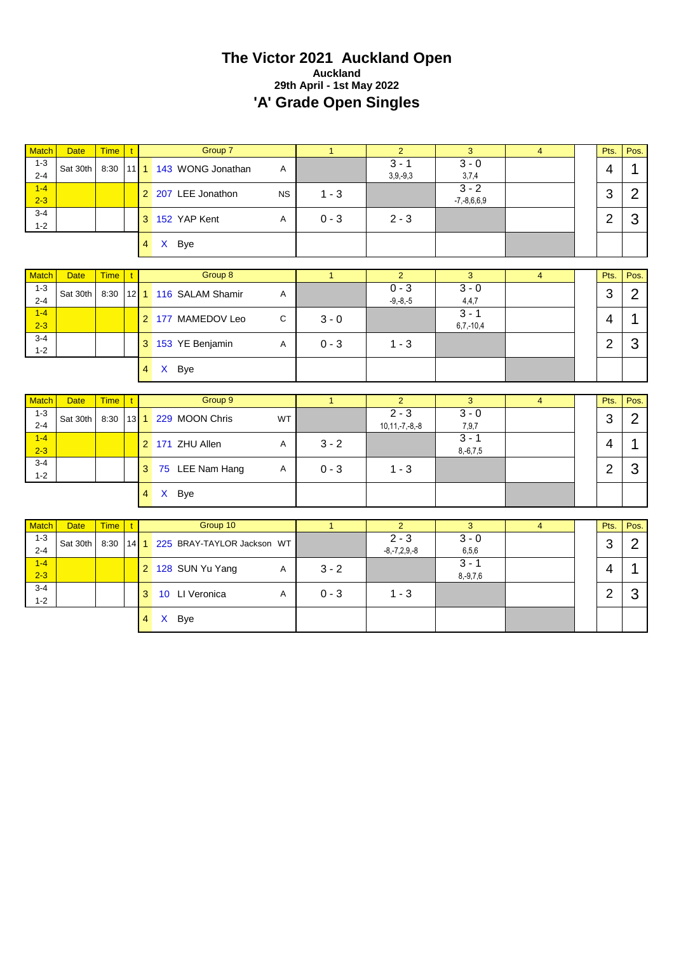#### **The Victor 2021 Auckland Open Auckland 29th April - 1st May 2022 'A' Grade Open Singles**

| <b>Match</b>            | <b>Date</b> | <b>Time</b> | $\mathbf{t}$ |                | Group 7                      |           | $\mathbf{1}$ | $\overline{2}$            | 3                        | $\overline{4}$ | Pts.           | Pos.           |
|-------------------------|-------------|-------------|--------------|----------------|------------------------------|-----------|--------------|---------------------------|--------------------------|----------------|----------------|----------------|
| $1 - 3$                 |             |             |              |                |                              |           |              | $3 - 1$                   | $3 - 0$                  |                |                |                |
| $2 - 4$                 | Sat 30th    | 8:30        |              |                | 11 1 143 WONG Jonathan       | A         |              | $3,9,-9,3$                | 3,7,4                    |                | 4              |                |
| $1 - 4$                 |             |             |              |                | 2 207 LEE Jonathon           | <b>NS</b> | $1 - 3$      |                           | $3 - 2$                  |                | 3              | $\overline{2}$ |
| $2 - 3$                 |             |             |              |                |                              |           |              |                           | $-7, -8, 6, 6, 9$        |                |                |                |
| $3 - 4$<br>$1 - 2$      |             |             |              |                | 3 152 YAP Kent               | A         | $0 - 3$      | $2 - 3$                   |                          |                | $\overline{2}$ | 3              |
|                         |             |             |              | $\overline{4}$ | X Bye                        |           |              |                           |                          |                |                |                |
|                         |             |             |              |                |                              |           |              |                           |                          |                |                |                |
| <b>Match</b>            | <b>Date</b> | <b>Time</b> | $\mathbf{t}$ |                | Group 8                      |           | $\mathbf{1}$ | $\overline{2}$            | 3                        | $\overline{4}$ | Pts.           | Pos.           |
| $1 - 3$                 | Sat 30th    | 8:30        | 12           |                | 1 116 SALAM Shamir           | Α         |              | $0 - 3$                   | $3 - 0$                  |                | 3              | $\overline{2}$ |
| $2 - 4$                 |             |             |              |                |                              |           |              | $-9, -8, -5$              | 4,4,7                    |                |                |                |
| $1 - 4$<br>$2 - 3$      |             |             |              |                | 2 177 MAMEDOV Leo            | C         | $3 - 0$      |                           | $3 - 1$<br>$6,7,-10,4$   |                | 4              | 1              |
| $3 - 4$                 |             |             |              |                |                              |           |              |                           |                          |                |                |                |
| $1 - 2$                 |             |             |              |                | 3 153 YE Benjamin            | A         | $0 - 3$      | $1 - 3$                   |                          |                | $\overline{2}$ | 3              |
|                         |             |             |              | $\overline{4}$ | X Bye                        |           |              |                           |                          |                |                |                |
|                         |             |             |              |                |                              |           |              |                           |                          |                |                |                |
| Match                   | <b>Date</b> | <b>Time</b> | $\mathbf{t}$ |                | Group 9                      |           | $\mathbf{1}$ | $\overline{2}$<br>$2 - 3$ | 3<br>$3 - 0$             | $\overline{4}$ | Pts.           | Pos.           |
| $1 - 3$<br>$2 - 4$      | Sat 30th    | 8:30        |              |                | 13 1 229 MOON Chris          | WT        |              | $10, 11, -7, -8, -8$      | 7,9,7                    |                | 3              | $\overline{2}$ |
| $1 - 4$                 |             |             |              |                | 2 171 ZHU Allen              | Α         | $3 - 2$      |                           | $3 - 1$                  |                | 4              | 1              |
| $2 - 3$                 |             |             |              |                |                              |           |              |                           | $8,-6,7,5$               |                |                |                |
| $3 - 4$<br>$1 - 2$      |             |             |              |                | 3 75 LEE Nam Hang            | Α         | $0 - 3$      | $1 - 3$                   |                          |                | $\overline{2}$ | 3              |
|                         |             |             |              | $\overline{4}$ | X Bye                        |           |              |                           |                          |                |                |                |
|                         |             |             |              |                |                              |           |              |                           |                          |                |                |                |
| <b>Match</b><br>$1 - 3$ | <b>Date</b> | <b>Time</b> | $\mathbf{t}$ |                | Group 10                     |           | $\mathbf{1}$ | $\overline{2}$<br>$2 - 3$ | 3<br>$3 - 0$             | $\overline{4}$ | Pts.           | Pos.           |
| $2 - 4$                 | Sat 30th    | 8:30        | 14           |                | 1 225 BRAY-TAYLOR Jackson WT |           |              | $-8, -7, 2, 9, -8$        | 6, 5, 6                  |                | 3              | $\overline{2}$ |
| $1 - 4$<br>$2 - 3$      |             |             |              |                | 2 128 SUN Yu Yang            | Α         | $3 - 2$      |                           | $3 - 1$<br>$8, -9, 7, 6$ |                | 4              |                |

0 - 3  $\begin{array}{|c|c|c|c|c|c|}\n\hline\n& 1 & -3 & \multicolumn{1}{|c|}{c} & \multicolumn{1}{|c|}{c} & \multicolumn{1}{|c|}{c} \end{array}$ 

3 10 LI Veronica A

4 X Bye

3-4 1-2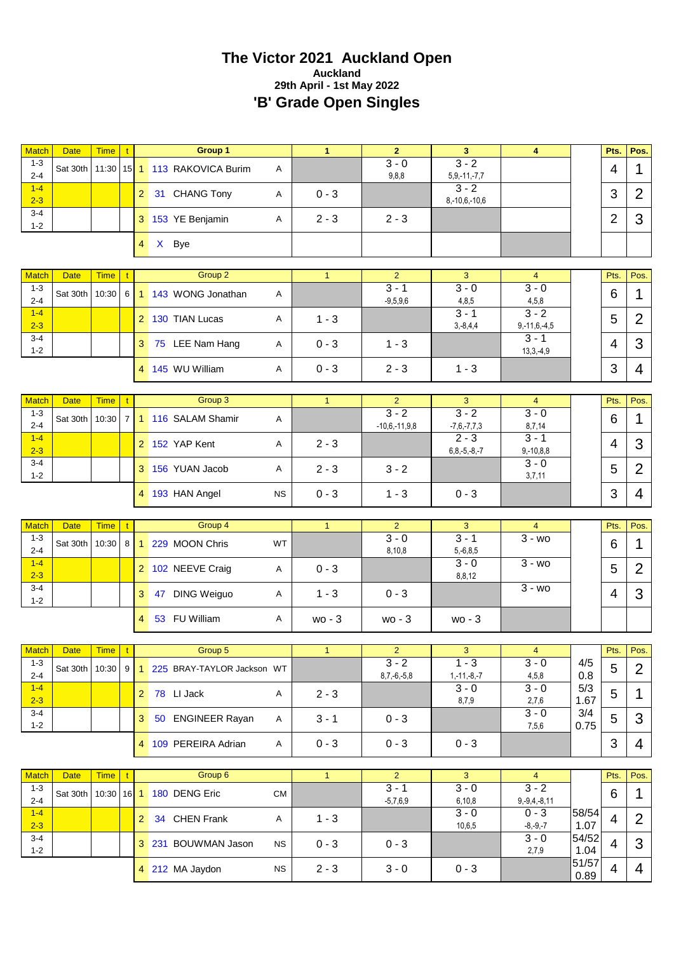# **The Victor 2021 Auckland Open Auckland 29th April - 1st May 2022 'B' Grade Open Singles**

| <b>Match</b>            | <b>Date</b> | <b>Time</b>  | $\mathbf{t}$   |                | Group 1                       |           | $\mathbf{1}$ | 2 <sup>1</sup>            | 3 <sup>2</sup>                | $\overline{4}$                |                       | Pts.           | Pos.           |
|-------------------------|-------------|--------------|----------------|----------------|-------------------------------|-----------|--------------|---------------------------|-------------------------------|-------------------------------|-----------------------|----------------|----------------|
| $1 - 3$<br>$2 - 4$      | Sat 30th    |              |                |                | 11:30 15 1 113 RAKOVICA Burim | Α         |              | $3 - 0$<br>9,8,8          | $3 - 2$<br>$5,9,-11,-7,7$     |                               |                       | 4              | 1              |
| $1 - 4$<br>$2 - 3$      |             |              |                |                | 2 31 CHANG Tony               | A         | $0 - 3$      |                           | $3 - 2$<br>$8,-10,6,-10,6$    |                               |                       | 3              | $\overline{2}$ |
| $3 - 4$<br>$1 - 2$      |             |              |                |                | 3 153 YE Benjamin             | A         | $2 - 3$      | $2 - 3$                   |                               |                               |                       | $\overline{2}$ | 3              |
|                         |             |              |                | 4              | X Bye                         |           |              |                           |                               |                               |                       |                |                |
|                         |             |              |                |                | Group 2                       |           |              | $\overline{2}$            |                               |                               |                       |                |                |
| <b>Match</b><br>$1 - 3$ | <b>Date</b> | <b>Time</b>  | t              |                |                               |           | $\mathbf{1}$ | $3 - 1$                   | 3<br>$3 - 0$                  | $\overline{4}$<br>$3 - 0$     |                       | Pts.           | Pos.           |
| $2 - 4$<br>$1 - 4$      | Sat 30th    | 10:30        | 6              | $\overline{1}$ | 143 WONG Jonathan             | Α         |              | $-9,5,9,6$                | 4,8,5<br>$3 - 1$              | 4,5,8<br>$3 - 2$              |                       | 6              | 1              |
| $2 - 3$                 |             |              |                |                | 2 130 TIAN Lucas              | A         | $1 - 3$      |                           | $3,-8,4,4$                    | $9, -11, 6, -4, 5$            |                       | 5              | $\overline{2}$ |
| $3 - 4$<br>$1 - 2$      |             |              |                |                | 3 75 LEE Nam Hang             | A         | $0 - 3$      | $1 - 3$                   |                               | $3 - 1$<br>$13,3,-4,9$        |                       | 4              | 3              |
|                         |             |              |                |                | 4 145 WU William              | Α         | $0 - 3$      | $2 - 3$                   | $1 - 3$                       |                               |                       | 3              | 4              |
|                         |             |              |                |                |                               |           |              |                           |                               |                               |                       |                |                |
| <b>Match</b><br>$1 - 3$ | <b>Date</b> | <b>Time</b>  | t.             |                | Group 3                       |           | $\mathbf{1}$ | $\overline{2}$<br>$3 - 2$ | $\mathbf{3}$<br>$3 - 2$       | $\overline{4}$<br>$3 - 0$     |                       | Pts.           | Pos.           |
| $2 - 4$                 | Sat 30th    | 10:30        | $\overline{7}$ | $\overline{1}$ | 116 SALAM Shamir              | Α         |              | $-10,6,-11,9,8$           | $-7,6,-7,7,3$                 | 8,7,14                        |                       | 6              | $\mathbf{1}$   |
| $1-4$<br>$2 - 3$        |             |              |                |                | 2 152 YAP Kent                | Α         | $2 - 3$      |                           | $2 - 3$<br>$6, 8, -5, -8, -7$ | $3 - 1$<br>$9,-10,8,8$        |                       | 4              | 3              |
| $3 - 4$<br>$1 - 2$      |             |              |                |                | 3 156 YUAN Jacob              | Α         | $2 - 3$      | $3 - 2$                   |                               | $3 - 0$<br>3,7,11             |                       | 5              | $\overline{2}$ |
|                         |             |              |                |                | 4 193 HAN Angel               | <b>NS</b> | $0 - 3$      | $1 - 3$                   | $0 - 3$                       |                               |                       | 3              | $\overline{4}$ |
|                         |             |              |                |                |                               |           |              |                           |                               |                               |                       |                |                |
| <b>Match</b>            | <b>Date</b> | <b>Time</b>  |                |                | Group 4                       |           | $\mathbf{1}$ | $\overline{2}$<br>$3 - 0$ | 3<br>$3 - 1$                  | $\overline{4}$<br>$3 - w$ o   |                       | Pts.           | Pos.           |
| $1 - 3$<br>$2 - 4$      | Sat 30th    | 10:30        | 8              | $\overline{1}$ | 229 MOON Chris                | <b>WT</b> |              | 8,10,8                    | $5,-6,8,5$                    |                               |                       | 6              | 1              |
| $1 - 4$<br>$2 - 3$      |             |              |                |                | 2 102 NEEVE Craig             | Α         | $0 - 3$      |                           | $3 - 0$<br>8,8,12             | $3 - w$ o                     |                       | 5              | $\overline{2}$ |
| $3 - 4$<br>$1 - 2$      |             |              |                | 3 <sup>1</sup> | 47 DING Weiguo                | Α         | $1 - 3$      | $0 - 3$                   |                               | $\overline{3}$ - wo           |                       | 4              | 3              |
|                         |             |              |                |                |                               |           |              |                           |                               |                               |                       |                |                |
|                         |             |              |                | 4              | 53 FU William                 | Α         | $wo - 3$     | $wo - 3$                  | $wo - 3$                      |                               |                       |                |                |
|                         |             |              |                |                |                               |           |              |                           |                               |                               |                       |                |                |
| Match                   | Date Time t |              |                |                | Group 5                       |           | $\mathbf{1}$ | $2^{\circ}$               | 3 <sup>°</sup>                | $\overline{4}$                |                       | Pts. $Pos.$    |                |
| $1 - 3$                 | Sat 30th    | 10:30        | 9              |                | 1 225 BRAY-TAYLOR Jackson WT  |           |              | $3 - 2$                   | $1 - 3$                       | $3 - 0$                       | 4/5                   | 5              | $\overline{2}$ |
| $2 - 4$<br>$1 - 4$      |             |              |                |                | 2 78 LI Jack                  | A         | $2 - 3$      | $8,7,-6,-5,8$             | $1,-11,-8,-7$<br>$3 - 0$      | 4,5,8<br>$3 - 0$              | 0.8<br>5/3            | 5              | 1              |
| $2 - 3$<br>$3 - 4$      |             |              |                |                | 3 50 ENGINEER Rayan           | A         | $3 - 1$      | $0 - 3$                   | 8,7,9                         | 2,7,6<br>$3 - 0$              | 1.67<br>3/4           | 5              | 3              |
| $1 - 2$                 |             |              |                |                | 4 109 PEREIRA Adrian          | A         | $0 - 3$      | $0 - 3$                   | $0 - 3$                       | 7,5,6                         | 0.75                  | 3              | 4              |
|                         |             |              |                |                |                               |           |              |                           |                               |                               |                       |                |                |
| <b>Match</b>            | <b>Date</b> | <b>Time</b>  | $\mathbf{t}$   |                | Group 6                       |           | $\mathbf{1}$ | 2                         | $\mathbf{3}$                  | $\overline{4}$                |                       | Pts.           | Pos.           |
| $1 - 3$<br>$2 - 4$      | Sat 30th    | $10:30$ 16 1 |                |                | 180 DENG Eric                 | <b>CM</b> |              | $3 - 1$<br>$-5,7,6,9$     | $3 - 0$<br>6, 10, 8           | $3 - 2$<br>$9, -9, 4, -8, 11$ |                       | 6              | 1              |
| $1 - 4$<br>$2 - 3$      |             |              |                |                | 2 34 CHEN Frank               | A         | $1 - 3$      |                           | $3 - 0$<br>10,6,5             | $0 - 3$<br>$-8, -9, -7$       | 58/54                 | 4              | $\overline{2}$ |
| $3 - 4$<br>$1 - 2$      |             |              |                |                | 3 231 BOUWMAN Jason           | <b>NS</b> | $0 - 3$      | $0 - 3$                   |                               | $3 - 0$                       | 1.07<br>54/52         | 4              | 3              |
|                         |             |              |                |                | 4 212 MA Jaydon               | <b>NS</b> | $2 - 3$      | $3 - 0$                   | $0 - 3$                       | 2,7,9                         | 1.04<br>51/57<br>0.89 | 4              | 4              |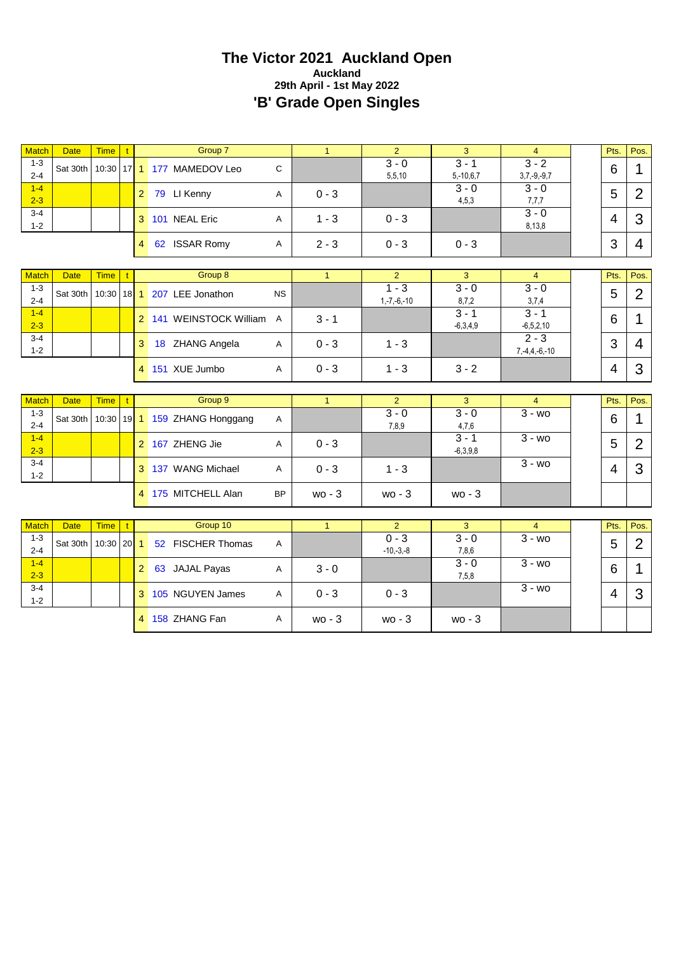#### **The Victor 2021 Auckland Open Auckland 29th April - 1st May 2022 'B' Grade Open Singles**

| <b>Match</b>            | <b>Date</b> | Time   t     |           |                | Group 7                       |             | $\mathbf{1}$   | $\overline{2}$            | 3                      | $\overline{4}$                 | Pts.           | Pos.           |
|-------------------------|-------------|--------------|-----------|----------------|-------------------------------|-------------|----------------|---------------------------|------------------------|--------------------------------|----------------|----------------|
| $1 - 3$<br>$2 - 4$      | Sat 30th    |              |           |                | 10:30 17 1 177 MAMEDOV Leo    | $\mathsf C$ |                | $3 - 0$<br>5,5,10         | $3 - 1$<br>$5,-10,6,7$ | $3 - 2$<br>$3,7,-9,-9,7$       | 6              | 1              |
| $1 - 4$<br>$2 - 3$      |             |              |           |                | 2 79 LI Kenny                 | Α           | $0 - 3$        |                           | $3 - 0$<br>4,5,3       | $3 - 0$<br>7,7,7               | 5              | $\overline{2}$ |
| $3 - 4$<br>$1 - 2$      |             |              |           |                | 3 101 NEAL Eric               | Α           | $1 - 3$        | $0 - 3$                   |                        | $3 - 0$<br>8,13,8              | $\overline{4}$ | 3              |
|                         |             |              |           | $\overline{4}$ | 62 ISSAR Romy                 | Α           | $2 - 3$        | $0 - 3$                   | $0 - 3$                |                                | 3              | $\overline{4}$ |
|                         |             |              |           |                |                               |             |                |                           |                        |                                |                |                |
| <b>Match</b><br>$1 - 3$ | <b>Date</b> | Time   t     |           |                | Group 8                       |             | $\mathbf{1}$   | $\overline{2}$<br>$1 - 3$ | 3<br>$3 - 0$           | $\overline{4}$<br>$3 - 0$      | Pts.           | Pos.           |
| $2 - 4$                 | Sat 30th    | $10:30$ 18 1 |           |                | 207 LEE Jonathon              | <b>NS</b>   |                | $1,-7,-6,-10$             | 8,7,2                  | 3,7,4                          | 5              | $\overline{2}$ |
| $1 - 4$<br>$2 - 3$      |             |              |           |                | 2 141 WEINSTOCK William A     |             | $3 - 1$        |                           | $3 - 1$<br>$-6,3,4,9$  | $3 - 1$<br>$-6,5,2,10$         | 6              | 1              |
| $3 - 4$<br>$1 - 2$      |             |              |           | 3 <sup>1</sup> | 18 ZHANG Angela               | Α           | $0 - 3$        | $1 - 3$                   |                        | $2 - 3$<br>$7, -4, 4, -6, -10$ | 3              | 4              |
|                         |             |              |           |                | 4 151 XUE Jumbo               | Α           | $0 - 3$        | $1 - 3$                   | $3 - 2$                |                                | 4              | 3              |
|                         |             |              |           |                |                               |             |                |                           |                        |                                |                |                |
|                         |             |              |           |                |                               |             |                |                           |                        |                                |                |                |
| <b>Match</b>            | <b>Date</b> | Time   t     |           |                | Group 9                       |             | $\mathbf{1}$   | $\overline{2}$            | 3                      | $\overline{4}$                 | Pts.           | Pos.           |
| $1 - 3$<br>$2 - 4$      | Sat 30th    |              |           |                | 10:30 19 1 159 ZHANG Honggang | A           |                | $3 - 0$<br>7,8,9          | $3 - 0$<br>4,7,6       | $3 - w$ o                      | 6              | 1              |
| $1 - 4$<br>$2 - 3$      |             |              |           |                | 2 167 ZHENG Jie               | Α           | $0 - 3$        |                           | $3 - 1$<br>$-6,3,9,8$  | $3 - w_0$                      | 5              | $\overline{2}$ |
| $3 - 4$<br>$1 - 2$      |             |              |           |                | 3 137 WANG Michael            | Α           | $0 - 3$        | $1 - 3$                   |                        | $3 - w0$                       | 4              | 3              |
|                         |             |              |           |                | 4 175 MITCHELL Alan           | <b>BP</b>   | $wo - 3$       | wo - 3                    | $wo - 3$               |                                |                |                |
|                         |             |              |           |                |                               |             |                |                           |                        |                                |                |                |
| <b>Match</b>            | <b>Date</b> | <b>Time</b>  | $\perp$ t |                | Group 10                      |             | $\overline{1}$ | $\overline{2}$            | 3                      | $\overline{4}$                 | Pts.           | Pos.           |
| $1 - 3$<br>$2 - 4$      | Sat 30th    | $10:30$ 20 1 |           |                | 52 FISCHER Thomas             | Α           |                | $0 - 3$<br>$-10,-3,-8$    | $3 - 0$<br>7,8,6       | $\overline{3}$ - wo            | 5              | $\overline{2}$ |
| $1 - 4$<br>$2 - 3$      |             |              |           |                | 2 63 JAJAL Payas              | Α           | $3 - 0$        |                           | $3 - 0$<br>7,5,8       | $\overline{3}$ - wo            | 6              | 1              |
| $3 - 4$<br>$1 - 2$      |             |              |           |                | 3 105 NGUYEN James            | A           | $0 - 3$        | $0 - 3$                   |                        | $3 - w$ o                      | $\overline{4}$ | 3              |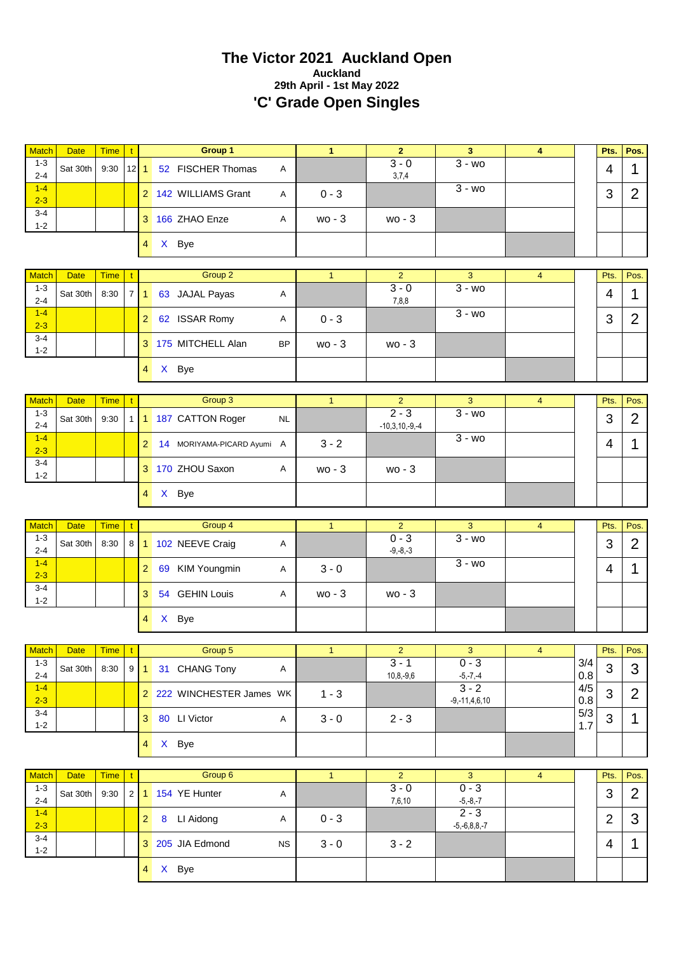#### **The Victor 2021 Auckland Open Auckland 29th April - 1st May 2022 'C' Grade Open Singles**

| <b>Match</b>       | <b>Date</b> | <b>Time</b> | $\mathbf{t}$ |                | Group 1                     |              | $\mathbf{1}$ | $\overline{2}$              | $\overline{\mathbf{3}}$   | 4              |                | Pts.                     | Pos.           |
|--------------------|-------------|-------------|--------------|----------------|-----------------------------|--------------|--------------|-----------------------------|---------------------------|----------------|----------------|--------------------------|----------------|
| $1 - 3$<br>$2 - 4$ | Sat 30th    | 9:30        | 12           | $\mathbf{1}$   | 52 FISCHER Thomas           | A            |              | $3 - 0$<br>3,7,4            | $3 - wo$                  |                |                | $\overline{\mathcal{A}}$ | 1              |
| $1 - 4$<br>$2 - 3$ |             |             |              |                | 2 142 WILLIAMS Grant        | A            | $0 - 3$      |                             | $3 - w0$                  |                |                | 3                        | $\overline{2}$ |
| $3 - 4$<br>$1 - 2$ |             |             |              |                | 3 166 ZHAO Enze             | Α            | $wo - 3$     | $wo - 3$                    |                           |                |                |                          |                |
|                    |             |             |              | 4 <sup>1</sup> | X Bye                       |              |              |                             |                           |                |                |                          |                |
| <b>Match</b>       | <b>Date</b> | <b>Time</b> | $\mathbf{t}$ |                | Group 2                     |              | $\mathbf{1}$ | $\overline{2}$              | $\mathbf{3}$              | $\overline{4}$ |                | Pts.                     | Pos.           |
| $1 - 3$<br>$2 - 4$ | Sat 30th    | 8:30        | 7            | $\mathbf{1}$   | 63 JAJAL Payas              | Α            |              | $3 - 0$<br>7,8,8            | $\overline{3}$ - wo       |                |                | 4                        | 1              |
| $1 - 4$<br>$2 - 3$ |             |             |              | 2 <sup>1</sup> | 62 ISSAR Romy               | Α            | $0 - 3$      |                             | $3 - w$                   |                |                | 3                        | $\overline{2}$ |
| $3 - 4$<br>$1 - 2$ |             |             |              |                | 3 175 MITCHELL Alan         | <b>BP</b>    | $wo - 3$     | $wo - 3$                    |                           |                |                |                          |                |
|                    |             |             |              | 4              | X Bye                       |              |              |                             |                           |                |                |                          |                |
| <b>Match</b>       | <b>Date</b> | <b>Time</b> |              |                | Group 3                     |              | $\mathbf{1}$ | $\overline{2}$              | 3                         | $\overline{4}$ |                | Pts.                     | Pos.           |
| $1 - 3$<br>$2 - 4$ | Sat 30th    | 9:30        | 1            |                | 1 187 CATTON Roger          | NL           |              | $2 - 3$<br>$-10,3,10,-9,-4$ | $3 - w_0$                 |                |                | 3                        | $\overline{2}$ |
| $1 - 4$<br>$2 - 3$ |             |             |              | $\overline{2}$ | 14 MORIYAMA-PICARD Ayumi A  |              | $3 - 2$      |                             | $\overline{3}$ - wo       |                |                | 4                        | 1              |
| $3 - 4$<br>$1 - 2$ |             |             |              |                | 3 170 ZHOU Saxon            | Α            | $wo - 3$     | $wo - 3$                    |                           |                |                |                          |                |
|                    |             |             |              | 4 <sup>1</sup> | X Bye                       |              |              |                             |                           |                |                |                          |                |
| <b>Match</b>       | <b>Date</b> | <b>Time</b> | $\mathbf{t}$ |                | Group 4                     |              | $\mathbf{1}$ | $\overline{2}$              | 3                         | $\overline{4}$ |                | Pts.                     | Pos.           |
| $1 - 3$<br>$2 - 4$ | Sat 30th    | 8:30        |              |                | 8 1 102 NEEVE Craig         | A            |              | $0 - 3$<br>$-9, -8, -3$     | $\overline{3}$ - wo       |                |                | 3                        | $\overline{2}$ |
| $1 - 4$<br>$2 - 3$ |             |             |              | 2 <sup>1</sup> | 69 KIM Youngmin             | Α            | $3 - 0$      |                             | $3 - w$ o                 |                |                | 4                        | 1              |
| $3 - 4$<br>$1 - 2$ |             |             |              | 3              | 54 GEHIN Louis              | Α            | $wo - 3$     | $wo - 3$                    |                           |                |                |                          |                |
|                    |             |             |              | 4              | X Bye                       |              |              |                             |                           |                |                |                          |                |
| <b>Match</b>       | Date        | <b>Time</b> | $\mathbf{t}$ |                | Group 5                     |              | $\mathbf{1}$ | $\overline{2}$              | $\ensuremath{\mathsf{3}}$ | $\overline{4}$ |                | Pts.                     | Pos.           |
| $1 - 3$            | Sat 30th    | 8:30        |              |                | 9 1 31 CHANG Tony           | $\mathsf{A}$ |              | $3 - 1$                     | $0 - 3$                   |                | 3/4            | 3                        | 3              |
| $2 - 4$<br>$1 - 4$ |             |             |              |                | 2 222 WINCHESTER James WK   |              | $1 - 3$      | $10, 8, -9, 6$              | $-5,-7,-4$<br>$3 - 2$     |                | $0.8\,$<br>4/5 | 3                        | $\overline{2}$ |
| $2 - 3$<br>$3 - 4$ |             |             |              |                | 3 80 LI Victor              | A            | $3 - 0$      | $2 - 3$                     | $-9, -11, 4, 6, 10$       |                | 0.8<br>5/3     | 3                        | $\mathbf 1$    |
| $1 - 2$            |             |             |              |                | 4 X Bye                     |              |              |                             |                           |                | 1.7            |                          |                |
|                    |             |             |              |                |                             |              |              |                             |                           |                |                |                          |                |
| <b>Match</b>       | <b>Date</b> | <b>Time</b> | $\mathbf{t}$ |                | Group 6                     |              | $\mathbf{1}$ | $\overline{2}$              | $\overline{3}$            | $\overline{4}$ |                | Pts.                     | Pos.           |
| $1 - 3$<br>$2 - 4$ | Sat 30th    | 9:30        |              |                | 2 1 154 YE Hunter           | A            |              | $3 - 0$<br>7,6,10           | $0 - 3$<br>$-5,-8,-7$     |                |                | 3                        | $\overline{2}$ |
| $1 - 4$            |             |             |              |                |                             |              |              |                             | $2 - 3$                   |                |                |                          | 3              |
| $2 - 3$            |             |             |              | 2 <sup>1</sup> | 8 LI Aidong                 | Α            | $0 - 3$      |                             | $-5,-6,8,8,-7$            |                |                | $\overline{2}$           |                |
| $3 - 4$<br>$1 - 2$ |             |             |              |                | 3 205 JIA Edmond<br>4 X Bye | <b>NS</b>    | $3 - 0$      | $3 - 2$                     |                           |                |                | 4                        | $\mathbf{1}$   |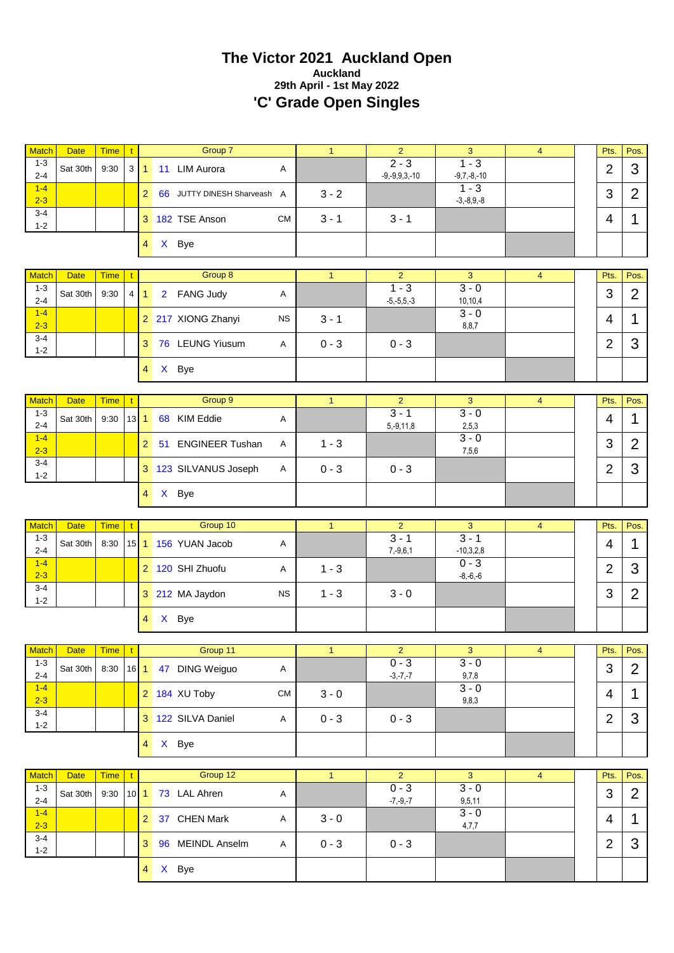#### **The Victor 2021 Auckland Open Auckland 29th April - 1st May 2022 'C' Grade Open Singles**

| <b>Match</b>       | <b>Date</b>                   | <b>Time</b> | $\mathbf{t}$ |                 | Group 7                            |              | $\mathbf{1}$   | $\overline{2}$                 | $\mathbf{3}$              | $\overline{4}$ | Pts.           | Pos.                        |
|--------------------|-------------------------------|-------------|--------------|-----------------|------------------------------------|--------------|----------------|--------------------------------|---------------------------|----------------|----------------|-----------------------------|
| $1 - 3$<br>$2 - 4$ | Sat 30th                      | 9:30        |              | $3 \mid 1 \mid$ | 11 LIM Aurora                      | Α            |                | $2 - 3$<br>$-9, -9, 9, 3, -10$ | $1 - 3$<br>$-9,7,-8,-10$  |                | $\overline{2}$ | 3                           |
| $1 - 4$<br>$2 - 3$ |                               |             |              | 2 <sup>1</sup>  | 66 JUTTY DINESH Sharveash A        |              | $3 - 2$        |                                | $1 - 3$<br>$-3,-8,9,-8$   |                | 3              | $\overline{2}$              |
| $3 - 4$<br>$1 - 2$ |                               |             |              |                 | 3 182 TSE Anson                    | <b>CM</b>    | $3 - 1$        | $3 - 1$                        |                           |                | 4              | 1                           |
|                    |                               |             |              | 4               | X Bye                              |              |                |                                |                           |                |                |                             |
| <b>Match</b>       | <b>Date</b>                   | <b>Time</b> |              |                 | Group 8                            |              | $\mathbf{1}$   | $\overline{2}$                 | 3                         | $\overline{4}$ | Pts.           | Pos.                        |
| $1 - 3$            |                               |             |              |                 |                                    |              |                | $1 - 3$                        | $3 - 0$                   |                |                |                             |
| $2 - 4$<br>$1 - 4$ | Sat 30th                      | 9:30        | $4 \mid$     | 1               | <b>FANG Judy</b><br>2 <sup>7</sup> | Α            |                | $-5, -5, 5, -3$                | 10,10,4<br>$3 - 0$        |                | 3              | $\overline{2}$              |
| $2 - 3$            |                               |             |              |                 | 2 217 XIONG Zhanyi                 | <b>NS</b>    | $3 - 1$        |                                | 8,8,7                     |                | 4              | 1                           |
| $3 - 4$<br>$1 - 2$ |                               |             |              | 3               | 76 LEUNG Yiusum                    | Α            | $0 - 3$        | $0 - 3$                        |                           |                | $\overline{2}$ | 3                           |
|                    |                               |             |              | $\overline{4}$  | X Bye                              |              |                |                                |                           |                |                |                             |
| <b>Match</b>       | <b>Date</b>                   | <b>Time</b> | t            |                 | Group 9                            |              | $\mathbf{1}$   | $\overline{2}$                 | 3                         | $\overline{4}$ | Pts.           | Pos.                        |
| $1 - 3$            | Sat 30th                      | 9:30        |              | $13$ 1          | <b>KIM Eddie</b><br>68             | Α            |                | $3 - 1$                        | $3 - 0$                   |                | 4              | 1                           |
| $2 - 4$            |                               |             |              |                 |                                    |              |                | $5, -9, 11, 8$                 | 2,5,3                     |                |                |                             |
| $1 - 4$<br>$2 - 3$ |                               |             |              | 2 <sup>1</sup>  | <b>ENGINEER Tushan</b><br>51       | Α            | $1 - 3$        |                                | $3 - 0$<br>7,5,6          |                | 3              | $\overline{2}$              |
| $3 - 4$<br>$1 - 2$ |                               |             |              |                 | 3 123 SILVANUS Joseph              | Α            | $0 - 3$        | $0 - 3$                        |                           |                | $\overline{2}$ | 3                           |
|                    |                               |             |              | 4               | X Bye                              |              |                |                                |                           |                |                |                             |
|                    |                               |             |              |                 |                                    |              |                |                                |                           |                |                |                             |
|                    |                               |             |              |                 |                                    |              |                |                                |                           |                |                |                             |
| <b>Match</b>       | <b>Date</b>                   | <b>Time</b> | $\mathbf{t}$ |                 | Group 10                           |              | $\mathbf{1}$   | $\overline{2}$                 | $\mathbf{3}$              | $\overline{4}$ | Pts.           | Pos.                        |
| $1 - 3$<br>$2 - 4$ | Sat 30th                      | 8:30        |              |                 | 15 1 156 YUAN Jacob                | Α            |                | $3 - 1$<br>$7, -9, 6, 1$       | $3 - 1$<br>$-10,3,2,8$    |                | 4              | 1                           |
| $1-4$<br>$2 - 3$   |                               |             |              |                 | 2 120 SHI Zhuofu                   | Α            | $1 - 3$        |                                | $0 - 3$<br>$-8,-6,-6$     |                | $\overline{2}$ | 3                           |
| $3 - 4$<br>$1 - 2$ |                               |             |              |                 | 3 212 MA Jaydon                    | <b>NS</b>    | $1 - 3$        | $3 - 0$                        |                           |                | 3              | $\overline{2}$              |
|                    |                               |             |              | $4 \square$     | X Bye                              |              |                |                                |                           |                |                |                             |
|                    |                               |             |              |                 |                                    |              |                |                                |                           |                |                |                             |
| 1-3                | Match Date Time t<br>Sat 30th | 8:30        |              |                 | Group 11<br>16 1 47 DING Weiguo    | $\mathsf{A}$ | $\mathbf{1}$   | $\overline{c}$<br>$0 - 3$      | 3 <sup>7</sup><br>$3 - 0$ | 4              | 3              | Pts. Pos.<br>$\overline{2}$ |
| $2 - 4$<br>$1 - 4$ |                               |             |              |                 | 2 184 XU Toby                      | <b>CM</b>    | $3 - 0$        | $-3,-7,-7$                     | 9,7,8<br>$3 - 0$          |                | 4              | $\mathbf 1$                 |
| $2 - 3$<br>$3 - 4$ |                               |             |              |                 | 3 122 SILVA Daniel                 | A            | $0 - 3$        | $0 - 3$                        | 9,8,3                     |                | $\overline{2}$ | 3                           |
| $1 - 2$            |                               |             |              |                 | 4 X Bye                            |              |                |                                |                           |                |                |                             |
|                    |                               |             |              |                 |                                    |              |                |                                |                           |                |                |                             |
| <b>Match</b>       | <b>Date</b>                   | <b>Time</b> | $\mathbf{t}$ |                 | Group 12                           |              | $\overline{1}$ | $\overline{2}$                 | $\mathbf{3}$              | $\overline{4}$ | Pts.           | Pos.                        |
| $1 - 3$<br>$2 - 4$ | Sat 30th                      | 9:30        | $10$ 1       |                 | 73 LAL Ahren                       | $\mathsf{A}$ |                | $0 - 3$<br>$-7, -9, -7$        | $3 - 0$<br>9,5,11         |                | 3              | $\overline{2}$              |
| $1 - 4$            |                               |             |              |                 | 2 37 CHEN Mark                     | Α            | $3 - 0$        |                                | $3 - 0$                   |                | 4              | 1                           |
| $2 - 3$<br>$3 - 4$ |                               |             |              |                 | 3 96 MEINDL Anselm                 | $\mathsf{A}$ | $0 - 3$        | $0 - 3$                        | 4,7,7                     |                | $\overline{2}$ | 3                           |
| $1 - 2$            |                               |             |              |                 | 4 X Bye                            |              |                |                                |                           |                |                |                             |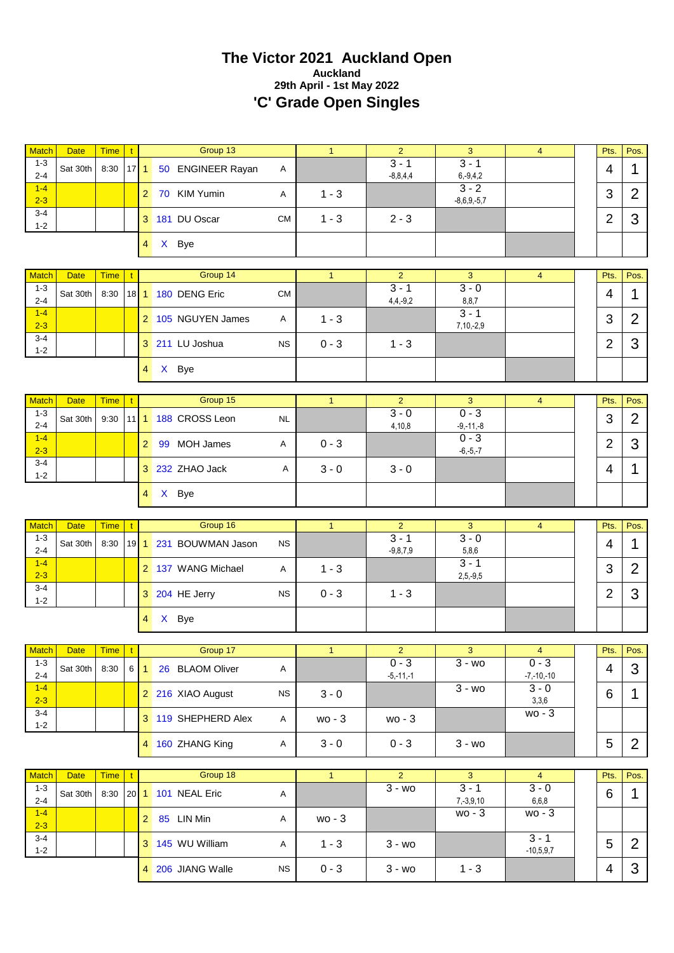#### **The Victor 2021 Auckland Open Auckland 29th April - 1st May 2022 'C' Grade Open Singles**

| $1 - 3$                 | <b>Date</b>       | <b>Time</b> | $\mathbf t$  |                | Group 13               |           | $\mathbf{1}$ | $\overline{2}$             | 3                          | $\overline{4}$            | Pts.           | Pos.           |
|-------------------------|-------------------|-------------|--------------|----------------|------------------------|-----------|--------------|----------------------------|----------------------------|---------------------------|----------------|----------------|
| $2 - 4$                 | Sat 30th          | 8:30        | $17$ 1       |                | 50 ENGINEER Rayan      | Α         |              | $3 - 1$<br>$-8,8,4,4$      | $3 - 1$<br>$6, -9, 4, 2$   |                           | $\overline{4}$ | 1              |
| $1 - 4$<br>$2 - 3$      |                   |             |              |                | 2 70 KIM Yumin         | Α         | $1 - 3$      |                            | $3 - 2$<br>$-8,6,9,-5,7$   |                           | 3              | $\overline{2}$ |
| 3-4<br>$1 - 2$          |                   |             |              |                | 3 181 DU Oscar         | <b>CM</b> | $1 - 3$      | $2 - 3$                    |                            |                           | $\overline{2}$ | 3              |
|                         |                   |             |              | $4 \square$    | X Bye                  |           |              |                            |                            |                           |                |                |
| <b>Match</b>            | <b>Date</b>       | <b>Time</b> |              |                | Group 14               |           | $\mathbf{1}$ | $\overline{2}$             | 3                          | $\overline{4}$            | Pts.           | Pos.           |
| $1 - 3$                 |                   |             |              |                |                        |           |              | $3 - 1$                    | $3 - 0$                    |                           |                |                |
| $2 - 4$                 | Sat 30th          | 8:30        |              |                | 18 1 180 DENG Eric     | <b>CM</b> |              | $4,4,-9,2$                 | 8,8,7                      |                           | 4              | 1              |
| $1 - 4$<br>$2 - 3$      |                   |             |              |                | 2 105 NGUYEN James     | Α         | $1 - 3$      |                            | $3 - 1$<br>$7,10,-2,9$     |                           | 3              | $\overline{2}$ |
| $3 - 4$<br>$1 - 2$      |                   |             |              |                | 3 211 LU Joshua        | <b>NS</b> | $0 - 3$      | $1 - 3$                    |                            |                           | $\overline{2}$ | 3              |
|                         |                   |             |              | $4 \square$    | X Bye                  |           |              |                            |                            |                           |                |                |
| <b>Match</b>            | <b>Date</b>       | <b>Time</b> | t            |                | Group 15               |           | $\mathbf{1}$ | $\overline{2}$             | 3                          | $\overline{4}$            | Pts.           | Pos.           |
| $1 - 3$                 | Sat 30th          | 9:30        |              |                | 11 1 188 CROSS Leon    | <b>NL</b> |              | $3 - 0$                    | $0 - 3$                    |                           | 3              | $\overline{2}$ |
| $2 - 4$<br>$1 - 4$      |                   |             |              |                |                        |           |              | 4,10,8                     | $-9,-11,-8$<br>$0 - 3$     |                           |                |                |
| $2 - 3$                 |                   |             |              |                | 2 99 MOH James         | Α         | $0 - 3$      |                            | $-6, -5, -7$               |                           | $\overline{2}$ | 3              |
| 3-4<br>$1 - 2$          |                   |             |              |                | 3 232 ZHAO Jack        | Α         | $3 - 0$      | $3 - 0$                    |                            |                           | 4              | 1              |
|                         |                   |             |              |                | 4 X Bye                |           |              |                            |                            |                           |                |                |
| <b>Match</b>            | <b>Date</b>       | <b>Time</b> | t            |                | Group 16               |           | $\mathbf{1}$ | $\overline{2}$             | 3                          | $\overline{4}$            | Pts.           | Pos.           |
| $1 - 3$                 |                   |             |              |                |                        |           |              | $3 - 1$                    | $3 - 0$                    |                           |                |                |
| $2 - 4$                 | Sat 30th          | 8:30        |              |                | 19 1 231 BOUWMAN Jason | <b>NS</b> |              | $-9, 8, 7, 9$              | 5,8,6                      |                           | 4              | 1              |
|                         |                   |             |              |                |                        |           |              |                            |                            |                           |                |                |
| $1 - 4$<br>$2 - 3$      |                   |             |              |                | 2 137 WANG Michael     | Α         | $1 - 3$      |                            | $3 - 1$<br>$2,5,-9,5$      |                           | 3              | $\overline{2}$ |
| $3 - 4$<br>$1 - 2$      |                   |             |              |                | 3 204 HE Jerry         | <b>NS</b> | $0 - 3$      | $1 - 3$                    |                            |                           | $\overline{2}$ | 3              |
|                         |                   |             |              | $\overline{4}$ | X Bye                  |           |              |                            |                            |                           |                |                |
|                         |                   |             |              |                |                        |           |              |                            |                            |                           |                |                |
| $1 - 3$                 | Match Date Time t |             |              |                | Group 17               |           |              | 2 <sup>7</sup><br>$0 - 3$  | 3 <sup>7</sup><br>$3 - w0$ | $\sim$ 4<br>$0 - 3$       |                | Pts. Pos.      |
| $2 - 4$                 | Sat 30th          | 8:30        |              |                | 6 1 26 BLAOM Oliver    | A         |              | $-5,-11,-1$                |                            | $-7, -10, -10$            | $\overline{4}$ | 3              |
| $1 - 4$<br>$2 - 3$      |                   |             |              |                | 2 216 XIAO August      | <b>NS</b> | $3 - 0$      |                            | $3 - w0$                   | $3 - 0$<br>3,3,6          | 6              | 1              |
| $3 - 4$<br>$1 - 2$      |                   |             |              |                | 3 119 SHEPHERD Alex    | A         | $wo - 3$     | $wo - 3$                   |                            | wo - 3                    |                |                |
|                         |                   |             |              |                | 4 160 ZHANG King       | A         | $3 - 0$      | $0 - 3$                    | $3 - w_0$                  |                           | 5              | 2              |
|                         |                   |             |              |                |                        |           |              |                            |                            |                           |                |                |
| <b>Match</b><br>$1 - 3$ | <b>Date</b>       | <b>Time</b> | $\mathbf{t}$ |                | Group 18               |           | $\mathbf{1}$ | $\overline{2}$<br>$3 - w0$ | 3<br>$3 - 1$               | $\overline{4}$<br>$3 - 0$ | Pts.           | Pos.           |
| $2 - 4$                 | Sat 30th          | 8:30        |              |                | 20 1 101 NEAL Eric     | A         |              |                            | $7, -3, 9, 10$             | 6,6,8                     | 6              | 1              |
| $1-4$<br>$2 - 3$        |                   |             |              |                | 2 85 LIN Min           | A         | wo - 3       |                            | $wo - 3$                   | wo - 3                    |                |                |
| $3 - 4$<br>$1 - 2$      |                   |             |              |                | 3 145 WU William       | A         | $1 - 3$      | $3 - w0$                   |                            | $3 - 1$<br>$-10,5,9,7$    | 5              | $\overline{2}$ |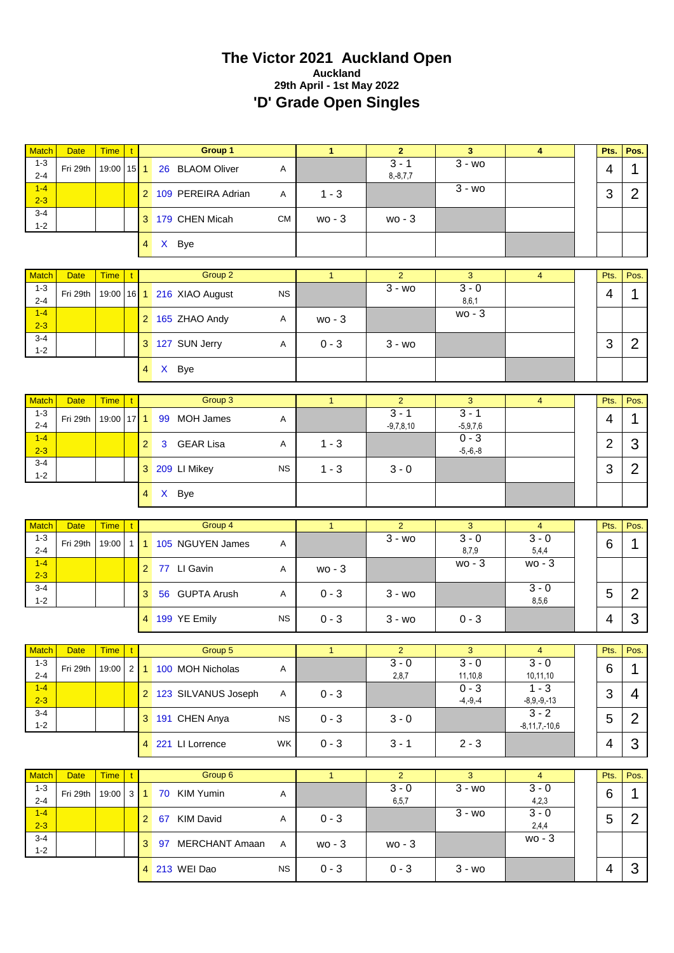# **The Victor 2021 Auckland Open Auckland 29th April - 1st May 2022 'D' Grade Open Singles**

| Match                              | <b>Date</b>                   | <b>Time</b>          | $\mathbf{t}$ |                | Group 1                                                                                                      |              | $\mathbf{1}$ | $\overline{2}$                     | $\overline{\mathbf{3}}$              | $\overline{\mathbf{4}}$                         | Pts.           | Pos.                |
|------------------------------------|-------------------------------|----------------------|--------------|----------------|--------------------------------------------------------------------------------------------------------------|--------------|--------------|------------------------------------|--------------------------------------|-------------------------------------------------|----------------|---------------------|
| $1 - 3$<br>$2 - 4$                 | Fri 29th                      | 19:00                | $15$ 1       |                | 26 BLAOM Oliver                                                                                              | Α            |              | $3 - 1$<br>$8, -8, 7, 7$           | $\overline{3}$ - wo                  |                                                 | 4              | 1                   |
| $1 - 4$<br>$2 - 3$                 |                               |                      |              |                | 2 109 PEREIRA Adrian                                                                                         | Α            | $1 - 3$      |                                    | $3 - w0$                             |                                                 | 3              | $\overline{2}$      |
| $3 - 4$<br>$1 - 2$                 |                               |                      |              |                | 3 179 CHEN Micah                                                                                             | <b>CM</b>    | wo - 3       | wo - 3                             |                                      |                                                 |                |                     |
|                                    |                               |                      |              | $\overline{4}$ | X Bye                                                                                                        |              |              |                                    |                                      |                                                 |                |                     |
| <b>Match</b>                       | <b>Date</b>                   | <b>Time</b>          |              |                | Group 2                                                                                                      |              | $\mathbf{1}$ | $\overline{2}$                     | 3                                    | $\overline{\mathbf{4}}$                         | Pts.           | Pos.                |
| $1 - 3$<br>$2 - 4$                 | Fri 29th                      | 19:00                |              |                | 16 1 216 XIAO August                                                                                         | <b>NS</b>    |              | $3 - w$ o                          | $3 - 0$<br>8, 6, 1                   |                                                 | 4              | 1                   |
| $1-4$<br>$2 - 3$                   |                               |                      |              |                | 2 165 ZHAO Andy                                                                                              | Α            | wo - 3       |                                    | $wo - 3$                             |                                                 |                |                     |
| $3 - 4$<br>$1 - 2$                 |                               |                      |              |                | 3 127 SUN Jerry                                                                                              | Α            | $0 - 3$      | $3 - w$ o                          |                                      |                                                 | 3              | $\overline{2}$      |
|                                    |                               |                      |              | $\overline{4}$ | X Bye                                                                                                        |              |              |                                    |                                      |                                                 |                |                     |
| <b>Match</b>                       | <b>Date</b>                   | <b>Time</b>          |              |                | Group 3                                                                                                      |              | $\mathbf{1}$ | $\overline{2}$                     | 3                                    | $\overline{4}$                                  | Pts.           | Pos.                |
| $1 - 3$                            |                               |                      |              |                |                                                                                                              |              |              | $3 - 1$                            | $3 - 1$                              |                                                 |                |                     |
| $2 - 4$                            | Fri 29th                      | 19:00                | $17$ 1       |                | 99 MOH James                                                                                                 | Α            |              | $-9,7,8,10$                        | $-5,9,7,6$<br>$0 - 3$                |                                                 | $\overline{4}$ | 1                   |
| $1-4$<br>$2 - 3$                   |                               |                      |              | $\overline{2}$ | <b>GEAR Lisa</b><br>3                                                                                        | Α            | $1 - 3$      |                                    | $-5,-6,-8$                           |                                                 | $\overline{2}$ | 3                   |
| $3 - 4$<br>$1 - 2$                 |                               |                      |              |                | 3 209 LI Mikey                                                                                               | <b>NS</b>    | $1 - 3$      | $3 - 0$                            |                                      |                                                 | 3              | $\overline{2}$      |
|                                    |                               |                      |              | $\overline{4}$ | X Bye                                                                                                        |              |              |                                    |                                      |                                                 |                |                     |
|                                    |                               |                      |              |                |                                                                                                              |              |              |                                    |                                      |                                                 |                |                     |
|                                    |                               |                      |              |                |                                                                                                              |              |              |                                    |                                      |                                                 |                |                     |
| <b>Match</b><br>$1 - 3$<br>$2 - 4$ | <b>Date</b><br>Fri 29th       | <b>Time</b><br>19:00 | $\mathbf{t}$ |                | Group 4<br>1 1 105 NGUYEN James                                                                              | $\mathsf{A}$ | $\mathbf{1}$ | $\overline{2}$<br>$\overline{3-w}$ | 3<br>$3 - 0$                         | $\overline{4}$<br>$3 - 0$                       | Pts.<br>6      | Pos.<br>1           |
| $1-4$<br>$2 - 3$                   |                               |                      |              |                | 2 77 LI Gavin                                                                                                | Α            | $wo - 3$     |                                    | 8,7,9<br>$wo - 3$                    | 5,4,4<br>$wo - 3$                               |                |                     |
| $3 - 4$<br>$1 - 2$                 |                               |                      |              | 3              | 56 GUPTA Arush                                                                                               | Α            | $0 - 3$      | $3 - w0$                           |                                      | $3 - 0$<br>8,5,6                                | 5              | $\overline{2}$      |
|                                    |                               |                      |              |                | 4 199 YE Emily                                                                                               | <b>NS</b>    | $0 - 3$      | $3 - w0$                           | $0 - 3$                              |                                                 | 4              | 3                   |
|                                    |                               |                      |              |                |                                                                                                              |              |              |                                    |                                      |                                                 |                |                     |
| $1 - 3$<br>$2 - 4$                 | Match Date Time t<br>Fri 29th |                      |              |                | Group 5<br>19:00 $\begin{array}{ c c c c c c }\n\hline\n1 & 100 & \text{MOH} & \text{Nicholas}\n\end{array}$ | $\mathsf{A}$ | 1            | 2 <sup>1</sup><br>$3 - 0$<br>2,8,7 | 3 <sup>7</sup><br>$3 - 0$<br>11,10,8 | $\overline{4}$<br>$3 - 0$<br>10,11,10           | Pts.<br>6      | Pos.<br>$\mathbf 1$ |
| $1 - 4$                            |                               |                      |              |                | 2 123 SILVANUS Joseph                                                                                        | A            | $0 - 3$      |                                    | $0 - 3$                              | $1 - 3$                                         | 3              | 4                   |
| $2 - 3$<br>$3-4$<br>$1 - 2$        |                               |                      |              |                | 3 191 CHEN Anya                                                                                              | <b>NS</b>    | $0 - 3$      | $3 - 0$                            | $-4, -9, -4$                         | $-8,9,-9,-13$<br>$3 - 2$<br>$-8, 11, 7, -10, 6$ | 5              | $\overline{2}$      |
|                                    |                               |                      |              |                | 4 221 LI Lorrence                                                                                            | WK           | $0 - 3$      | $3 - 1$                            | $2 - 3$                              |                                                 | 4              | 3                   |
|                                    |                               |                      |              |                |                                                                                                              |              |              |                                    |                                      |                                                 |                |                     |
| <b>Match</b>                       | <b>Date</b>                   | <b>Time</b>          | $\mathbf{t}$ |                | Group 6                                                                                                      |              | $\mathbf{1}$ | $\overline{2}$                     | $\overline{3}$                       | $\overline{4}$                                  | Pts.           | Pos.                |
| $1 - 3$<br>$2 - 4$                 | Fri 29th                      | 19:00                | 3 1          |                | 70 KIM Yumin                                                                                                 | A            |              | $3 - 0$<br>6,5,7                   | $3 - w0$                             | $3 - 0$<br>4,2,3                                | 6              | $\mathbf 1$         |
| $1-4$<br>$2 - 3$                   |                               |                      |              |                | 2 67 KIM David                                                                                               | A            | $0 - 3$      |                                    | $3 - w0$                             | $3 - 0$<br>2,4,4                                | 5              | $\overline{2}$      |
| $3 - 4$<br>$1 - 2$                 |                               |                      |              |                | 3 97 MERCHANT Amaan                                                                                          | A            | $wo - 3$     | wo - 3                             |                                      | $wo - 3$                                        |                |                     |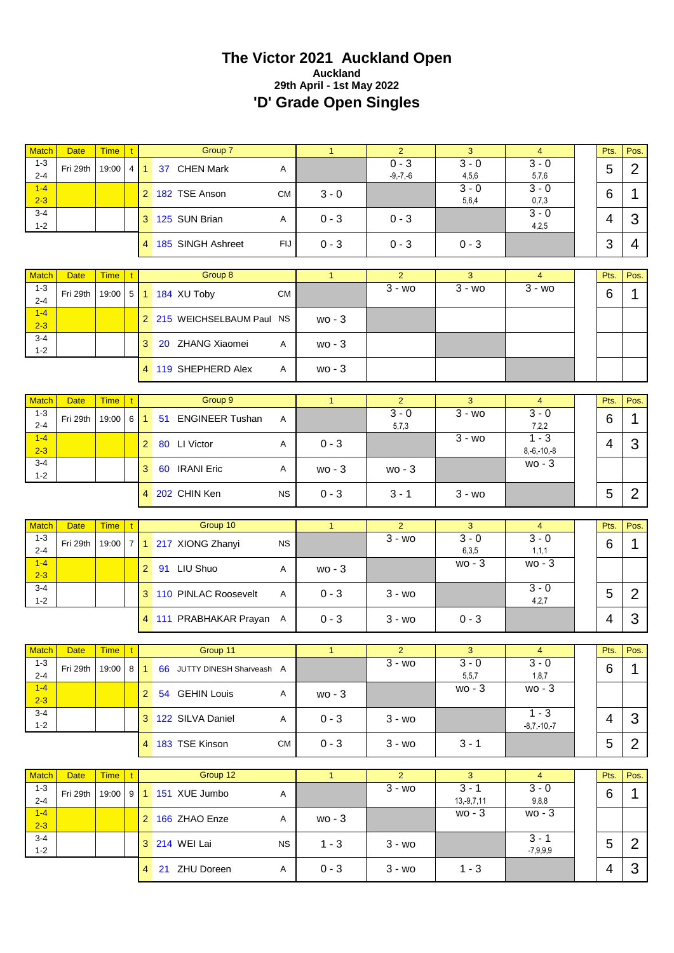# **The Victor 2021 Auckland Open Auckland 29th April - 1st May 2022 'D' Grade Open Singles**

| <b>Match</b>                       | <b>Date</b>             | <b>Time</b>          | $\mathbf{t}$                   |                      | Group 7                        |              | $\mathbf{1}$ | 2                           | 3                         | $\overline{4}$             | Pts.           | Pos.           |
|------------------------------------|-------------------------|----------------------|--------------------------------|----------------------|--------------------------------|--------------|--------------|-----------------------------|---------------------------|----------------------------|----------------|----------------|
| $1 - 3$<br>$2 - 4$                 | Fri 29th                | 19:00                | 4 <sup>1</sup>                 | 1                    | 37 CHEN Mark                   | Α            |              | $0 - 3$<br>$-9, -7, -6$     | $3 - 0$<br>4,5,6          | $3 - 0$<br>5,7,6           | 5              | $\overline{2}$ |
| $1 - 4$<br>$2 - 3$                 |                         |                      |                                |                      | 2 182 TSE Anson                | <b>CM</b>    | $3 - 0$      |                             | $3 - 0$<br>5,6,4          | $3 - 0$<br>0,7,3           | 6              | 1              |
| $3 - 4$<br>$1 - 2$                 |                         |                      |                                |                      | 3 125 SUN Brian                | Α            | $0 - 3$      | $0 - 3$                     |                           | $3 - 0$<br>4,2,5           | $\overline{4}$ | 3              |
|                                    |                         |                      |                                |                      | 4 185 SINGH Ashreet            | FIJ          | $0 - 3$      | $0 - 3$                     | $0 - 3$                   |                            | 3              | 4              |
|                                    |                         |                      |                                |                      |                                |              |              |                             |                           |                            |                |                |
| <b>Match</b><br>$1 - 3$            | <b>Date</b>             | <b>Time</b>          | $\mathbf{t}$                   |                      | Group 8                        |              | $\mathbf{1}$ | $\overline{2}$<br>$3 - w$   | 3<br>$3 - w$              | $\overline{4}$<br>$3 - w0$ | Pts.           | Pos.           |
| $2 - 4$<br>$1 - 4$                 | Fri 29th                | 19:00                | 5                              |                      | 1 184 XU Toby                  | <b>CM</b>    |              |                             |                           |                            | 6              | 1              |
| $2 - 3$                            |                         |                      |                                |                      | 2 215 WEICHSELBAUM Paul NS     |              | $wo - 3$     |                             |                           |                            |                |                |
| $3 - 4$<br>$1 - 2$                 |                         |                      |                                | 3 <sup>1</sup>       | 20 ZHANG Xiaomei               | A            | wo - 3       |                             |                           |                            |                |                |
|                                    |                         |                      |                                |                      | 4 119 SHEPHERD Alex            | A            | $wo - 3$     |                             |                           |                            |                |                |
| <b>Match</b>                       | <b>Date</b>             | <b>Time</b>          | $\mathbf{t}$                   |                      | Group 9                        |              | $\mathbf{1}$ | $\overline{2}$              | 3                         | $\overline{4}$             | Pts.           | Pos.           |
| $1 - 3$                            | Fri 29th                | 19:00                |                                |                      |                                |              |              | $3 - 0$                     | $\overline{3}$ - wo       | $3 - 0$                    |                |                |
| $2 - 4$                            |                         |                      | 6                              | $\blacktriangleleft$ | 51 ENGINEER Tushan             | Α            |              | 5,7,3                       |                           | 7,2,2                      | 6              | 1              |
| $1 - 4$<br>$2 - 3$                 |                         |                      |                                | $\mathbf{2}$         | 80 LI Victor                   | Α            | $0 - 3$      |                             | $\overline{3}$ - wo       | $1 - 3$<br>$8,-6,-10,-8$   | 4              | 3              |
| $3 - 4$<br>$1 - 2$                 |                         |                      |                                | 3 <sup>1</sup>       | 60 IRANI Eric                  | Α            | wo - 3       | $wo - 3$                    |                           | $wo - 3$                   |                |                |
|                                    |                         |                      |                                |                      | 4 202 CHIN Ken                 | <b>NS</b>    | $0 - 3$      | $3 - 1$                     | $3 - w0$                  |                            | 5              | $\overline{2}$ |
|                                    |                         |                      |                                |                      |                                |              |              |                             |                           |                            |                |                |
|                                    |                         |                      |                                |                      |                                |              |              |                             |                           |                            |                |                |
| <b>Match</b><br>$1 - 3$<br>$2 - 4$ | <b>Date</b><br>Fri 29th | <b>Time</b><br>19:00 | $\mathbf{t}$<br>7 <sup>1</sup> |                      | Group 10<br>1 217 XIONG Zhanyi | <b>NS</b>    | 1            | $\overline{2}$<br>$3 - w0$  | $\overline{3}$<br>$3 - 0$ | $\overline{4}$<br>$3 - 0$  | Pts.<br>6      | Pos.<br>1      |
| $1 - 4$<br>$2 - 3$                 |                         |                      |                                | 2 <sup>1</sup>       | 91 LIU Shuo                    | Α            | $wo - 3$     |                             | 6,3,5<br>$wo - 3$         | 1, 1, 1<br>$wo - 3$        |                |                |
| $3 - 4$<br>$1 - 2$                 |                         |                      |                                |                      | 3 110 PINLAC Roosevelt         | A            | $0 - 3$      | $3 - w$ o                   |                           | $3 - 0$<br>4,2,7           | 5              | $\overline{2}$ |
|                                    |                         |                      |                                |                      | 4 111 PRABHAKAR Prayan A       |              | $0 - 3$      | $3 - w$ o                   | $0 - 3$                   |                            | 4              | 3              |
|                                    |                         |                      |                                |                      |                                |              |              |                             |                           |                            |                |                |
|                                    | Match Date              | Time t               |                                |                      | Group 11                       |              |              | $\mathbf{z}$                | 3                         | $-4$                       | Pts.           | Pos.           |
| $1 - 3$<br>$2 - 4$                 | Fri 29th                | $19:00$ 8 1          |                                |                      | 66 JUTTY DINESH Sharveash A    |              |              | $3 - w$ o                   | $3 - 0$<br>5,5,7          | $3 - 0$<br>1, 8, 7         | 6              | $\mathbf 1$    |
| $1 - 4$<br>$2 - 3$                 |                         |                      |                                |                      | 2 54 GEHIN Louis               | A            | $wo - 3$     |                             | $wo - 3$                  | $wo - 3$                   |                |                |
| $3 - 4$<br>$1 - 2$                 |                         |                      |                                |                      | 3 122 SILVA Daniel             | A            | $0 - 3$      | $3 - w0$                    |                           | $1 - 3$<br>$-8,7,-10,-7$   | 4              | 3              |
|                                    |                         |                      |                                |                      | 4 183 TSE Kinson               | <b>CM</b>    | $0 - 3$      | $3 - w0$                    | $3 - 1$                   |                            | 5              | $\overline{2}$ |
|                                    |                         |                      |                                |                      |                                |              |              |                             |                           |                            |                |                |
| <b>Match</b><br>$1 - 3$            | <b>Date</b><br>Fri 29th | Time   t<br>19:00    |                                |                      | Group 12<br>9 1 151 XUE Jumbo  | $\mathsf{A}$ | 1            | $\overline{2}$<br>$3 - w$ o | 3 <sup>1</sup><br>$3 - 1$ | $\overline{4}$<br>$3 - 0$  | Pts.<br>6      | Pos.<br>1      |
| $2 - 4$<br>$1 - 4$                 |                         |                      |                                |                      | 2 166 ZHAO Enze                | A            | $wo - 3$     |                             | $13,-9,7,11$<br>$wo - 3$  | 9,8,8<br>$wo - 3$          |                |                |
| $2 - 3$<br>$3 - 4$                 |                         |                      |                                |                      | 3 214 WEI Lai                  | ΝS           | $1 - 3$      | $3 - w0$                    |                           | $3 - 1$                    | 5              | $\overline{2}$ |
| $1 - 2$                            |                         |                      |                                |                      | 4 21 ZHU Doreen                | A            | $0 - 3$      | $3 - w$ o                   | $1 - 3$                   | $-7,9,9,9$                 | 4              | 3              |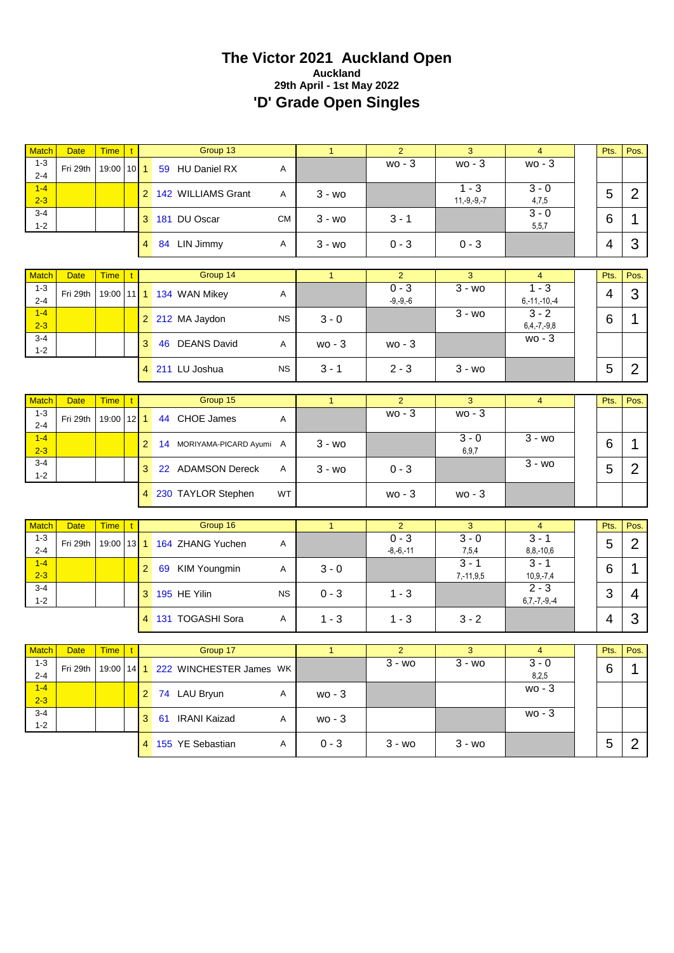# **The Victor 2021 Auckland Open Auckland 29th April - 1st May 2022 'D' Grade Open Singles**

| <b>Match</b>            | <b>Date</b> | <b>Time</b> | $\mathsf{t}$ |                | Group 13                           |           | $\mathbf{1}$ | $\overline{2}$            | 3                         | $\overline{4}$            | Pts.           | Pos.           |
|-------------------------|-------------|-------------|--------------|----------------|------------------------------------|-----------|--------------|---------------------------|---------------------------|---------------------------|----------------|----------------|
| $1 - 3$<br>$2 - 4$      | Fri 29th    | 19:00       | $10$   1     |                | 59 HU Daniel RX                    | Α         |              | wo - 3                    | $wo - 3$                  | $wo - 3$                  |                |                |
| $1 - 4$<br>$2 - 3$      |             |             |              |                | 2 142 WILLIAMS Grant               | A         | $3 - w_0$    |                           | $1 - 3$<br>$11,-9,-9,-7$  | $3 - 0$<br>4,7,5          | 5              | $\overline{2}$ |
| $3 - 4$<br>$1 - 2$      |             |             |              |                | 3 181 DU Oscar                     | <b>CM</b> | $3 - w0$     | $3 - 1$                   |                           | $3 - 0$<br>5, 5, 7        | 6              | 1              |
|                         |             |             |              | 4              | 84 LIN Jimmy                       | Α         | $3 - w$ o    | $0 - 3$                   | $0 - 3$                   |                           | $\overline{4}$ | 3              |
|                         |             |             |              |                | Group 14                           |           |              |                           |                           |                           |                |                |
| <b>Match</b><br>$1 - 3$ | <b>Date</b> | <b>Time</b> |              |                |                                    |           | $\mathbf{1}$ | $\overline{2}$<br>$0 - 3$ | 3<br>$3 - w$              | 4<br>$1 - 3$              | Pts.           | Pos.           |
| $2 - 4$                 | Fri 29th    | 19:00       |              |                | 11 1 134 WAN Mikey                 | Α         |              | $-9, -9, -6$              |                           | $6, -11, -10, -4$         | 4              | 3              |
| $1 - 4$<br>$2 - 3$      |             |             |              |                | 2 212 MA Jaydon                    | <b>NS</b> | $3 - 0$      |                           | $3 - w_0$                 | $3 - 2$<br>$6,4,-7,-9,8$  | 6              | 1              |
| $3 - 4$<br>$1 - 2$      |             |             |              | 3              | 46 DEANS David                     | A         | $wo - 3$     | $wo - 3$                  |                           | $wo - 3$                  |                |                |
|                         |             |             |              |                | 4 211 LU Joshua                    | <b>NS</b> | $3 - 1$      | $2 - 3$                   | $3 - w_0$                 |                           | 5              | $\overline{2}$ |
|                         |             |             |              |                |                                    |           |              |                           |                           |                           |                |                |
| Match                   | <b>Date</b> | <b>Time</b> | t            |                | Group 15                           |           | $\mathbf{1}$ | $\overline{2}$            | 3                         | $\overline{\mathbf{4}}$   | Pts.           | Pos.           |
| $1 - 3$<br>$2 - 4$      | Fri 29th    | 19:00       | $12$   1     |                | 44 CHOE James                      | Α         |              | $wo - 3$                  | $wo - 3$                  |                           |                |                |
| $1 - 4$<br>$2 - 3$      |             |             |              | $\overline{2}$ | 14 MORIYAMA-PICARD Ayumi A         |           | $3 - w$ o    |                           | $3 - 0$<br>6,9,7          | $3 - w_0$                 | 6              | 1              |
| $3 - 4$<br>$1 - 2$      |             |             |              | 3              | 22 ADAMSON Dereck                  | Α         | $3 - w$ o    | $0 - 3$                   |                           | $\overline{3}$ - wo       | 5              | $\overline{2}$ |
|                         |             |             |              |                | 4 230 TAYLOR Stephen               | WT        |              | $wo - 3$                  | $wo - 3$                  |                           |                |                |
|                         |             |             |              |                |                                    |           |              |                           |                           |                           |                |                |
| <b>Match</b><br>$1 - 3$ | <b>Date</b> | <b>Time</b> | $\mathbf{t}$ |                | Group 16                           |           | 1            | $\overline{2}$<br>$0 - 3$ | 3<br>$3 - 0$              | $\overline{4}$<br>$3 - 1$ | Pts.           | Pos.           |
| $2 - 4$                 | Fri 29th    | 19:00       |              |                | 13 1 164 ZHANG Yuchen              | Α         |              | $-8,-6,-11$               | 7,5,4                     | $8, 8, -10, 6$            | 5              | $\overline{2}$ |
| $1 - 4$<br>$2 - 3$      |             |             |              | 2              | 69 KIM Youngmin                    | Α         | $3 - 0$      |                           | $3 - 1$<br>$7, -11, 9, 5$ | $3 - 1$<br>$10,9,-7,4$    | 6              | 1              |
| $3 - 4$<br>$1 - 2$      |             |             |              |                | 3 195 HE Yilin                     | <b>NS</b> | $0 - 3$      | $1 - 3$                   |                           | $2 - 3$<br>$6,7,-7,-9,-4$ | 3              | 4              |
|                         |             |             |              |                | 4 131 TOGASHI Sora                 | Α         | $1 - 3$      | $1 - 3$                   | $3 - 2$                   |                           | 4              | 3              |
|                         |             |             |              |                |                                    |           |              |                           |                           |                           |                |                |
|                         | Match Date  | Time   t    |              |                | Group 17                           |           |              | $\mathbf{z}$              | 3.                        | $-4$                      |                | Pts. Pos.      |
| $1 - 3$<br>$2 - 4$      | Fri 29th    |             |              |                | 19:00 14 1 222 WINCHESTER James WK |           |              | $3 - w$ o                 | $3 - w$                   | $3 - 0$<br>8,2,5          | 6              | 1              |
| $1 - 4$<br>$2 - 3$      |             |             |              |                | 2 74 LAU Bryun                     | A         | wo - 3       |                           |                           | $wo - 3$                  |                |                |
| $3 - 4$<br>$1 - 2$      |             |             |              |                | 3 61 IRANI Kaizad                  | Α         | $wo - 3$     |                           |                           | $wo - 3$                  |                |                |
|                         |             |             |              |                | 4 155 YE Sebastian                 | A         | $0 - 3$      | $3 - w0$                  | $3 - w_0$                 |                           | 5              | $\overline{2}$ |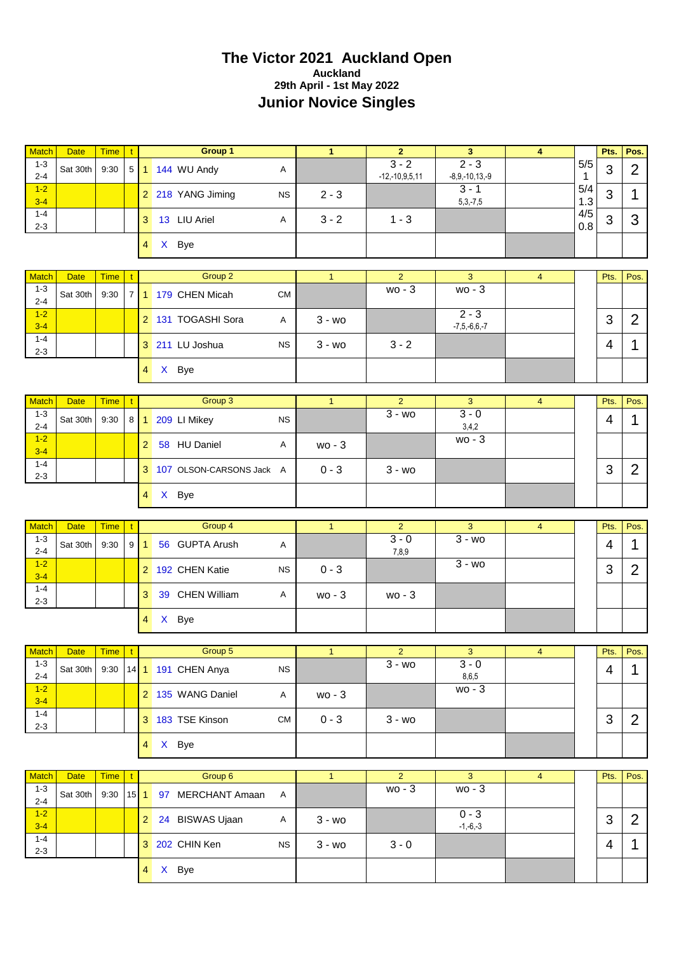#### **The Victor 2021 Auckland Open Auckland 29th April - 1st May 2022 Junior Novice Singles**

| <b>Match</b>       | <b>Date</b> | <b>Time</b> | $\mathbf{t}$   |                  | Group 1                    |            | $\mathbf{1}$   | $\overline{2}$              | $\overline{\mathbf{3}}$       | $\overline{4}$ |                     | Pts.           | Pos.           |
|--------------------|-------------|-------------|----------------|------------------|----------------------------|------------|----------------|-----------------------------|-------------------------------|----------------|---------------------|----------------|----------------|
| $1 - 3$<br>$2 - 4$ | Sat 30th    | 9:30        | 5 <sup>5</sup> |                  | 1 144 WU Andy              | Α          |                | $3 - 2$<br>$-12,-10,9,5,11$ | $2 - 3$<br>$-8,9,-10,13,-9$   |                | 5/5<br>$\mathbf{1}$ | 3              | $\overline{2}$ |
| $1-2$<br>$3-4$     |             |             |                |                  | 2 218 YANG Jiming          | <b>NS</b>  | $2 - 3$        |                             | $3 - 1$<br>$5,3,-7,5$         |                | 5/4<br>1.3          | 3              | 1              |
| $1 - 4$<br>$2 - 3$ |             |             |                |                  | 3 13 LIU Ariel             | A          | $3 - 2$        | $1 - 3$                     |                               |                | 4/5<br>0.8          | 3              | 3              |
|                    |             |             |                |                  | 4 X Bye                    |            |                |                             |                               |                |                     |                |                |
| <b>Match</b>       | <b>Date</b> | <b>Time</b> |                |                  | Group 2                    |            | $\mathbf{1}$   | $\overline{2}$              | 3                             | $\overline{4}$ |                     | Pts.           | Pos.           |
| $1 - 3$            |             |             | $\mathbf{t}$   |                  |                            |            |                | $wo - 3$                    | $wo - 3$                      |                |                     |                |                |
| $2 - 4$            | Sat 30th    | 9:30        |                |                  | 7 1 179 CHEN Micah         | <b>CM</b>  |                |                             |                               |                |                     |                |                |
| $1-2$<br>$3 - 4$   |             |             |                |                  | 2 131 TOGASHI Sora         | A          | $3 - w$        |                             | $2 - 3$<br>$-7, 5, -6, 6, -7$ |                |                     | 3              | $\overline{2}$ |
| $1 - 4$<br>$2 - 3$ |             |             |                |                  | 3 211 LU Joshua            | <b>NS</b>  | $3 - w0$       | $3 - 2$                     |                               |                |                     | 4              | $\mathbf 1$    |
|                    |             |             |                |                  | 4 X Bye                    |            |                |                             |                               |                |                     |                |                |
| <b>Match</b>       | <b>Date</b> | <b>Time</b> |                |                  | Group 3                    |            | $\overline{1}$ | $\overline{2}$              | 3                             | $\overline{4}$ |                     | Pts.           | Pos.           |
| $1 - 3$            |             |             | t              |                  |                            |            |                | $3 - w0$                    | $3 - 0$                       |                |                     |                |                |
| $2 - 4$            | Sat 30th    | 9:30        |                |                  | 8 1 209 LI Mikey           | <b>NS</b>  |                |                             | 3,4,2                         |                |                     | 4              | 1              |
| $1-2$<br>$3 - 4$   |             |             |                | 2 <sup>1</sup>   | 58 HU Daniel               | A          | $wo - 3$       |                             | wo - 3                        |                |                     |                |                |
| $1 - 4$<br>$2 - 3$ |             |             |                |                  | 3 107 OLSON-CARSONS Jack A |            | $0 - 3$        | $3 - w$ o                   |                               |                |                     | 3              | $\overline{2}$ |
|                    |             |             |                | $\overline{4}$   | X Bye                      |            |                |                             |                               |                |                     |                |                |
| <b>Match</b>       | <b>Date</b> | <b>Time</b> | t.             |                  | Group 4                    |            | $\mathbf{1}$   | $\overline{2}$              | 3                             | $\overline{4}$ |                     | Pts.           | Pos.           |
| $1 - 3$            |             |             |                |                  |                            |            |                | $3 - 0$                     | $3 - w$                       |                |                     |                |                |
| $2 - 4$            | Sat 30th    | 9:30        |                | $9 \mid 1$       | 56 GUPTA Arush             | Α          |                | 7,8,9                       |                               |                |                     | 4              | 1              |
| $1-2$<br>$3 - 4$   |             |             |                |                  | 2 192 CHEN Katie           | <b>NS</b>  | $0 - 3$        |                             | $3 - w$ o                     |                |                     | 3              | $\overline{2}$ |
| $1 - 4$<br>$2 - 3$ |             |             |                | 3                | 39 CHEN William            | A          | $wo - 3$       | $wo - 3$                    |                               |                |                     |                |                |
|                    |             |             |                |                  | 4 X Bye                    |            |                |                             |                               |                |                     |                |                |
| Match              | <b>Date</b> | <b>Time</b> |                |                  | Group 5                    |            | $\mathbf{1}$   | $\overline{2}$              | 3                             |                |                     | Pts.           | Pos.           |
| $1 - 3$            |             |             | $\mathbf{t}$   |                  |                            |            |                | $3 - w0$                    | $3 - 0$                       | $\overline{4}$ |                     |                |                |
| $2 - 4$            | Sat 30th    | 9:30        |                |                  | 14 1 191 CHEN Anya         | <b>NS</b>  |                |                             | 8,6,5                         |                |                     | $\overline{4}$ | 1              |
| $1-2$<br>$3 - 4$   |             |             |                |                  | 2 135 WANG Daniel          | A          | wo - 3         |                             | wo - 3                        |                |                     |                |                |
| $1 - 4$<br>$2 - 3$ |             |             |                |                  | 3 183 TSE Kinson           | ${\sf CM}$ | $0 - 3$        | $3 - w_0$                   |                               |                |                     | 3              | $\overline{2}$ |
|                    |             |             |                | $4 \overline{ }$ | X Bye                      |            |                |                             |                               |                |                     |                |                |
|                    |             |             |                |                  |                            |            |                |                             |                               |                |                     |                |                |
| Match<br>$1 - 3$   | <b>Date</b> | <b>Time</b> | $\mathbf t$    |                  | Group 6                    |            | $\overline{1}$ | $\overline{2}$<br>wo - 3    | 3<br>wo - 3                   | $\overline{4}$ |                     | Pts.           | Pos.           |
| $2 - 4$            | Sat 30th    | 9:30        | $15$ 1         |                  | 97 MERCHANT Amaan          | A          |                |                             |                               |                |                     |                |                |
| $1-2$<br>$3-4$     |             |             |                | 2 <sup>1</sup>   | 24 BISWAS Ujaan            | A          | $3 - w0$       |                             | $0 - 3$<br>$-1,-6,-3$         |                |                     | 3              | $\overline{2}$ |
| $1 - 4$<br>$2 - 3$ |             |             |                |                  | 3 202 CHIN Ken             | <b>NS</b>  | $3 - w0$       | $3 - 0$                     |                               |                |                     | $\overline{4}$ | $\mathbf 1$    |
|                    |             |             |                |                  | 4 X Bye                    |            |                |                             |                               |                |                     |                |                |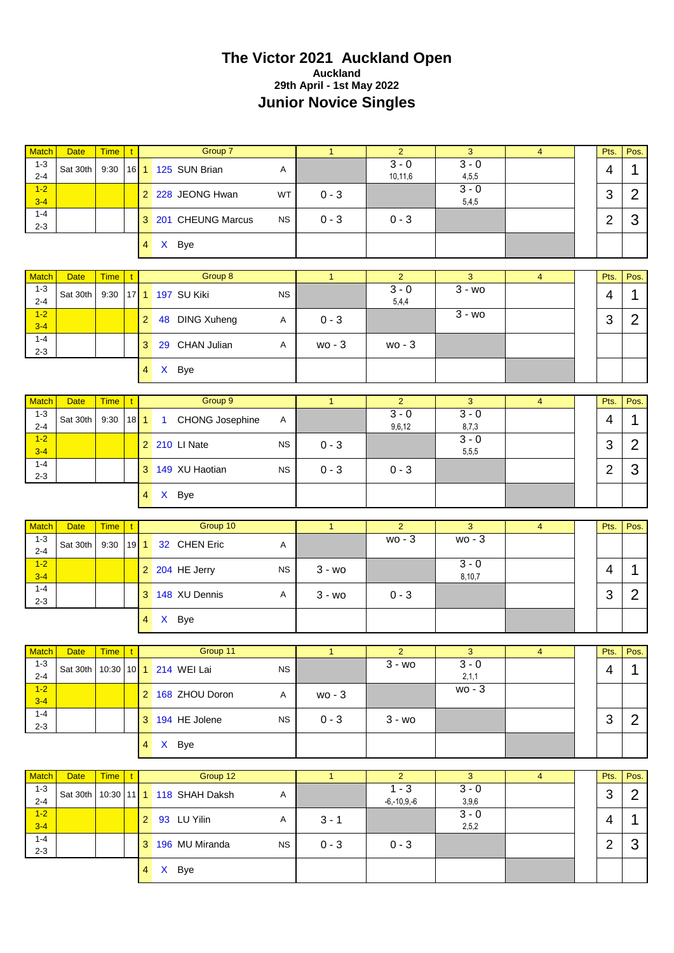#### **The Victor 2021 Auckland Open Auckland 29th April - 1st May 2022 Junior Novice Singles**

| <b>Match</b>            | <b>Date</b> | <b>Time</b> | t.           |                  |              | Group 7                   |           | $\mathbf{1}$   | $\overline{2}$             | 3                         | $\overline{4}$ | Pts.                     | Pos.           |
|-------------------------|-------------|-------------|--------------|------------------|--------------|---------------------------|-----------|----------------|----------------------------|---------------------------|----------------|--------------------------|----------------|
| $1 - 3$                 | Sat 30th    | 9:30        |              |                  |              | 16 1 125 SUN Brian        | Α         |                | $3 - 0$                    | $3 - 0$                   |                | 4                        |                |
| $2 - 4$                 |             |             |              |                  |              |                           |           |                | 10,11,6                    | 4,5,5                     |                |                          | 1              |
| $1-2$<br>$3 - 4$        |             |             |              |                  |              | 2 228 JEONG Hwan          | WT        | $0 - 3$        |                            | $3 - 0$<br>5,4,5          |                | 3                        | $\overline{2}$ |
| $1 - 4$<br>$2 - 3$      |             |             |              |                  |              | 3 201 CHEUNG Marcus       | <b>NS</b> | $0 - 3$        | $0 - 3$                    |                           |                | $\overline{2}$           | 3              |
|                         |             |             |              | $4 \overline{ }$ |              | X Bye                     |           |                |                            |                           |                |                          |                |
| <b>Match</b>            | Date        | <b>Time</b> | $\mathbf{t}$ |                  |              | Group 8                   |           | $\mathbf{1}$   | $\overline{2}$             | 3                         | $\overline{4}$ | Pts.                     | Pos.           |
| $1 - 3$                 | Sat 30th    |             |              |                  |              | 17 1 197 SU Kiki          | <b>NS</b> |                | $3 - 0$                    | $3 - w$                   |                | $\overline{\mathcal{A}}$ | 1              |
| $2 - 4$                 |             | 9:30        |              |                  |              |                           |           |                | 5,4,4                      |                           |                |                          |                |
| $1-2$<br>$3 - 4$        |             |             |              | $\overline{2}$   |              | 48 DING Xuheng            | Α         | $0 - 3$        |                            | $3 - w_0$                 |                | 3                        | $\overline{2}$ |
| $1 - 4$<br>$2 - 3$      |             |             |              | 3                |              | 29 CHAN Julian            | Α         | $wo - 3$       | $wo - 3$                   |                           |                |                          |                |
|                         |             |             |              | 4 <sup>1</sup>   |              | X Bye                     |           |                |                            |                           |                |                          |                |
| <b>Match</b>            | <b>Date</b> | <b>Time</b> | $\mathbf{t}$ |                  |              | Group 9                   |           | $\mathbf{1}$   | $\overline{2}$             | 3                         | $\overline{4}$ | Pts.                     | Pos.           |
| $1 - 3$                 | Sat 30th    | 9:30        | $18$ 1       |                  | $\mathbf{1}$ | CHONG Josephine           | Α         |                | $3 - 0$                    | $3 - 0$                   |                | $\overline{\mathcal{A}}$ | 1              |
| $2 - 4$                 |             |             |              |                  |              |                           |           |                | 9,6,12                     | 8,7,3                     |                |                          |                |
| $1 - 2$<br>$3 - 4$      |             |             |              |                  |              | 2 210 LI Nate             | <b>NS</b> | $0 - 3$        |                            | $3 - 0$<br>5,5,5          |                | 3                        | $\overline{2}$ |
| $1 - 4$<br>$2 - 3$      |             |             |              |                  |              | 3 149 XU Haotian          | <b>NS</b> | $0 - 3$        | $0 - 3$                    |                           |                | $\overline{2}$           | 3              |
|                         |             |             |              | 4 <sup>1</sup>   |              | X Bye                     |           |                |                            |                           |                |                          |                |
|                         |             |             |              |                  |              |                           |           |                |                            |                           |                |                          |                |
|                         |             |             |              |                  |              |                           |           |                |                            |                           |                |                          |                |
| <b>Match</b><br>$1 - 3$ | <b>Date</b> | <b>Time</b> | t            |                  |              | Group 10                  |           | $\mathbf{1}$   | $\overline{2}$<br>$wo - 3$ | $\mathbf{3}$<br>$wo - 3$  | 4              | Pts.                     | Pos.           |
| $2 - 4$                 | Sat 30th    | 9:30        | 19           | $\mathbf{1}$     |              | 32 CHEN Eric              | Α         |                |                            |                           |                |                          |                |
| $1-2$<br>$3 - 4$        |             |             |              |                  |              | 2 204 HE Jerry            | <b>NS</b> | $3 - w$ o      |                            | $3 - 0$<br>8,10,7         |                | 4                        | 1              |
| $1 - 4$<br>$2 - 3$      |             |             |              |                  |              | 3 148 XU Dennis           | Α         | $3 - w0$       | $0 - 3$                    |                           |                | 3                        | $\overline{2}$ |
|                         |             |             |              | 4 <sup>1</sup>   |              | X Bye                     |           |                |                            |                           |                |                          |                |
|                         |             |             |              |                  |              |                           |           |                |                            |                           |                |                          |                |
| Match<br>$1 - 3$        | <b>Date</b> | <b>Time</b> | $\mathbf{t}$ |                  |              | Group 11                  |           | $\overline{1}$ | $\overline{2}$<br>$3 - w0$ | $\overline{3}$<br>$3 - 0$ | $\overline{4}$ | Pts.                     | Pos.           |
| $2 - 4$<br>$1 - 2$      | Sat 30th    |             |              |                  |              | 10:30 10 1 214 WEI Lai    | <b>NS</b> |                |                            | 2,1,1<br>wo - 3           |                | $\overline{4}$           | $\mathbf 1$    |
| $3 - 4$                 |             |             |              |                  |              | 2 168 ZHOU Doron          | Α         | wo - 3         |                            |                           |                |                          |                |
| $1 - 4$<br>$2 - 3$      |             |             |              |                  |              | 3 194 HE Jolene           | <b>NS</b> | $0 - 3$        | $3 - w0$                   |                           |                | 3                        | $\overline{2}$ |
|                         |             |             |              |                  |              | 4 X Bye                   |           |                |                            |                           |                |                          |                |
| <b>Match</b>            | <b>Date</b> | <b>Time</b> | t.           |                  |              | Group 12                  |           | $\mathbf{1}$   | $\overline{2}$             | 3                         | $\overline{4}$ | Pts.                     | Pos.           |
| $1 - 3$<br>$2 - 4$      | Sat 30th    |             |              |                  |              | 10:30 11 1 118 SHAH Daksh | Α         |                | $1 - 3$                    | $3 - 0$<br>3,9,6          |                | 3                        | $\overline{2}$ |
| $1-2$<br>$3 - 4$        |             |             |              |                  |              | 2 93 LU Yilin             | Α         | $3 - 1$        | $-6,-10,9,-6$              | $3 - 0$                   |                | 4                        | 1              |
| $1 - 4$<br>$2 - 3$      |             |             |              |                  |              | 3 196 MU Miranda          | <b>NS</b> | $0 - 3$        | $0 - 3$                    | 2,5,2                     |                | $\overline{2}$           | 3              |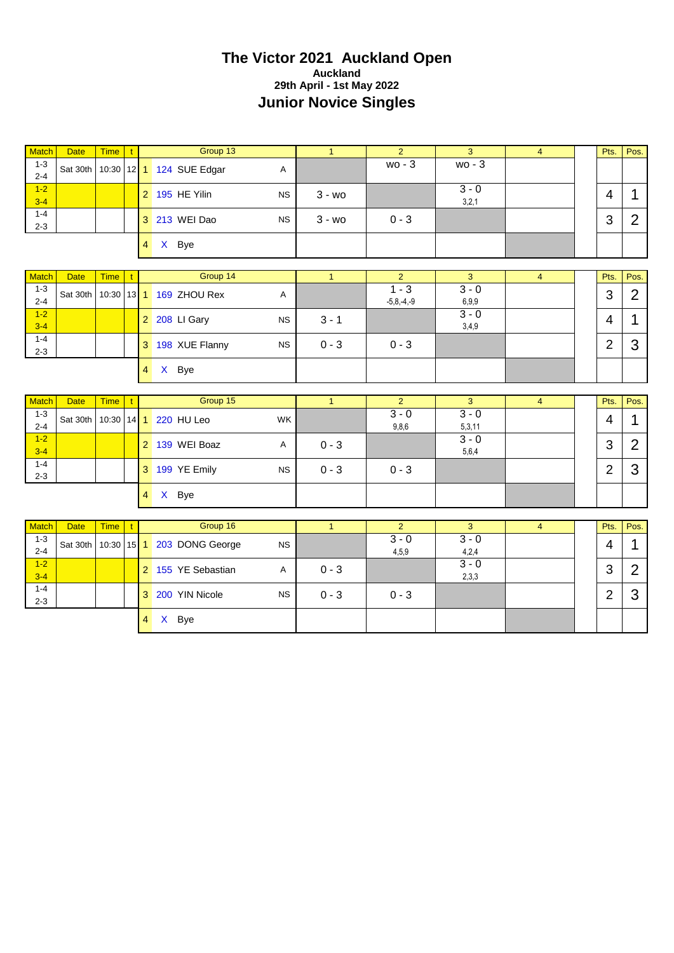#### **The Victor 2021 Auckland Open Auckland 29th April - 1st May 2022 Junior Novice Singles**

| <b>Match</b>                       | <b>Date</b>             | Time   t              |                        |                | Group 13                               |           | $\mathbf{1}$   | $\overline{2}$                      | 3                     | $\overline{4}$          | Pts.           | Pos.           |
|------------------------------------|-------------------------|-----------------------|------------------------|----------------|----------------------------------------|-----------|----------------|-------------------------------------|-----------------------|-------------------------|----------------|----------------|
| $1 - 3$<br>$2 - 4$                 | Sat 30th                |                       |                        |                | 10:30 12 1 124 SUE Edgar               | A         |                | wo - 3                              | $wo - 3$              |                         |                |                |
| $1-2$<br>$3 - 4$                   |                         |                       |                        |                | 2 195 HE Yilin                         | <b>NS</b> | $3 - w_0$      |                                     | $3 - 0$<br>3,2,1      |                         | $\overline{4}$ | 1              |
| $1 - 4$<br>$2 - 3$                 |                         |                       |                        |                | 3 213 WEI Dao                          | <b>NS</b> | $3 - w0$       | $0 - 3$                             |                       |                         | 3              | $\overline{2}$ |
|                                    |                         |                       |                        | 4 <sup>1</sup> | X Bye                                  |           |                |                                     |                       |                         |                |                |
| <b>Match</b>                       | <b>Date</b>             | <b>Time</b>           | $\mathbf{t}$           |                | Group 14                               |           | $\overline{1}$ | $\overline{2}$                      | $\overline{3}$        | $\overline{4}$          | Pts.           | Pos.           |
| $1 - 3$<br>$2 - 4$                 | Sat 30th   10:30        |                       |                        |                | 13 1 169 ZHOU Rex                      | Α         |                | $\overline{1-3}$<br>$-5, 8, -4, -9$ | $3 - 0$<br>6,9,9      |                         | 3              | $\overline{2}$ |
| $1 - 2$<br>$3-4$                   |                         |                       |                        |                | 2 208 LI Gary                          | <b>NS</b> | $3 - 1$        |                                     | $3 - 0$<br>3,4,9      |                         | 4              | 1              |
| $1 - 4$<br>$2 - 3$                 |                         |                       |                        |                | 3 198 XUE Flanny                       | <b>NS</b> | $0 - 3$        | $0 - 3$                             |                       |                         | $\overline{2}$ | 3              |
|                                    |                         |                       |                        | $\overline{4}$ | X Bye                                  |           |                |                                     |                       |                         |                |                |
|                                    |                         |                       |                        |                |                                        |           |                |                                     |                       |                         |                |                |
| <b>Match</b>                       | <b>Date</b>             | <b>Time</b>           | $\mathbf{t}$           |                | Group 15                               |           | $\mathbf{1}$   | $\overline{2}$                      | 3                     | $\overline{4}$          | Pts.           | Pos.           |
| $1 - 3$<br>$2 - 4$                 |                         |                       |                        |                | Sat 30th   10:30   14   1   220 HU Leo | WK        |                | $3 - 0$<br>9,8,6                    | $3 - 0$<br>5,3,11     |                         | 4              | 1              |
| $1-2$<br>$3 - 4$                   |                         |                       |                        |                | 2 139 WEI Boaz                         | Α         | $0 - 3$        |                                     | $3 - 0$<br>5,6,4      |                         | 3              | $\overline{2}$ |
| $1 - 4$<br>$2 - 3$                 |                         |                       |                        |                | 3 199 YE Emily                         | <b>NS</b> | $0 - 3$        | $0 - 3$                             |                       |                         | 2              | 3              |
|                                    |                         |                       |                        | $\overline{4}$ | X Bye                                  |           |                |                                     |                       |                         |                |                |
|                                    |                         |                       |                        |                |                                        |           |                |                                     |                       |                         |                |                |
| <b>Match</b><br>$1 - 3$<br>$2 - 4$ | <b>Date</b><br>Sat 30th | <b>Time</b><br> 10:30 | $\mathbf{t}$<br>$15$ 1 |                | Group 16<br>203 DONG George            | <b>NS</b> | $\overline{1}$ | $\overline{2}$<br>$3 - 0$<br>4,5,9  | 3<br>$3 - 0$<br>4,2,4 | $\overline{\mathbf{4}}$ | Pts.<br>4      | Pos.<br>1      |
| $1 - 2$<br>$3 - 4$                 |                         |                       |                        |                | 2 155 YE Sebastian                     | Α         | $0 - 3$        |                                     | $3 - 0$<br>2,3,3      |                         | 3              | $\overline{2}$ |
| $1 - 4$<br>$2 - 3$                 |                         |                       |                        |                | 3 200 YIN Nicole                       | <b>NS</b> | $0 - 3$        | $0 - 3$                             |                       |                         | $\overline{2}$ | 3              |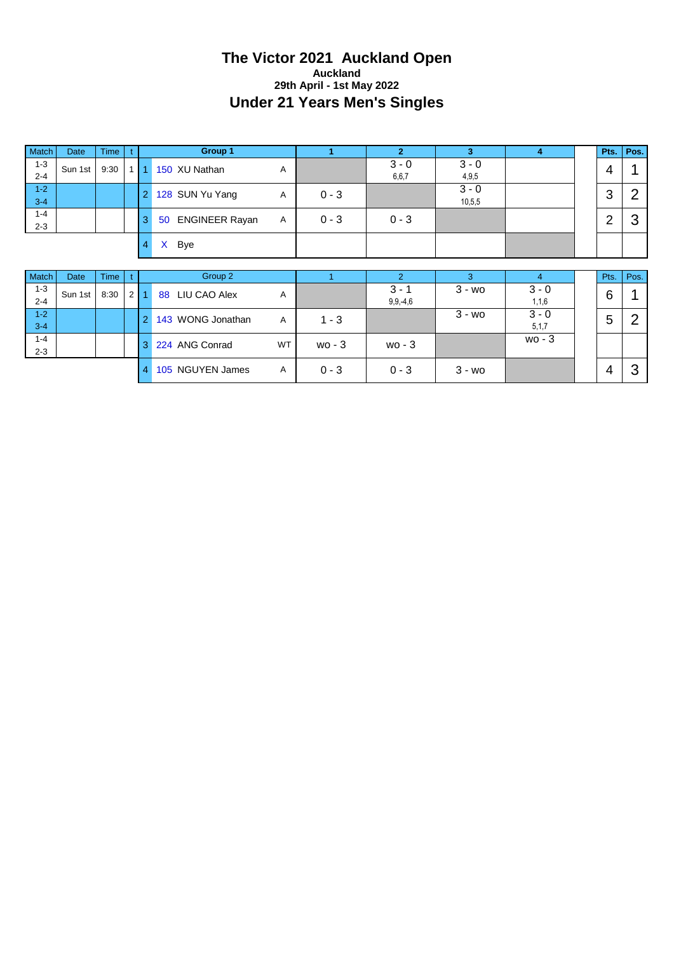#### **The Victor 2021 Auckland Open Auckland 29th April - 1st May 2022 Under 21 Years Men's Singles**

| Match              | <b>Date</b> | <b>Time</b> |                |                | <b>Group 1</b>              |           | 1        | $\overline{2}$           | 3                 | $\overline{4}$     | Pts.           | Pos. |
|--------------------|-------------|-------------|----------------|----------------|-----------------------------|-----------|----------|--------------------------|-------------------|--------------------|----------------|------|
| $1 - 3$<br>$2 - 4$ | Sun 1st     | 9:30        | 1              |                | 150 XU Nathan               | Α         |          | $3 - 0$<br>6,6,7         | $3 - 0$<br>4,9,5  |                    | 4              |      |
| $1 - 2$<br>$3 - 4$ |             |             |                | $\overline{2}$ | 128 SUN Yu Yang             | Α         | $0 - 3$  |                          | $3 - 0$<br>10,5,5 |                    | 3              | 2    |
| $1 - 4$<br>$2 - 3$ |             |             |                | 3              | <b>ENGINEER Rayan</b><br>50 | Α         | $0 - 3$  | $0 - 3$                  |                   |                    | $\overline{2}$ | 3    |
|                    |             |             |                | 4              | Bye<br>$\mathsf{X}$         |           |          |                          |                   |                    |                |      |
|                    |             |             |                |                |                             |           |          |                          |                   |                    |                |      |
|                    |             |             |                |                |                             |           |          |                          |                   |                    |                |      |
| Match              | Date        | <b>Time</b> |                |                | Group 2                     |           |          | $\overline{2}$           | 3                 | $\overline{4}$     | Pts.           | Pos. |
| $1 - 3$<br>$2 - 4$ | Sun 1st     | 8:30        | $\overline{2}$ |                | 88 LIU CAO Alex             | Α         |          | $3 - 1$<br>$9, 9, -4, 6$ | $3 - w$           | $3 - 0$<br>1,1,6   | 6              |      |
| $1 - 2$<br>$3 - 4$ |             |             |                | $\overline{2}$ | 143 WONG Jonathan           | Α         | $1 - 3$  |                          | $3 - w_0$         | $3 - 0$<br>5, 1, 7 | 5              | 2    |
| $1 - 4$<br>$2 - 3$ |             |             |                | 3              | 224 ANG Conrad              | <b>WT</b> | $wo - 3$ | $wo - 3$                 |                   | $wo - 3$           |                |      |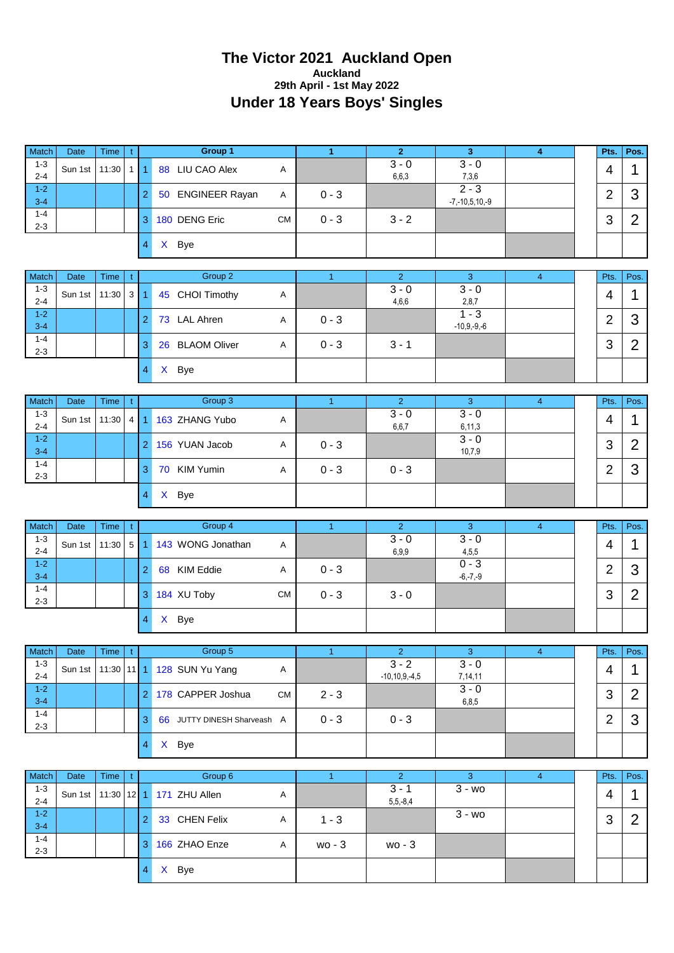#### **The Victor 2021 Auckland Open Auckland 29th April - 1st May 2022 Under 18 Years Boys' Singles**

| Match                         | Date    | Time         | $\mathbf{t}$    |                      | Group 1                     |              | $\mathbf{1}$         | 2 <sup>7</sup>            | 3                                        | $\overline{\mathbf{4}}$ | Pts.           | Pos.           |
|-------------------------------|---------|--------------|-----------------|----------------------|-----------------------------|--------------|----------------------|---------------------------|------------------------------------------|-------------------------|----------------|----------------|
| $1 - 3$<br>$2 - 4$            | Sun 1st | 11:30        | 1 <sup>1</sup>  | $\overline{1}$       | 88 LIU CAO Alex             | Α            |                      | $3 - 0$<br>6,6,3          | $3 - 0$<br>7,3,6                         |                         | 4              | 1              |
| $1 - 2$<br>$3 - 4$            |         |              |                 | $\overline{c}$       | 50 ENGINEER Rayan           | Α            | $0 - 3$              |                           | $\overline{2-3}$<br>$-7, -10, 5, 10, -9$ |                         | $\overline{2}$ | 3              |
| $1 - 4$<br>$2 - 3$            |         |              |                 | 3                    | 180 DENG Eric               | <b>CM</b>    | $0 - 3$              | $3 - 2$                   |                                          |                         | 3              | $\overline{2}$ |
|                               |         |              |                 | 4                    | X Bye                       |              |                      |                           |                                          |                         |                |                |
| Match                         | Date    | Time         | t               |                      | Group 2                     |              | $\overline{1}$       | 2 <sup>1</sup>            | 3                                        | $\overline{4}$          | Pts.           | Pos.           |
| $1 - 3$<br>$2 - 4$            | Sun 1st | 11:30        | $3 \mid$        | $\blacktriangleleft$ | 45 CHOI Timothy             | Α            |                      | $3 - 0$<br>4,6,6          | $3 - 0$<br>2,8,7                         |                         | 4              | $\mathbf 1$    |
| $1 - 2$<br>$3 - 4$            |         |              |                 | $\overline{2}$       | 73 LAL Ahren                | Α            | $0 - 3$              |                           | $1 - 3$<br>$-10,9,-9,-6$                 |                         | $\overline{2}$ | 3              |
| $1 - 4$<br>$2 - 3$            |         |              |                 | 3                    | 26 BLAOM Oliver             | Α            | $0 - 3$              | $3 - 1$                   |                                          |                         | 3              | $\overline{2}$ |
|                               |         |              |                 | $\overline{4}$       | X Bye                       |              |                      |                           |                                          |                         |                |                |
|                               |         |              |                 |                      |                             |              |                      |                           |                                          |                         |                |                |
| Match<br>$1 - 3$              | Date    | Time         | $\mathbf{t}$    |                      | Group 3                     |              | $\blacktriangleleft$ | $\overline{2}$<br>$3 - 0$ | 3<br>$3 - 0$                             | $\overline{4}$          | Pts.           | Pos.           |
| $2 - 4$<br>$1 - 2$            | Sun 1st | 11:30        | 4 <sup>1</sup>  | $\overline{1}$       | 163 ZHANG Yubo              | Α            |                      | 6,6,7                     | 6, 11, 3<br>$3 - 0$                      |                         | 4              | 1              |
| $3 - 4$                       |         |              |                 | $\overline{2}$       | 156 YUAN Jacob              | Α            | $0 - 3$              |                           | 10,7,9                                   |                         | 3              | $\overline{2}$ |
| $1 - 4$<br>$2 - 3$            |         |              |                 | 3                    | 70 KIM Yumin                | Α            | $0 - 3$              | $0 - 3$                   |                                          |                         | $\overline{2}$ | 3              |
|                               |         |              |                 | $\overline{4}$       | X Bye                       |              |                      |                           |                                          |                         |                |                |
|                               |         |              |                 |                      |                             |              |                      |                           |                                          |                         |                |                |
| Match                         | Date    | Time         | $\mathbf{t}$    |                      | Group 4                     |              | $\mathbf{1}$         | $\overline{2}$            | 3                                        | $\overline{4}$          | Pts.           | Pos.           |
| $1 - 3$<br>$2 - 4$            | Sun 1st | 11:30        | $5\phantom{.0}$ | 1                    | 143 WONG Jonathan           | Α            |                      | $3 - 0$<br>6,9,9          | $3 - 0$<br>4,5,5                         |                         | 4              | 1              |
| $1 - 2$<br>$3 - 4$            |         |              |                 | $\overline{2}$       | 68 KIM Eddie                | Α            | $0 - 3$              |                           | $0 - 3$<br>$-6, -7, -9$                  |                         | $\overline{2}$ | 3              |
| $1 - 4$<br>$2 - 3$            |         |              |                 | 3                    | 184 XU Toby                 | <b>CM</b>    | $0 - 3$              | $3 - 0$                   |                                          |                         | 3              | $\overline{2}$ |
|                               |         |              |                 | $\overline{4}$       | X Bye                       |              |                      |                           |                                          |                         |                |                |
|                               |         |              |                 |                      |                             |              |                      |                           |                                          |                         |                |                |
| Match<br>$1 - 3$              | Date    | Time         | $\mathbf{t}$    |                      | Group 5                     |              | $\mathbf{1}$         | $\overline{2}$<br>$3 - 2$ | 3<br>$3 - 0$                             | $\overline{4}$          | Pts.           | Pos.           |
| $2 - 4$                       | Sun 1st | $11:30$ 11 1 |                 |                      | 128 SUN Yu Yang             | A            |                      | $-10, 10, 9, -4, 5$       | 7,14,11                                  |                         | 4              | $\mathbf{1}$   |
| $1 - 2$<br>$3 - 4$            |         |              |                 | $\overline{2}$       | 178 CAPPER Joshua           | <b>CM</b>    | $2 - 3$              |                           | $3 - 0$<br>6,8,5                         |                         | 3              | $\overline{2}$ |
| $1 - 4$<br>$2 - 3$            |         |              |                 | 3                    | 66 JUTTY DINESH Sharveash A |              | $0 - 3$              | $0 - 3$                   |                                          |                         | $\overline{2}$ | 3              |
|                               |         |              |                 | $\overline{4}$       | X Bye                       |              |                      |                           |                                          |                         |                |                |
| Match                         | Date    | Time         | t               |                      | Group 6                     |              | $\overline{1}$       | 2 <sup>1</sup>            | 3                                        | $\overline{4}$          | Pts.           | Pos.           |
| $1 - 3$                       | Sun 1st | 11:30        | $12$ 1          |                      | 171 ZHU Allen               | $\mathsf{A}$ |                      | $3 - 1$                   | $3 - w0$                                 |                         | 4              | $\mathbf{1}$   |
| $2 - 4$<br>$1 - 2$<br>$3 - 4$ |         |              |                 | $\overline{2}$       | 33 CHEN Felix               | A            | $1 - 3$              | $5,5,-8,4$                | $3 - w0$                                 |                         | 3              | $\overline{2}$ |
| $1 - 4$<br>$2 - 3$            |         |              |                 | 3                    | 166 ZHAO Enze               | A            | wo - 3               | wo - 3                    |                                          |                         |                |                |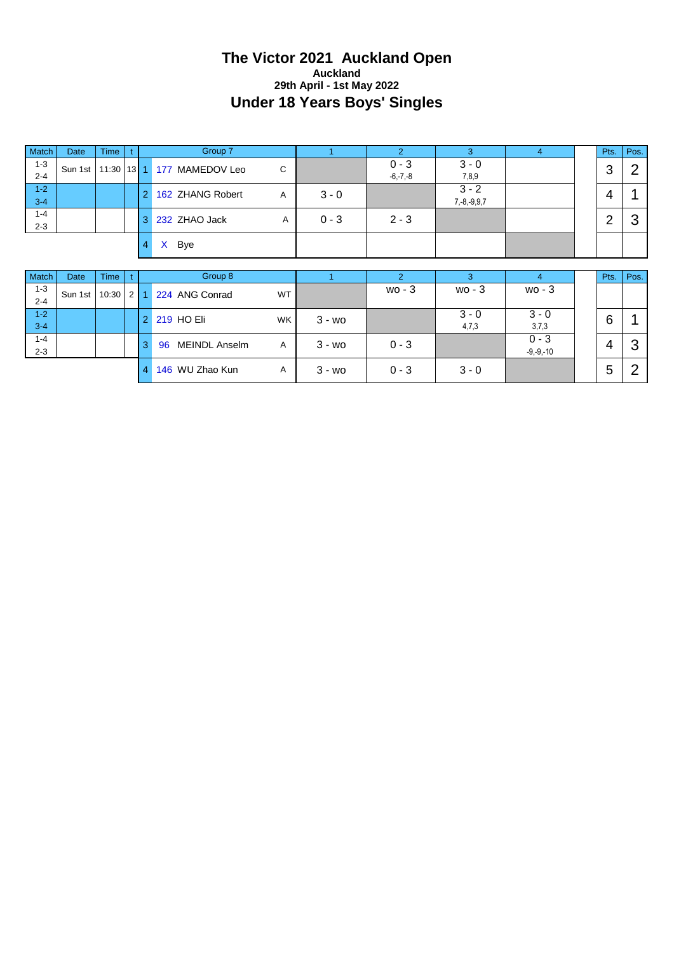#### **The Victor 2021 Auckland Open Auckland 29th April - 1st May 2022 Under 18 Years Boys' Singles**

| Match              | Date    | <b>Time</b> |     |                  | Group 7                                   |           |         | $\overline{2}$          | 3                        | $\overline{4}$ | Pts.   | Pos.           |
|--------------------|---------|-------------|-----|------------------|-------------------------------------------|-----------|---------|-------------------------|--------------------------|----------------|--------|----------------|
| $1 - 3$<br>$2 - 4$ | Sun 1st | 11:30       |     | $13 \mid 1 \mid$ | 177 MAMEDOV Leo                           | C         |         | $0 - 3$<br>$-6, -7, -8$ | $3 - 0$<br>7,8,9         |                | 3      | ⌒              |
| $1 - 2$<br>$3 - 4$ |         |             |     |                  | 162 ZHANG Robert                          | Α         | $3 - 0$ |                         | $3 - 2$<br>$7,-8,-9,9,7$ |                | 4      |                |
| $1 - 4$<br>$2 - 3$ |         |             |     | 3                | 232 ZHAO Jack                             | Α         | $0 - 3$ | $2 - 3$                 |                          |                | 2      | ◠<br>J         |
|                    |         |             |     |                  | $\mathsf{X}$<br>Bye                       |           |         |                         |                          |                |        |                |
|                    |         |             |     |                  |                                           |           |         |                         |                          |                |        |                |
| Match              | Date    | <b>Time</b> |     |                  | Group 8                                   |           |         | ာ                       |                          | 4              | Pts.   | Pos.           |
| $1 - 3$<br>$2 - 4$ | Sun 1st | 10:30       | 2 1 |                  | 224 ANG Conrad                            | <b>WT</b> |         | $wo - 3$                | $wo - 3$                 | $wo - 3$       |        |                |
| $1 - 2$            |         |             |     |                  | $\sim$ $\sim$ $\sim$ $\sim$ $\sim$ $\sim$ | . 1       |         |                         | $3 - 0$                  | $3 - 0$        | $\sim$ | $\overline{A}$ |

| $1 - 2$<br>$3 - 4$ |  |              | 2 219 HO Eli               | <b>WK</b> | $3 - w$ |         | $3 - 0$<br>4,7,3 | $3 - 0$<br>3,7,3         | c<br>U |        |
|--------------------|--|--------------|----------------------------|-----------|---------|---------|------------------|--------------------------|--------|--------|
| $1 - 4$<br>$2 - 3$ |  | 3            | <b>MEINDL Anselm</b><br>96 | Α         | $3 - w$ | $0 - 3$ |                  | $0 - 3$<br>$-9, -9, -10$ | 4      | ⌒<br>ັ |
|                    |  | $\mathbf{A}$ | 146 WU Zhao Kun            |           | $3 - w$ | $0 - 3$ | $3 - 0$          |                          | -<br>ັ |        |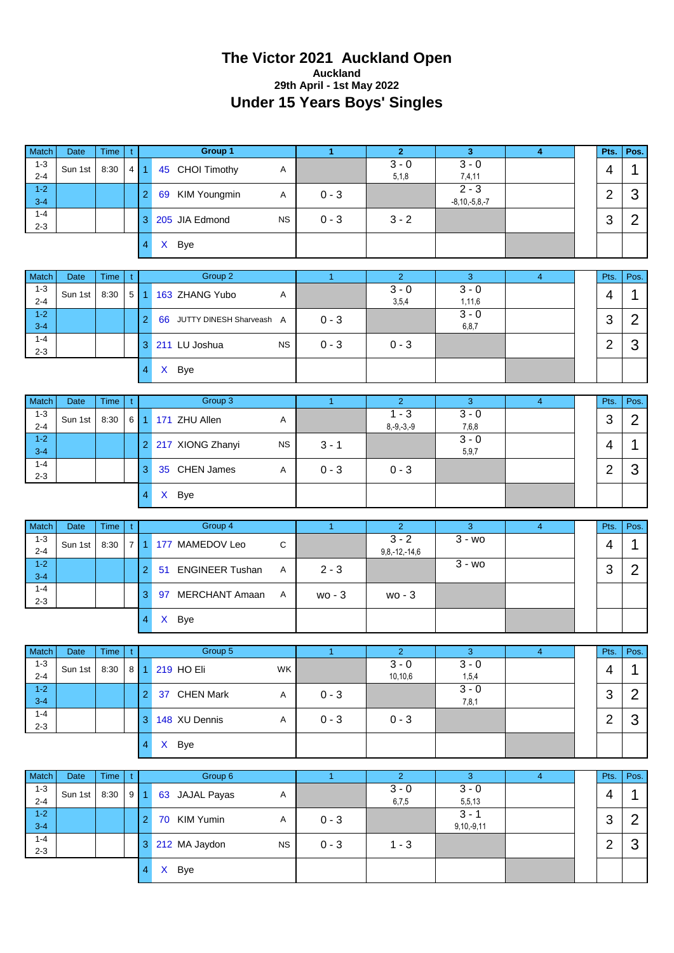#### **The Victor 2021 Auckland Open Auckland 29th April - 1st May 2022 Under 15 Years Boys' Singles**

| Match                         | <b>Date</b>     | Time         | $\mathbf{t}$   |                         | <b>Group 1</b>              |             | $\blacktriangleleft$ | $\mathbf{2}$              | 3                              | 4              | Pts.           | Pos.           |
|-------------------------------|-----------------|--------------|----------------|-------------------------|-----------------------------|-------------|----------------------|---------------------------|--------------------------------|----------------|----------------|----------------|
| $1 - 3$<br>$2 - 4$            | Sun 1st         | 8:30         | 4 <sup>1</sup> | $\overline{1}$          | 45 CHOI Timothy             | A           |                      | $3 - 0$<br>5,1,8          | $3 - 0$<br>7,4,11              |                | 4              | 1              |
| $1 - 2$<br>$3 - 4$            |                 |              |                | $\overline{2}$          | 69 KIM Youngmin             | A           | $0 - 3$              |                           | $2 - 3$<br>$-8, 10, -5, 8, -7$ |                | $\overline{2}$ | 3              |
| $1 - 4$<br>$2 - 3$            |                 |              |                | 3                       | 205 JIA Edmond              | <b>NS</b>   | $0 - 3$              | $3 - 2$                   |                                |                | 3              | $\overline{2}$ |
|                               |                 |              |                | 4                       | X Bye                       |             |                      |                           |                                |                |                |                |
| Match                         | Date            | Time         | $\mathfrak{t}$ |                         | Group 2                     |             | $\overline{1}$       | $\overline{2}$            | 3                              | $\overline{4}$ | Pts.           | Pos.           |
| $1 - 3$                       | Sun 1st         | 8:30         | $\overline{5}$ | -1                      | 163 ZHANG Yubo              | Α           |                      | $3 - 0$                   | $3 - 0$                        |                | 4              | 1              |
| $2 - 4$<br>$1 - 2$<br>$3 - 4$ |                 |              |                | $\overline{2}$          | 66 JUTTY DINESH Sharveash A |             | $0 - 3$              | 3,5,4                     | 1, 11, 6<br>$3 - 0$            |                | 3              | $\overline{2}$ |
| $1 - 4$<br>$2 - 3$            |                 |              |                |                         | 3 211 LU Joshua             | <b>NS</b>   | $0 - 3$              | $0 - 3$                   | 6,8,7                          |                | $\overline{2}$ | 3              |
|                               |                 |              |                | $\overline{\mathbf{4}}$ | X Bye                       |             |                      |                           |                                |                |                |                |
|                               |                 |              |                |                         |                             |             |                      |                           |                                |                |                |                |
| Match<br>$1 - 3$              | Date            | <b>Time</b>  | $\mathbf{t}$   |                         | Group 3                     |             | $\overline{1}$       | $\overline{2}$<br>$1 - 3$ | $\overline{3}$<br>$3 - 0$      | $\overline{4}$ | Pts.           | Pos.           |
| $2 - 4$                       | Sun 1st         | 8:30         | 6 <sup>1</sup> | $\overline{1}$          | 171 ZHU Allen               | Α           |                      | $8, -9, -3, -9$           | 7,6,8                          |                | 3              | $\overline{2}$ |
| $1 - 2$<br>$3 - 4$            |                 |              |                |                         | 2 217 XIONG Zhanyi          | <b>NS</b>   | $3 - 1$              |                           | $3 - 0$<br>5,9,7               |                | 4              | 1              |
| $1 - 4$<br>$2 - 3$            |                 |              |                | 3                       | 35 CHEN James               | A           | $0 - 3$              | $0 - 3$                   |                                |                | $\overline{2}$ | 3              |
|                               |                 |              |                | 4                       | X Bye                       |             |                      |                           |                                |                |                |                |
|                               |                 |              |                |                         |                             |             |                      |                           |                                |                |                |                |
| Match                         | Date            | <b>Time</b>  | t.             |                         | Group 4                     |             | $\mathbf{1}$         | 2 <sup>1</sup>            | 3                              | $\overline{4}$ | Pts.           | Pos.           |
| $1 - 3$<br>$2 - 4$            | Sun 1st         | 8:30         | $\overline{7}$ | 1                       | 177 MAMEDOV Leo             | С           |                      | $3 - 2$                   | $\overline{3}$ - wo            |                | 4              | 1              |
| $1 - 2$                       |                 |              |                | $\overline{2}$          | 51 ENGINEER Tushan          | A           | $2 - 3$              | $9,8,-12,-14,6$           | $3 - w$ o                      |                | 3              | $\overline{2}$ |
| $3 - 4$<br>$1 - 4$            |                 |              |                | 3                       | 97 MERCHANT Amaan           | Α           | $wo - 3$             | $wo - 3$                  |                                |                |                |                |
| $2 - 3$                       |                 |              |                | 4                       | X Bye                       |             |                      |                           |                                |                |                |                |
|                               |                 |              |                |                         |                             |             |                      |                           |                                |                |                |                |
| Match                         | Date            | Time         | t              |                         | Group 5                     |             | $\overline{1}$       | $\overline{2}$            | 3                              | $\overline{4}$ | Pts.           | Pos.           |
| $1 - 3$<br>$2 - 4$            | Sun 1st         | 8:30         | 8 <sup>1</sup> | $\blacktriangleleft$    | 219 HO Eli                  | WK          |                      | $3 - 0$<br>10,10,6        | $3 - 0$<br>1,5,4               |                | 4              | 1              |
| $1 - 2$<br>$3 - 4$            |                 |              |                | $\overline{c}$          | 37 CHEN Mark                | A           | $0 - 3$              |                           | $3 - 0$<br>7,8,1               |                | 3              | $\overline{2}$ |
| $1 - 4$<br>$2 - 3$            |                 |              |                | 3                       | 148 XU Dennis               | A           | $0 - 3$              | $0 - 3$                   |                                |                | $\overline{2}$ | 3              |
|                               |                 |              |                | $\overline{\mathbf{4}}$ | X Bye                       |             |                      |                           |                                |                |                |                |
|                               |                 |              | t              |                         |                             |             | $\mathbf{1}$         | $\overline{2}$            | 3                              |                |                | Pos.           |
| Match<br>$1 - 3$              | Date<br>Sun 1st | Time<br>8:30 | 9              | 1                       | Group 6<br>63 JAJAL Payas   | Α           |                      | $3 - 0$                   | $3 - 0$                        | $\overline{4}$ | Pts.<br>4      | 1              |
| $2 - 4$<br>$1-2$              |                 |              |                | $\overline{2}$          | 70 KIM Yumin                | A           | $0 - 3$              | 6,7,5                     | 5,5,13<br>$3 - 1$              |                | 3              | $\overline{2}$ |
| $3 - 4$<br>$1 - 4$<br>$2 - 3$ |                 |              |                |                         | 3 212 MA Jaydon             | $_{\rm NS}$ | $0 - 3$              | $1 - 3$                   | $9, 10, -9, 11$                |                | $\overline{2}$ | 3              |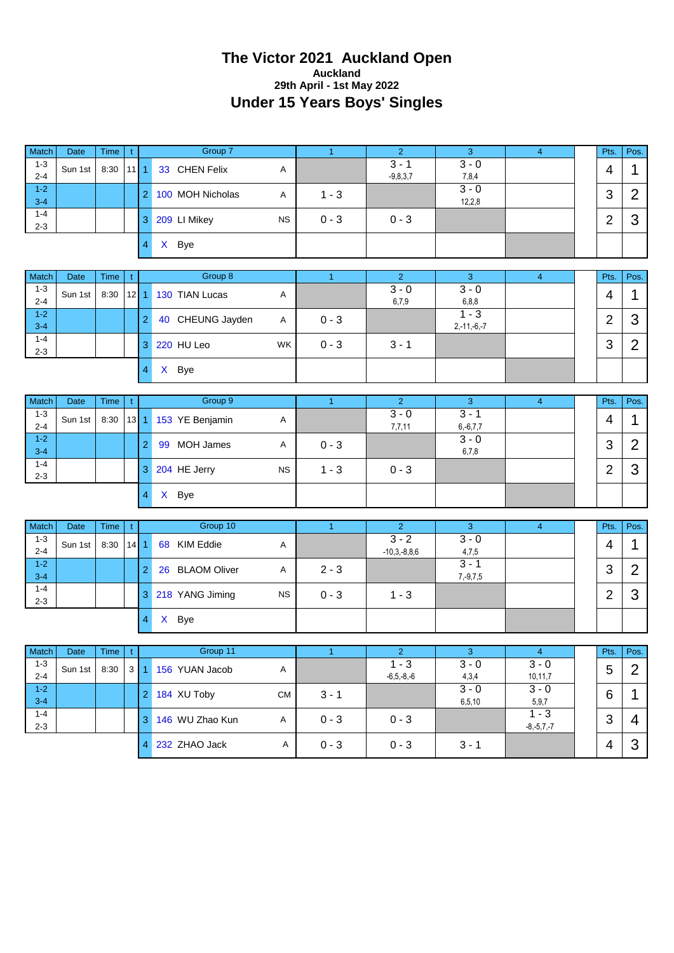#### **The Victor 2021 Auckland Open Auckland 29th April - 1st May 2022 Under 15 Years Boys' Singles**

| Match              | Date        | <b>Time</b> | t.           |                | Group 7          |           | $\mathbf{1}$ | $\overline{2}$             | $\mathbf{3}$             | $\overline{4}$             | Pts.           | Pos.           |
|--------------------|-------------|-------------|--------------|----------------|------------------|-----------|--------------|----------------------------|--------------------------|----------------------------|----------------|----------------|
| $1 - 3$<br>$2 - 4$ | Sun 1st     | 8:30        | $11$ 1       |                | 33 CHEN Felix    | Α         |              | $3 - 1$<br>$-9,8,3,7$      | $3 - 0$<br>7,8,4         |                            | 4              | 1              |
| $1 - 2$<br>$3 - 4$ |             |             |              | $\overline{2}$ | 100 MOH Nicholas | Α         | $1 - 3$      |                            | $3 - 0$<br>12,2,8        |                            | 3              | $\overline{2}$ |
| $1 - 4$<br>$2 - 3$ |             |             |              | 3 <sup>1</sup> | 209 LI Mikey     | NS        | $0 - 3$      | $0 - 3$                    |                          |                            | $\overline{2}$ | 3              |
|                    |             |             |              | $\overline{4}$ | X Bye            |           |              |                            |                          |                            |                |                |
|                    |             |             |              |                |                  |           |              |                            |                          |                            |                |                |
| Match              | <b>Date</b> | Time        | t            |                | Group 8          |           | $\mathbf{1}$ | $\overline{2}$             | 3                        | $\overline{4}$             | Pts.           | Pos.           |
| $1 - 3$<br>$2 - 4$ | Sun 1st     | 8:30        | $12$   1     |                | 130 TIAN Lucas   | Α         |              | $3 - 0$<br>6,7,9           | $3 - 0$<br>6,8,8         |                            | 4              | 1              |
| $1 - 2$<br>$3 - 4$ |             |             |              | $\overline{2}$ | 40 CHEUNG Jayden | A         | $0 - 3$      |                            | $1 - 3$<br>$2,-11,-6,-7$ |                            | $\overline{2}$ | 3              |
| $1 - 4$<br>$2 - 3$ |             |             |              | 3              | 220 HU Leo       | <b>WK</b> | $0 - 3$      | $3 - 1$                    |                          |                            | 3              | $\overline{2}$ |
|                    |             |             |              | $\overline{4}$ | X Bye            |           |              |                            |                          |                            |                |                |
|                    |             |             |              |                |                  |           |              |                            |                          |                            |                |                |
| Match              | <b>Date</b> | Time        | t.           |                | Group 9          |           | $\mathbf{1}$ | $\overline{2}$             | 3                        | $\overline{4}$             | Pts.           | Pos.           |
| $1 - 3$<br>$2 - 4$ | Sun 1st     | 8:30        | $13$ 1       |                | 153 YE Benjamin  | Α         |              | $3 - 0$<br>7,7,11          | $3 - 1$<br>$6,-6,7,7$    |                            | $\overline{4}$ | 1              |
| $1 - 2$<br>$3 - 4$ |             |             |              | $\overline{2}$ | 99 MOH James     | Α         | $0 - 3$      |                            | $3 - 0$<br>6,7,8         |                            | 3              | $\overline{2}$ |
| $1 - 4$<br>$2 - 3$ |             |             |              | 3 <sup>1</sup> | 204 HE Jerry     | <b>NS</b> | $1 - 3$      | $0 - 3$                    |                          |                            | $\overline{2}$ | 3              |
|                    |             |             |              | $\overline{4}$ | X Bye            |           |              |                            |                          |                            |                |                |
|                    |             |             |              |                |                  |           |              |                            |                          |                            |                |                |
| Match              | <b>Date</b> | <b>Time</b> | t.           |                | Group 10         |           | $\mathbf{1}$ | $\overline{2}$             | $\mathbf{3}$             | $\overline{4}$             | Pts.           | Pos.           |
| $1 - 3$<br>$2 - 4$ | Sun 1st     | 8:30        | $14$ 1       |                | 68 KIM Eddie     | A         |              | $3 - 2$<br>$-10,3,-8,8,6$  | $3 - 0$<br>4,7,5         |                            | 4              | 1              |
| $1 - 2$<br>$3 - 4$ |             |             |              | $\overline{2}$ | 26 BLAOM Oliver  | Α         | $2 - 3$      |                            | $3 - 1$<br>$7, -9, 7, 5$ |                            | 3              | $\overline{2}$ |
| $1 - 4$<br>$2 - 3$ |             |             |              | 3 <sup>2</sup> | 218 YANG Jiming  | <b>NS</b> | $0 - 3$      | $1 - 3$                    |                          |                            | $\overline{2}$ | 3              |
|                    |             |             |              | $\overline{4}$ | X Bye            |           |              |                            |                          |                            |                |                |
|                    |             |             |              |                |                  |           |              |                            |                          |                            |                |                |
| Match              | Date        | Time        | t            |                | Group 11         |           | $\mathbf{1}$ | $\overline{2}$             | $\overline{3}$           | $\overline{4}$             | Pts.           | Pos.           |
| $1 - 3$<br>$2 - 4$ | Sun 1st     | 8:30        | $\mathbf{3}$ |                | 156 YUAN Jacob   | A         |              | $1 - 3$<br>$-6, 5, -8, -6$ | $3 - 0$<br>4,3,4         | $3 - 0$<br>10,11,7         | 5              | $\overline{2}$ |
| $1 - 2$<br>$3-4$   |             |             |              | $\overline{2}$ | 184 XU Toby      | <b>CM</b> | $3 - 1$      |                            | $3 - 0$<br>6, 5, 10      | $3 - 0$<br>5, 9, 7         | 6              | $\mathbf 1$    |
| $1 - 4$<br>$2 - 3$ |             |             |              | 3              | 146 WU Zhao Kun  | A         | $0 - 3$      | $0 - 3$                    |                          | $1 - 3$<br>$-8, -5, 7, -7$ | 3              | 4              |
|                    |             |             |              | $\overline{4}$ | 232 ZHAO Jack    | A         | $0 - 3$      | $0 - 3$                    | $3 - 1$                  |                            | 4              | $\mathfrak{S}$ |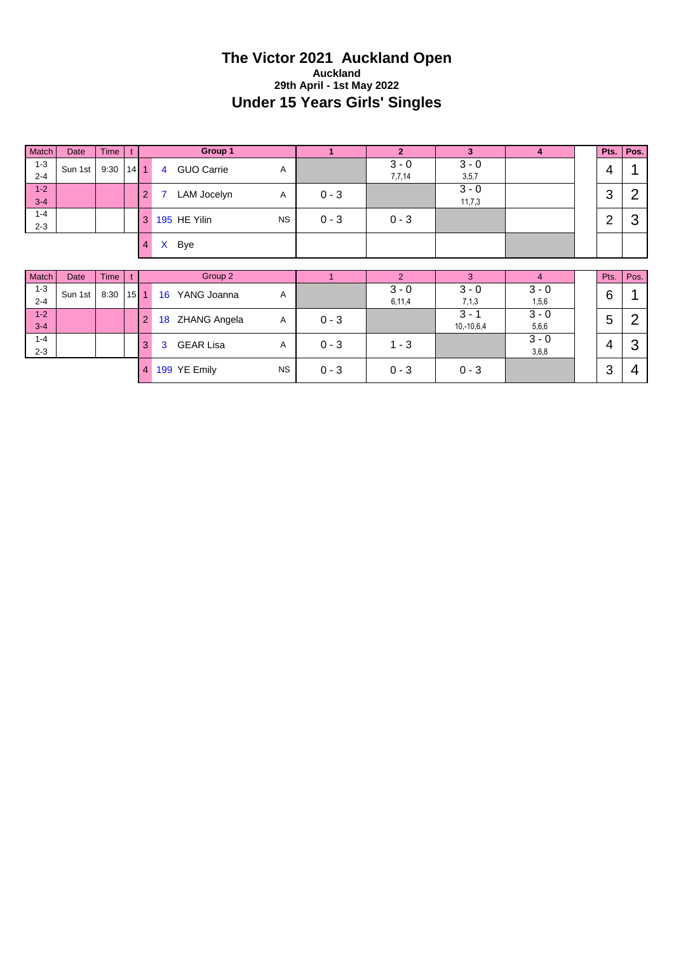#### **The Victor 2021 Auckland Open Auckland 29th April - 1st May 2022 Under 15 Years Girls' Singles**

| Match              | Date    | <b>Time</b> |          |                |                | Group 1             |           | $\mathbf{1}$ | $\overline{2}$    | 3                       | $\overline{\mathbf{4}}$ | Pts.           | Pos.           |
|--------------------|---------|-------------|----------|----------------|----------------|---------------------|-----------|--------------|-------------------|-------------------------|-------------------------|----------------|----------------|
| $1 - 3$<br>$2 - 4$ | Sun 1st | 9:30        | $14$ 1   |                | $\overline{4}$ | <b>GUO Carrie</b>   | Α         |              | $3 - 0$<br>7,7,14 | $3 - 0$<br>3,5,7        |                         | 4              |                |
| $1 - 2$<br>$3 - 4$ |         |             |          | $\overline{2}$ | 7              | LAM Jocelyn         | Α         | $0 - 3$      |                   | $3 - 0$<br>11,7,3       |                         | $\mathfrak{B}$ | $\overline{2}$ |
| $1 - 4$<br>$2 - 3$ |         |             |          | 3              |                | 195 HE Yilin        | <b>NS</b> | $0 - 3$      | $0 - 3$           |                         |                         | $\overline{2}$ | 3              |
|                    |         |             |          | $\overline{4}$ | $\mathsf{X}$   | <b>Bye</b>          |           |              |                   |                         |                         |                |                |
|                    |         |             |          |                |                |                     |           |              |                   |                         |                         |                |                |
| Match              | Date    | <b>Time</b> |          |                |                | Group 2             |           |              | $\overline{2}$    | 3                       | $\overline{4}$          | Pts.           | Pos.           |
| $1 - 3$<br>$2 - 4$ | Sun 1st | 8:30        | $15$   1 |                | 16             | YANG Joanna         | Α         |              | $3 - 0$<br>6,11,4 | $3 - 0$<br>7,1,3        | $3 - 0$<br>1,5,6        | 6              |                |
| $1 - 2$<br>$3 - 4$ |         |             |          | $\overline{2}$ | 18             | <b>ZHANG Angela</b> | Α         | $0 - 3$      |                   | $3 - 1$<br>$10,-10,6,4$ | $3 - 0$<br>5,6,6        | 5              | $\overline{2}$ |
| $1 - 4$<br>$2 - 3$ |         |             |          | 3              | 3              | <b>GEAR Lisa</b>    | Α         | $0 - 3$      | $1 - 3$           |                         | $3 - 0$<br>3,6,8        | $\overline{4}$ | 3              |
|                    |         |             |          | 4              |                | 199 YE Emily        | <b>NS</b> | $0 - 3$      | $0 - 3$           | $0 - 3$                 |                         | 3              | 4              |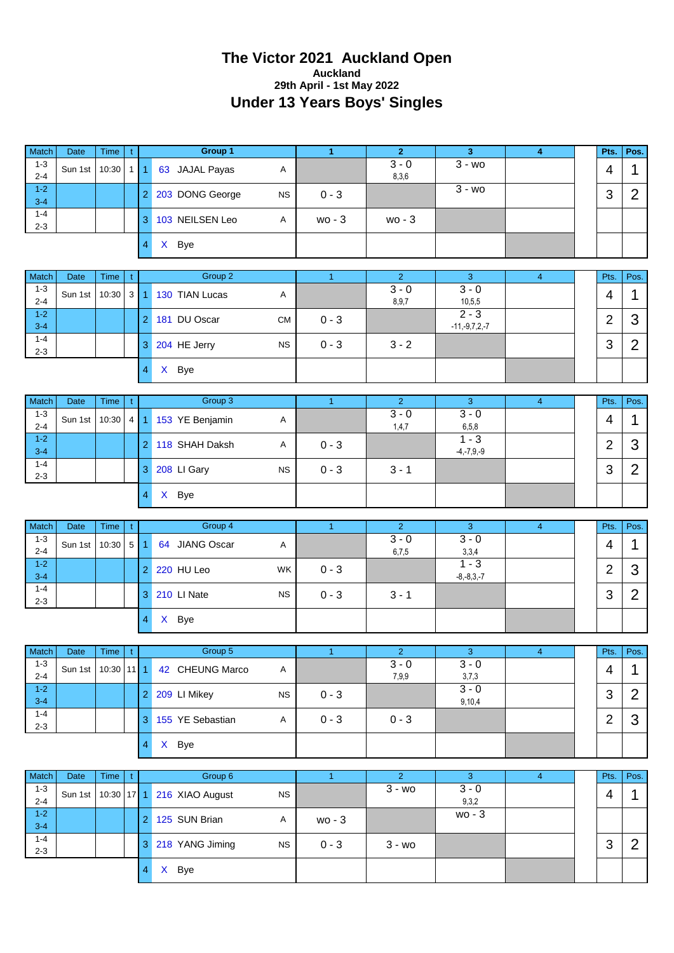#### **The Victor 2021 Auckland Open Auckland 29th April - 1st May 2022 Under 13 Years Boys' Singles**

| Match                         | Date            | Time                 | t              |                          | Group 1                    |              | $\mathbf{1}$   | $\overline{2}$              | $\mathbf{3}$               | $\overline{\bf 4}$ | Pts.           | Pos.                |
|-------------------------------|-----------------|----------------------|----------------|--------------------------|----------------------------|--------------|----------------|-----------------------------|----------------------------|--------------------|----------------|---------------------|
| $1 - 3$<br>$2 - 4$            | Sun 1st         | 10:30                | $1$   1        |                          | 63 JAJAL Payas             | Α            |                | $3 - 0$<br>8,3,6            | $3 - w_0$                  |                    | 4              | $\mathbf{1}$        |
| $1 - 2$<br>$3 - 4$            |                 |                      |                | $\overline{2}$           | 203 DONG George            | <b>NS</b>    | $0 - 3$        |                             | $\overline{3}$ - wo        |                    | 3              | $\overline{2}$      |
| $1 - 4$<br>$2 - 3$            |                 |                      |                | 3                        | 103 NEILSEN Leo            | A            | $wo - 3$       | wo - 3                      |                            |                    |                |                     |
|                               |                 |                      |                | $\overline{\mathbf{4}}$  | X Bye                      |              |                |                             |                            |                    |                |                     |
| Match                         | Date            |                      |                |                          | Group 2                    |              |                | 2 <sup>1</sup>              |                            |                    |                |                     |
| $1 - 3$                       |                 | Time                 | t              |                          |                            |              | $\mathbf{1}$   | $3 - 0$                     | 3<br>$3 - 0$               | $\overline{4}$     | Pts.           | Pos.                |
| $2 - 4$<br>$1 - 2$            | Sun 1st         | 10:30                | $\mathbf{3}$   | 1                        | 130 TIAN Lucas             | Α            |                | 8,9,7                       | 10, 5, 5<br>$2 - 3$        |                    | 4              | 1                   |
| $3 - 4$<br>$1 - 4$            |                 |                      |                | $\overline{2}$           | 181 DU Oscar               | <b>CM</b>    | $0 - 3$        |                             | $-11,-9,7,2,-7$            |                    | $\overline{2}$ | 3                   |
| $2 - 3$                       |                 |                      |                | 3                        | 204 HE Jerry               | <b>NS</b>    | $0 - 3$        | $3 - 2$                     |                            |                    | 3              | $\overline{2}$      |
|                               |                 |                      |                | $\overline{4}$           | X Bye                      |              |                |                             |                            |                    |                |                     |
| Match                         | Date            | Time                 | t              |                          | Group 3                    |              | $\overline{1}$ | 2 <sup>1</sup>              | 3                          | $\overline{4}$     | Pts.           | Pos.                |
| $1 - 3$<br>$2 - 4$            | Sun 1st         | 10:30                | 4 <sup>1</sup> | $\mathbf{1}$             | 153 YE Benjamin            | $\mathsf{A}$ |                | $3 - 0$<br>1,4,7            | $3 - 0$<br>6,5,8           |                    | 4              | 1                   |
| $1 - 2$<br>$3 - 4$            |                 |                      |                | $\overline{2}$           | 118 SHAH Daksh             | Α            | $0 - 3$        |                             | $1 - 3$                    |                    | $\overline{2}$ | 3                   |
| $1 - 4$                       |                 |                      |                |                          | 3 208 LI Gary              | <b>NS</b>    | $0 - 3$        | $3 - 1$                     | $-4, -7, 9, -9$            |                    | 3              | $\overline{2}$      |
| $2 - 3$                       |                 |                      |                | $\overline{4}$           | X Bye                      |              |                |                             |                            |                    |                |                     |
|                               |                 |                      |                |                          |                            |              |                |                             |                            |                    |                |                     |
|                               |                 |                      |                |                          |                            |              |                |                             |                            |                    |                |                     |
| Match                         | <b>Date</b>     | Time                 | $\mathfrak{t}$ |                          | Group 4                    |              | $\mathbf{1}$   | $\overline{2}$              | 3                          | $\overline{4}$     | Pts.           | Pos.                |
| $1 - 3$<br>$2 - 4$            | Sun 1st         | 10:30                | 5 1            |                          | 64 JIANG Oscar             | A            |                | $3 - 0$<br>6,7,5            | $3 - 0$<br>3,3,4           |                    | 4              | 1                   |
| $1-2$<br>$3 - 4$              |                 |                      |                | $\overline{2}$           | 220 HU Leo                 | <b>WK</b>    | $0 - 3$        |                             | $1 - 3$<br>$-8, -8, 3, -7$ |                    | $\overline{2}$ | 3                   |
| $1 - 4$<br>$2 - 3$            |                 |                      |                | 3                        | 210 LI Nate                | <b>NS</b>    | $0 - 3$        | $3 - 1$                     |                            |                    | 3              | $\overline{2}$      |
|                               |                 |                      |                | 4                        | X Bye                      |              |                |                             |                            |                    |                |                     |
|                               |                 |                      |                |                          |                            |              |                |                             |                            |                    |                |                     |
| Match                         | Date            | Time                 | $\mathfrak{t}$ |                          | Group 5                    |              | $\mathbf{1}$   | $\overline{2}$              | $\overline{3}$             | $\overline{4}$     | Pts.           | Pos.                |
| $1 - 3$<br>$2 - 4$            | Sun 1st         | 10:30                | $11$ 1         |                          | 42 CHEUNG Marco            | A            |                | $3 - 0$<br>7,9,9            | $3 - 0$<br>3,7,3           |                    | 4              | $\mathbf 1$         |
| $1 - 2$<br>$3 - 4$            |                 |                      |                | $\overline{2}$           | 209 LI Mikey               | ${\sf NS}$   | $0 - 3$        |                             | $3 - 0$<br>9,10,4          |                    | 3              | $\overline{2}$      |
| $1 - 4$<br>$2 - 3$            |                 |                      |                | 3                        | 155 YE Sebastian           | A            | $0 - 3$        | $0 - 3$                     |                            |                    | $\overline{2}$ | 3                   |
|                               |                 |                      |                | $\overline{\mathcal{A}}$ | X Bye                      |              |                |                             |                            |                    |                |                     |
|                               |                 |                      |                |                          |                            |              |                |                             |                            |                    |                |                     |
| Match<br>$1 - 3$              | Date<br>Sun 1st | Time<br>$10:30$ 17 1 | $\mathbf{t}$   |                          | Group 6<br>216 XIAO August | <b>NS</b>    | $\bullet$      | $\overline{2}$<br>$3 - w_0$ | 3<br>$3 - 0$               | $\overline{4}$     | Pts.<br>4      | Pos.<br>$\mathbf 1$ |
| $2 - 4$<br>$1 - 2$            |                 |                      |                | $\overline{2}$           | 125 SUN Brian              | Α            | wo - 3         |                             | 9,3,2<br>$wo - 3$          |                    |                |                     |
| $3 - 4$<br>$1 - 4$<br>$2 - 3$ |                 |                      |                | $\mathbf{3}$             | 218 YANG Jiming            | <b>NS</b>    | $0 - 3$        | $3 - w_0$                   |                            |                    | 3              | $\overline{2}$      |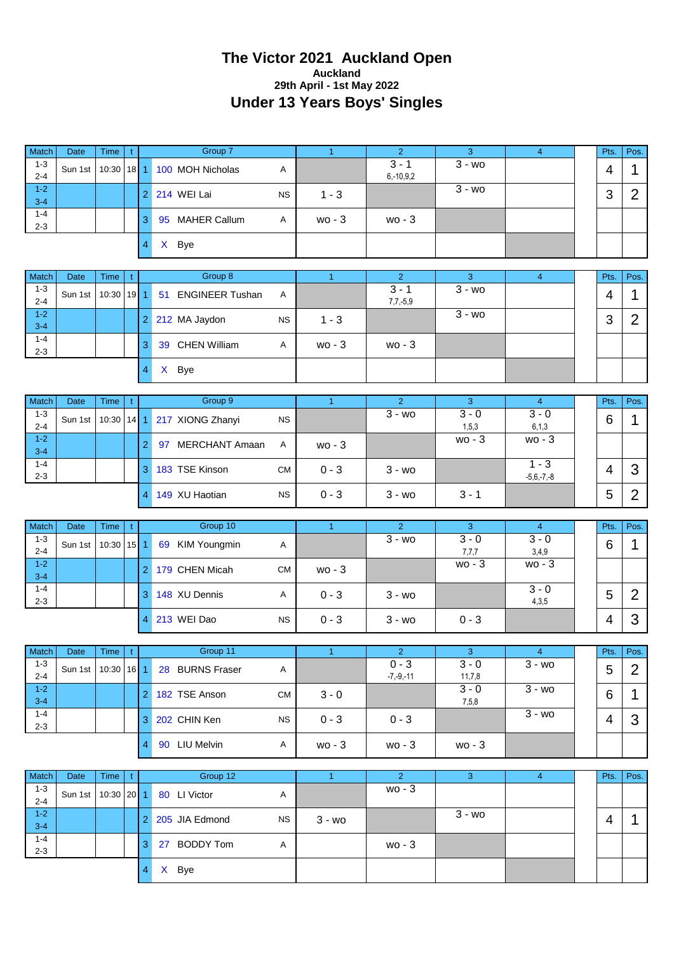#### **The Victor 2021 Auckland Open Auckland 29th April - 1st May 2022 Under 13 Years Boys' Singles**

| Match                         | <b>Date</b>     | <b>Time</b>               |             |                |                | Group 7                               |           | $\overline{1}$       | $\overline{2}$                        | 3                 | $\overline{4}$            | Pts.           | Pos.           |
|-------------------------------|-----------------|---------------------------|-------------|----------------|----------------|---------------------------------------|-----------|----------------------|---------------------------------------|-------------------|---------------------------|----------------|----------------|
| $1 - 3$                       |                 |                           | t           |                |                |                                       |           |                      | $3 - 1$                               | $3 - w_0$         |                           |                |                |
| $2 - 4$                       | Sun 1st         | 10:30                     | $18$   1    |                |                | 100 MOH Nicholas                      | Α         |                      | $6, -10, 9, 2$                        |                   |                           | 4              | 1              |
| $1 - 2$<br>$3 - 4$            |                 |                           |             | $\overline{2}$ |                | 214 WEI Lai                           | <b>NS</b> | $1 - 3$              |                                       | $3 - w0$          |                           | 3              | $\overline{2}$ |
| $1 - 4$<br>$2 - 3$            |                 |                           |             | 3              |                | 95 MAHER Callum                       | Α         | $wo - 3$             | $wo - 3$                              |                   |                           |                |                |
|                               |                 |                           |             | 4              | $\mathsf{X}^-$ | <b>Bye</b>                            |           |                      |                                       |                   |                           |                |                |
| Match                         | Date            | <b>Time</b>               | t.          |                |                | Group 8                               |           | $\blacktriangleleft$ | $\overline{2}$                        | 3                 | $\overline{4}$            | Pts.           | Pos.           |
| $1 - 3$<br>$2 - 4$            | Sun 1st         | 10:30                     | $19$ 1      |                | 51             | <b>ENGINEER Tushan</b>                | Α         |                      | $3 - 1$<br>$7,7,-5,9$                 | $3 - w$           |                           | 4              | 1              |
| $1 - 2$<br>$3 - 4$            |                 |                           |             | $\overline{2}$ |                | 212 MA Jaydon                         | <b>NS</b> | $1 - 3$              |                                       | $3 - wo$          |                           | 3              | $\overline{2}$ |
| $1 - 4$<br>$2 - 3$            |                 |                           |             | 3              |                | 39 CHEN William                       | Α         | $wo - 3$             | $wo - 3$                              |                   |                           |                |                |
|                               |                 |                           |             | $\overline{4}$ |                | X Bye                                 |           |                      |                                       |                   |                           |                |                |
| Match                         | <b>Date</b>     | <b>Time</b>               | t           |                |                | Group 9                               |           | $\blacktriangleleft$ | $\overline{2}$                        | 3                 | $\overline{4}$            | Pts.           | Pos.           |
| $1 - 3$<br>$2 - 4$            | Sun 1st         | 10:30                     | 14          | 1              |                | 217 XIONG Zhanyi                      | <b>NS</b> |                      | $\overline{3}$ - wo                   | $3 - 0$<br>1,5,3  | $3 - 0$<br>6, 1, 3        | 6              | 1              |
| $1 - 2$<br>$3 - 4$            |                 |                           |             | $\overline{2}$ |                | 97 MERCHANT Amaan                     | Α         | $wo - 3$             |                                       | $wo - 3$          | $wo - 3$                  |                |                |
| $1 - 4$<br>$2 - 3$            |                 |                           |             | 3              |                | 183 TSE Kinson                        | <b>CM</b> | $0 - 3$              | $3 - w$ o                             |                   | $1 - 3$<br>$-5,6,-7,-8$   | $\overline{4}$ | 3              |
|                               |                 |                           |             | $\overline{4}$ |                | 149 XU Haotian                        | <b>NS</b> | $0 - 3$              | $3 - wo$                              | $3 - 1$           |                           | 5              | $\overline{2}$ |
|                               |                 |                           |             |                |                |                                       |           |                      |                                       |                   |                           |                |                |
|                               |                 |                           |             |                |                |                                       |           |                      |                                       |                   |                           |                |                |
| Match<br>$1 - 3$              | Date<br>Sun 1st | <b>Time</b><br>10:30      | t.          |                | 69             | Group 10                              | Α         | $\blacktriangleleft$ | $\overline{2}$<br>$\overline{3}$ - wo | 3<br>$3 - 0$      | $\overline{4}$<br>$3 - 0$ | Pts.           | Pos.           |
| $2 - 4$<br>$1 - 2$            |                 |                           | $15$   1    | $\overline{2}$ |                | <b>KIM Youngmin</b><br>179 CHEN Micah | <b>CM</b> | $wo - 3$             |                                       | 7,7,7<br>$wo - 3$ | 3,4,9<br>wo - 3           | 6              | 1              |
| $3 - 4$<br>$1 - 4$            |                 |                           |             | 3              |                | 148 XU Dennis                         | Α         | $0 - 3$              | $3 - w0$                              |                   | $3 - 0$                   | 5              | $\overline{2}$ |
| $2 - 3$                       |                 |                           |             | $\overline{4}$ |                | 213 WEI Dao                           | <b>NS</b> | $0 - 3$              | $3 - w0$                              | $0 - 3$           | 4,3,5                     | 4              | 3              |
|                               |                 |                           |             |                |                |                                       |           |                      |                                       |                   |                           |                |                |
| Match                         | Date            | Time                      | $\mathbf t$ |                |                | Group 11                              |           | $\overline{1}$       | $\overline{2}$                        | $\mathbf{3}$      | $\overline{4}$            | Pts.           | Pos.           |
| $1 - 3$<br>$2 - 4$            | Sun 1st         | $10:30$ 16 1              |             |                |                | 28 BURNS Fraser                       | A         |                      | $0 - 3$<br>$-7, -9, -11$              | $3 - 0$<br>11,7,8 | $3 - w0$                  | 5              | $\overline{2}$ |
| $1 - 2$<br>$3 - 4$            |                 |                           |             | $\overline{2}$ |                | 182 TSE Anson                         | <b>CM</b> | $3 - 0$              |                                       | $3 - 0$<br>7,5,8  | $\overline{3}$ - wo       | 6              | 1              |
| $1 - 4$<br>$2 - 3$            |                 |                           |             | 3              |                | 202 CHIN Ken                          | <b>NS</b> | $0 - 3$              | $0 - 3$                               |                   | $\overline{3}$ - wo       | 4              | 3              |
|                               |                 |                           |             | 4              |                | 90 LIU Melvin                         | A         | wo - 3               | $wo - 3$                              | wo - 3            |                           |                |                |
|                               |                 |                           |             |                |                |                                       |           |                      |                                       |                   |                           |                |                |
| Match<br>$1 - 3$              | Date<br>Sun 1st | <b>Time</b><br>$10:30$ 20 | t           | 1              |                | Group 12<br>80 LI Victor              | Α         | $\overline{1}$       | 2 <sup>1</sup><br>wo - 3              | $\overline{3}$    | $\overline{4}$            | Pts.           | Pos.           |
| $2 - 4$<br>$1 - 2$<br>$3 - 4$ |                 |                           |             | 2              |                | 205 JIA Edmond                        | <b>NS</b> | $3 - w0$             |                                       | $3 - w0$          |                           | 4              | 1              |
| $1 - 4$<br>$2 - 3$            |                 |                           |             | 3              |                | 27 BODDY Tom                          | A         |                      | wo - 3                                |                   |                           |                |                |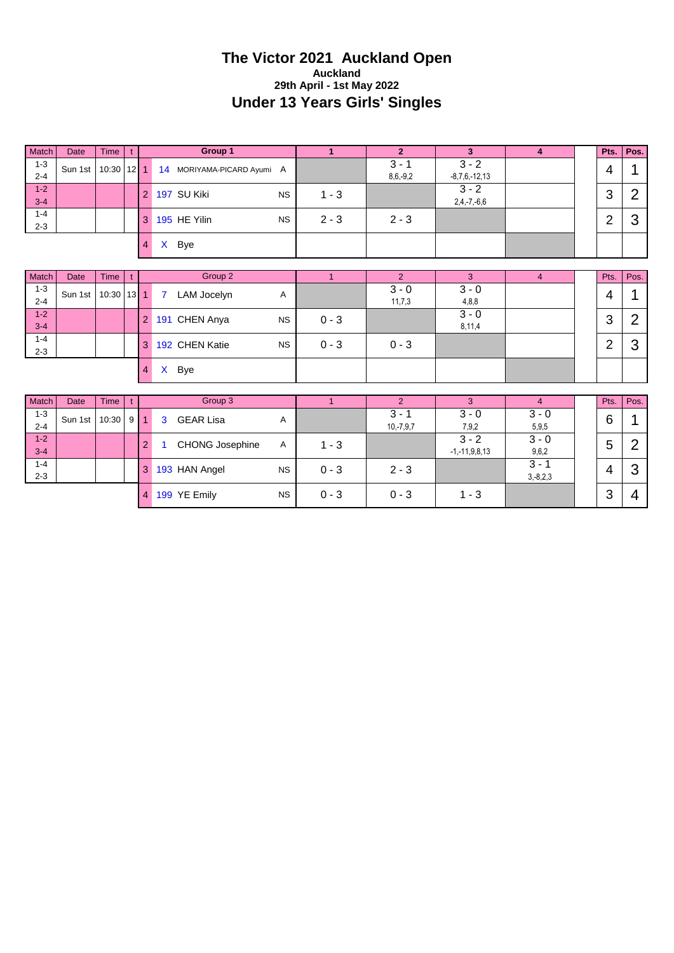#### **The Victor 2021 Auckland Open Auckland 29th April - 1st May 2022 Under 13 Years Girls' Singles**

| Match              | <b>Date</b> | <b>Time</b> | t              |                |                | Group 1                    |           | $\mathbf{1}$ | $\overline{2}$         | $\overline{\mathbf{3}}$        | $\overline{\mathbf{4}}$ | Pts.           | Pos.           |
|--------------------|-------------|-------------|----------------|----------------|----------------|----------------------------|-----------|--------------|------------------------|--------------------------------|-------------------------|----------------|----------------|
| $1 - 3$<br>$2 - 4$ | Sun 1st     | 10:30       | $12$   1       |                |                | 14 MORIYAMA-PICARD Ayumi A |           |              | $3 - 1$<br>$8,6,-9,2$  | $3 - 2$<br>$-8,7,6,-12,13$     |                         | 4              | 1              |
| $1 - 2$<br>$3 - 4$ |             |             |                | 2              |                | 197 SU Kiki                | <b>NS</b> | $1 - 3$      |                        | $3 - 2$<br>$2,4,-7,-6,6$       |                         | 3              | $\overline{2}$ |
| $1 - 4$<br>$2 - 3$ |             |             |                | 3              |                | 195 HE Yilin               | <b>NS</b> | $2 - 3$      | $2 - 3$                |                                |                         | $\overline{2}$ | 3              |
|                    |             |             |                | $\overline{4}$ | $\mathsf{X}$   | Bye                        |           |              |                        |                                |                         |                |                |
| Match              | <b>Date</b> | Time        | t              |                |                | Group 2                    |           | $\mathbf{1}$ | $\overline{2}$         | 3                              | $\overline{4}$          | Pts.           | Pos.           |
| $1 - 3$<br>$2 - 4$ | Sun 1st     | 10:30       | 13             | $\mathbf{1}$   | $\overline{7}$ | LAM Jocelyn                | Α         |              | $3 - 0$<br>11,7,3      | $3 - 0$<br>4,8,8               |                         | 4              | 1              |
| $1 - 2$<br>$3 - 4$ |             |             |                | $\overline{2}$ |                | 191 CHEN Anya              | <b>NS</b> | $0 - 3$      |                        | $3 - 0$<br>8,11,4              |                         | 3              | $\overline{2}$ |
| $1 - 4$<br>$2 - 3$ |             |             |                | 3              |                | 192 CHEN Katie             | <b>NS</b> | $0 - 3$      | $0 - 3$                |                                |                         | $\overline{2}$ | 3              |
|                    |             |             |                | $\overline{4}$ | $\mathsf{X}^-$ | <b>Bye</b>                 |           |              |                        |                                |                         |                |                |
| Match              | Date        | <b>Time</b> | t              |                |                | Group 3                    |           | $\mathbf{1}$ | $\overline{2}$         | 3                              | $\overline{4}$          | Pts.           | Pos.           |
| $1 - 3$<br>$2 - 4$ | Sun 1st     | 10:30       | 9 <sup>1</sup> | 1              | 3              | <b>GEAR Lisa</b>           | Α         |              | $3 - 1$<br>$10,-7,9,7$ | $3 - 0$<br>7,9,2               | $3 - 0$<br>5,9,5        | 6              | 1              |
| $1 - 2$<br>$3 - 4$ |             |             |                | $\overline{2}$ | $\mathbf 1$    | <b>CHONG Josephine</b>     | A         | $1 - 3$      |                        | $3 - 2$<br>$-1, -11, 9, 8, 13$ | $3 - 0$<br>9,6,2        | 5              | $\overline{2}$ |
| $1 - 4$<br>$2 - 3$ |             |             |                | 3              |                | 193 HAN Angel              | <b>NS</b> | $0 - 3$      | $2 - 3$                |                                | $3 - 1$<br>$3,-8,2,3$   | 4              | 3              |
|                    |             |             |                |                |                | 4 199 YE Emily             | <b>NS</b> | $0 - 3$      | $0 - 3$                | $1 - 3$                        |                         | 3              | 4              |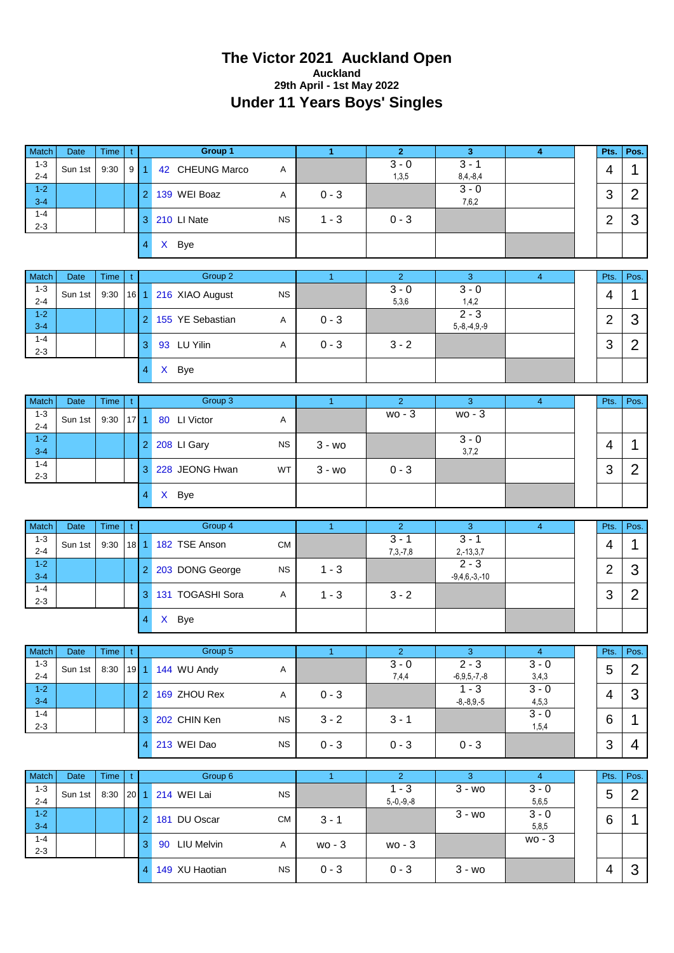#### **The Victor 2021 Auckland Open Auckland 29th April - 1st May 2022 Under 11 Years Boys' Singles**

|                               |                 |              |                |                         | Group 1                |           |                      | $\overline{2}$            |                            |                           |                |                        |
|-------------------------------|-----------------|--------------|----------------|-------------------------|------------------------|-----------|----------------------|---------------------------|----------------------------|---------------------------|----------------|------------------------|
| Match<br>$1 - 3$              | Date            | Time         | t              |                         |                        |           | $\blacktriangleleft$ | $3 - 0$                   | 3<br>$3 - 1$               | $\overline{4}$            | Pts.           | Pos.                   |
| $2 - 4$                       | Sun 1st         | 9:30         | 9              | $\blacktriangleleft$    | 42 CHEUNG Marco        | Α         |                      | 1,3,5                     | $8,4,-8,4$                 |                           | 4              | 1                      |
| $1 - 2$<br>$3 - 4$            |                 |              |                | $\overline{2}$          | 139 WEI Boaz           | Α         | $0 - 3$              |                           | $3 - 0$<br>7,6,2           |                           | 3              | $\overline{2}$         |
| $1 - 4$<br>$2 - 3$            |                 |              |                | 3                       | 210 LI Nate            | <b>NS</b> | $1 - 3$              | $0 - 3$                   |                            |                           | $\overline{2}$ | 3                      |
|                               |                 |              |                | $\overline{\mathbf{4}}$ | X Bye                  |           |                      |                           |                            |                           |                |                        |
| Match                         | Date            | Time         | $\mathfrak{t}$ |                         | Group 2                |           | $\mathbf{1}$         | $\overline{2}$            | 3                          | $\overline{4}$            | Pts.           | Pos.                   |
| $1 - 3$<br>$2 - 4$            | Sun 1st         | 9:30         | $16$ 1         |                         | 216 XIAO August        | <b>NS</b> |                      | $3 - 0$<br>5,3,6          | $3 - 0$<br>1,4,2           |                           | 4              | 1                      |
| $1 - 2$<br>$3 - 4$            |                 |              |                | $\overline{2}$          | 155 YE Sebastian       | Α         | $0 - 3$              |                           | $2 - 3$<br>$5,-8,-4,9,-9$  |                           | $\overline{2}$ | 3                      |
| $1 - 4$<br>$2 - 3$            |                 |              |                | 3                       | 93 LU Yilin            | Α         | $0 - 3$              | $3 - 2$                   |                            |                           | 3              | $\overline{2}$         |
|                               |                 |              |                | $\overline{4}$          | X Bye                  |           |                      |                           |                            |                           |                |                        |
| Match                         | <b>Date</b>     | Time         | t              |                         | Group 3                |           | $\mathbf{1}$         | $\overline{2}$            | 3                          | $\overline{4}$            | Pts.           | Pos.                   |
| $1 - 3$<br>$2 - 4$            | Sun 1st         | 9:30         | $17$   1       |                         | 80 LI Victor           | Α         |                      | $wo - 3$                  | wo - 3                     |                           |                |                        |
| $1 - 2$<br>$3 - 4$            |                 |              |                | $\overline{c}$          | 208 Ll Gary            | <b>NS</b> | $3 - w$ o            |                           | $3 - 0$<br>3,7,2           |                           | 4              | 1                      |
| $1 - 4$<br>$2 - 3$            |                 |              |                | 3                       | 228 JEONG Hwan         | WT        | $3 - w$ o            | $0 - 3$                   |                            |                           | 3              | $\overline{2}$         |
|                               |                 |              |                | $\overline{4}$          | X Bye                  |           |                      |                           |                            |                           |                |                        |
|                               |                 |              |                |                         |                        |           |                      |                           |                            |                           |                |                        |
|                               |                 |              |                |                         |                        |           |                      |                           |                            |                           |                |                        |
| Match<br>$1 - 3$              | Date            | Time         | t.             |                         | Group 4                |           | $\mathbf{1}$         | $\overline{2}$<br>$3 - 1$ | $\mathbf{3}$<br>$3 - 1$    | $\overline{4}$            | Pts.           | Pos.                   |
| $2 - 4$<br>$1 - 2$            | Sun 1st         | 9:30         | $18$ 1         |                         | 182 TSE Anson          | <b>CM</b> |                      | $7,3,-7,8$                | $2,-13,3,7$<br>$2 - 3$     |                           | 4              | 1                      |
| $3 - 4$<br>$1 - 4$            |                 |              |                | $\overline{2}$          | 203 DONG George        | <b>NS</b> | $1 - 3$              |                           | $-9,4,6,-3,-10$            |                           | $\overline{2}$ | 3                      |
| $2 - 3$                       |                 |              |                | 3                       | 131 TOGASHI Sora       | Α         | $1 - 3$              | $3 - 2$                   |                            |                           | 3              | $\overline{2}$         |
|                               |                 |              |                | 4                       | X Bye                  |           |                      |                           |                            |                           |                |                        |
| Match                         | Date            | Time         | t              |                         | Group 5                |           | $\mathbf{1}$         | 2 <sup>7</sup>            | 3                          | 4 <sup>1</sup>            | Pts.           | Pos.                   |
| $1 - 3$<br>$2 - 4$            | Sun 1st         | 8:30         | $19$ 1         |                         | 144 WU Andy            | Α         |                      | $3 - 0$<br>7,4,4          | $2 - 3$<br>$-6,9,5,-7,-8$  | $3 - 0$<br>3,4,3          | 5              | $\overline{2}$         |
| $1 - 2$<br>$3 - 4$            |                 |              |                | $\overline{2}$          | 169 ZHOU Rex           | A         | $0 - 3$              |                           | $1 - 3$<br>$-8,-8,9,-5$    | $3 - 0$<br>4,5,3          | 4              | 3                      |
| $1 - 4$<br>$2 - 3$            |                 |              |                | 3                       | 202 CHIN Ken           | <b>NS</b> | $3 - 2$              | $3 - 1$                   |                            | $3 - 0$<br>1,5,4          | 6              | $\mathbf 1$            |
|                               |                 |              |                | 4                       | 213 WEI Dao            | <b>NS</b> | $0 - 3$              | $0 - 3$                   | $0 - 3$                    |                           | 3              | 4                      |
|                               |                 |              |                |                         |                        |           |                      |                           |                            |                           |                |                        |
| Match<br>$1 - 3$              | Date<br>Sun 1st | Time<br>8:30 | t<br>$20$ 1    |                         | Group 6<br>214 WEI Lai | <b>NS</b> | $\mathbf{1}$         | $\overline{2}$<br>$1 - 3$ | 3 <sup>1</sup><br>$3 - w0$ | $\overline{4}$<br>$3 - 0$ | Pts.<br>5      | Pos.<br>$\overline{2}$ |
| $2 - 4$<br>$1 - 2$            |                 |              |                | $\overline{2}$          | 181 DU Oscar           | <b>CM</b> | $3 - 1$              | $5,-0,-9,-8$              | $\overline{3}$ - wo        | 5,6,5<br>$3 - 0$          | 6              | $\mathbf{1}$           |
| $3 - 4$<br>$1 - 4$<br>$2 - 3$ |                 |              |                | 3                       | 90 LIU Melvin          | A         | wo - 3               | wo - 3                    |                            | 5,8,5<br>wo - 3           |                |                        |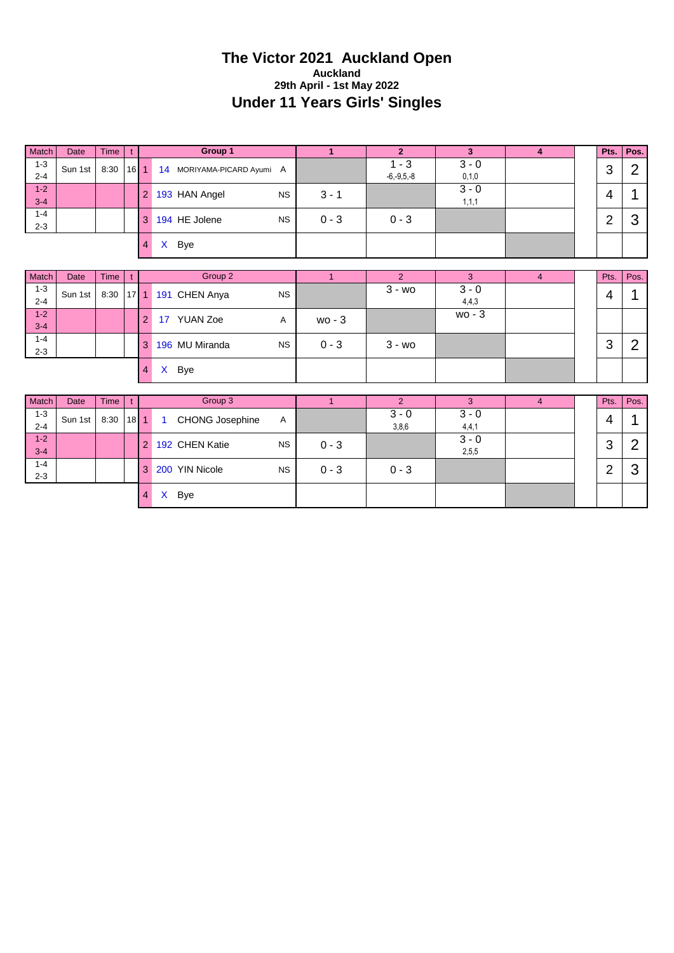## **The Victor 2021 Auckland Open Auckland 29th April - 1st May 2022 Under 11 Years Girls' Singles**

| Match              | Date    | <b>Time</b> |    |                | Group 1                       |         |                        |                    | 4 | Pts.   | Pos. |
|--------------------|---------|-------------|----|----------------|-------------------------------|---------|------------------------|--------------------|---|--------|------|
| $1 - 3$<br>$2 - 4$ | Sun 1st | 8:30        | 16 |                | 14<br>MORIYAMA-PICARD Ayumi A |         | - 3<br>$-6, -9, 5, -8$ | $3 - 0$<br>0, 1, 0 |   | ◠<br>J | C    |
| $1 - 2$<br>$3 - 4$ |         |             |    | 2 <sup>1</sup> | 193 HAN Angel<br><b>NS</b>    | $3 - 1$ |                        | $3 - 0$<br>1,1,1   |   | 4      |      |
| $1 - 4$<br>$2 - 3$ |         |             |    | 3              | 194 HE Jolene<br><b>NS</b>    | $0 - 3$ | $0 - 3$                |                    |   | ◠<br>▃ | w    |
|                    |         |             |    | 4              | Bye<br>X                      |         |                        |                    |   |        |      |

| Match   | Date    | <b>Time</b> |   | Group 2                              |          |           |          | 4 | Pts. | Pos. |
|---------|---------|-------------|---|--------------------------------------|----------|-----------|----------|---|------|------|
| $1 - 3$ | Sun 1st |             |   | 8:30 17 1 191 CHEN Anya<br><b>NS</b> |          | $3 - w$   | $3 - 0$  |   |      |      |
| $2 - 4$ |         |             |   |                                      |          |           | 4,4,3    |   | 4    |      |
| $1 - 2$ |         |             | າ | YUAN Zoe<br>17<br>A                  | $wo - 3$ |           | $wo - 3$ |   |      |      |
| $3 - 4$ |         |             |   |                                      |          |           |          |   |      |      |
| $1 - 4$ |         |             | 3 | 196 MU Miranda<br><b>NS</b>          | $0 - 3$  | $3 - w$ o |          |   | ◠    |      |
| $2 - 3$ |         |             |   |                                      |          |           |          |   | J    |      |
|         |         |             | 4 | Bye<br>$\lambda$                     |          |           |          |   |      |      |

| Match              | Date    | <b>Time</b> |        |   |                | Group 3                |           |         |                  |                  |  | Pts.       | Pos. |
|--------------------|---------|-------------|--------|---|----------------|------------------------|-----------|---------|------------------|------------------|--|------------|------|
| $1 - 3$<br>$2 - 4$ | Sun 1st | 8:30        | $18$ 1 |   | $\overline{1}$ | <b>CHONG Josephine</b> | A         |         | $3 - 0$<br>3,8,6 | $3 - 0$<br>4,4,1 |  | 4          |      |
| $1 - 2$<br>$3 - 4$ |         |             |        | 2 |                | 192 CHEN Katie         | <b>NS</b> | $0 - 3$ |                  | $3 - 0$<br>2,5,5 |  | ◠<br>J     | n    |
| $1 - 4$<br>$2 - 3$ |         |             |        | 3 |                | 200 YIN Nicole         | <b>NS</b> | $0 - 3$ | $0 - 3$          |                  |  | $\sqrt{2}$ | w    |
|                    |         |             |        | 4 | X              | Bye                    |           |         |                  |                  |  |            |      |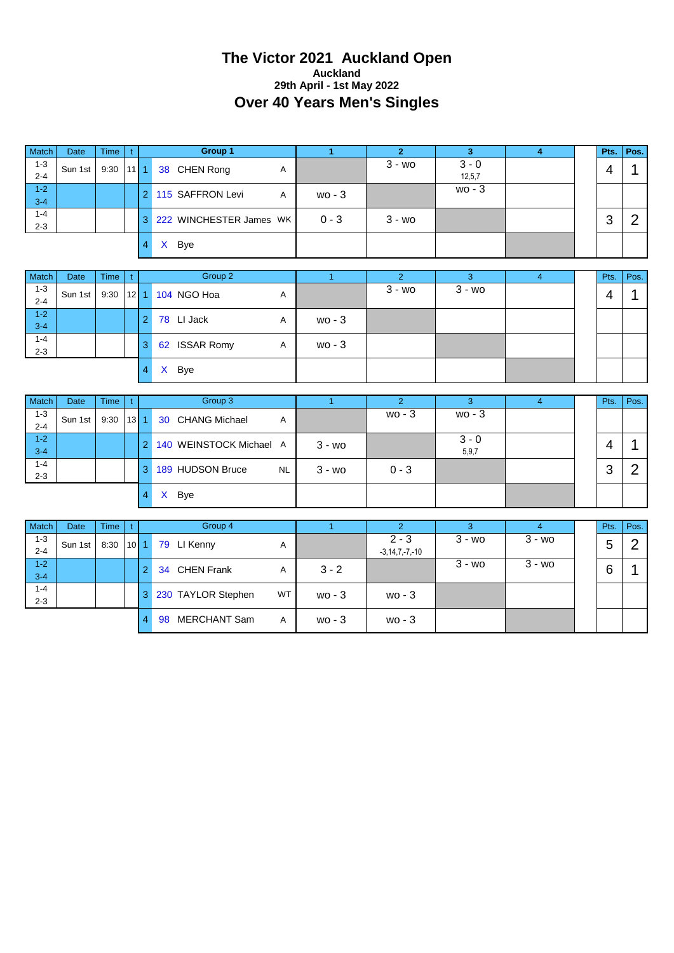#### **The Victor 2021 Auckland Open Auckland 29th April - 1st May 2022 Over 40 Years Men's Singles**

| Match              | <b>Date</b> | Time |        |                | Group 1                 |         |           |                   |  | Pts.   | Pos. |
|--------------------|-------------|------|--------|----------------|-------------------------|---------|-----------|-------------------|--|--------|------|
| $1 - 3$<br>$2 - 4$ | Sun 1st     | 9:30 | $11$ 1 |                | 38 CHEN Rong<br>A       |         | $3 - w$ o | $3 - 0$<br>12,5,7 |  | Δ      |      |
| $1 - 2$<br>$3 - 4$ |             |      |        | $\overline{2}$ | 115 SAFFRON Levi<br>A   | $wo-3$  |           | $wo - 3$          |  |        |      |
| $1 - 4$<br>$2 - 3$ |             |      |        | 3              | 222 WINCHESTER James WK | $0 - 3$ | 3 - wo    |                   |  | っ<br>د |      |
|                    |             |      |        |                | $\mathsf{x}$<br>Bye     |         |           |                   |  |        |      |

| <b>Match</b> | Date    | <b>Time</b> |                      |   | Group 2                    |   |          |         |         |  | Pts. | Pos. |
|--------------|---------|-------------|----------------------|---|----------------------------|---|----------|---------|---------|--|------|------|
| $1 - 3$      | Sun 1st | 9:30        | $\vert$ 12 $\vert$ 1 |   | 104 NGO Hoa                | Α |          | $3 - w$ | $3 - w$ |  | 4    |      |
| $2 - 4$      |         |             |                      |   |                            |   |          |         |         |  |      |      |
| $1 - 2$      |         |             |                      |   | 78 LI Jack                 | A | $wo - 3$ |         |         |  |      |      |
| $3 - 4$      |         |             |                      |   |                            |   |          |         |         |  |      |      |
| $1 - 4$      |         |             |                      | З | <b>ISSAR Romy</b><br>62    | A | $wo - 3$ |         |         |  |      |      |
| $2 - 3$      |         |             |                      |   |                            |   |          |         |         |  |      |      |
|              |         |             |                      |   | <b>Bye</b><br>$\mathsf{X}$ |   |          |         |         |  |      |      |

| <b>Match</b>       | Date    | <b>Time</b> |    |   | Group 3                       |           |         |                  |  | Pts.          | Pos. |
|--------------------|---------|-------------|----|---|-------------------------------|-----------|---------|------------------|--|---------------|------|
| $1 - 3$<br>$2 - 4$ | Sun 1st | 9:30        | 13 |   | 30 CHANG Michael<br>Α         |           | wo - 3  | $wo-3$           |  |               |      |
| $1 - 2$<br>$3 - 4$ |         |             |    |   | 140 WEINSTOCK Michael A       | 3 - wo    |         | $3 - 0$<br>5,9,7 |  | 4             |      |
| $1 - 4$<br>$2 - 3$ |         |             |    | З | 189 HUDSON Bruce<br><b>NL</b> | $3 - w$ o | $0 - 3$ |                  |  | 0<br><b>ت</b> |      |
|                    |         |             |    | 4 | $\mathsf{x}$<br>Bye           |           |         |                  |  |               |      |

| Match              | <b>Date</b> | <b>Time</b> |                 |   | Group 4                 |           |          |                                 |         |           | Pts. | Pos. |
|--------------------|-------------|-------------|-----------------|---|-------------------------|-----------|----------|---------------------------------|---------|-----------|------|------|
| 1-3<br>$2 - 4$     | Sun 1st     | 8:30        | 10 <sup>1</sup> |   | 79 LI Kenny             | A         |          | $2 - 3$<br>$-3, 14, 7, -7, -10$ | $3 - w$ | $3 - w$ o | 5    |      |
| $1 - 2$<br>$3 - 4$ |             |             |                 | റ | <b>CHEN Frank</b><br>34 | A         | $3 - 2$  |                                 | $3 - w$ | $3 - w$ o | 6    |      |
| $1 - 4$<br>$2 - 3$ |             |             |                 | 3 | 230 TAYLOR Stephen      | <b>WT</b> | $wo - 3$ | $wo - 3$                        |         |           |      |      |
|                    |             |             |                 | 4 | MERCHANT Sam<br>98      | A         | $wo - 3$ | $wo-3$                          |         |           |      |      |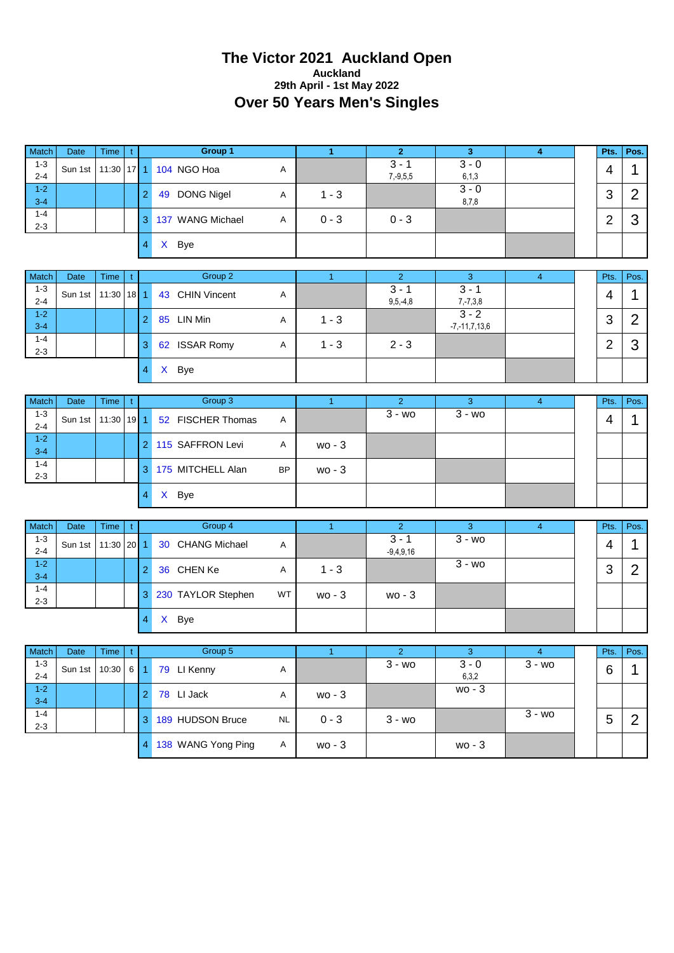#### **The Victor 2021 Auckland Open Auckland 29th April - 1st May 2022 Over 50 Years Men's Singles**

| <b>Match</b>       | Date    | <b>Time</b>      |          | Group 1          |   |         |                          |                    | 4 | Pts.   | Pos. |
|--------------------|---------|------------------|----------|------------------|---|---------|--------------------------|--------------------|---|--------|------|
| $1 - 3$<br>$2 - 4$ | Sun 1st | $11:30$   17   1 |          | 104 NGO Hoa      | A |         | $3 - 1$<br>$7, -9, 5, 5$ | $3 - 0$<br>6, 1, 3 |   | 4      |      |
| $1 - 2$<br>$3 - 4$ |         |                  | $\Omega$ | DONG Nigel<br>49 | A | $1 - 3$ |                          | $3 - 0$<br>8,7,8   |   | 3      |      |
| $1 - 4$<br>$2 - 3$ |         |                  | 3        | 137 WANG Michael | A | $0 - 3$ | $0 - 3$                  |                    |   | ⌒<br>▃ | w    |
|                    |         |                  |          | Bye<br>X         |   |         |                          |                    |   |        |      |

| <b>Match</b> | Date    | <b>Time</b>      |   |              | Group 2           |   |         |            |                     | 4 | Pts. | Pos. |
|--------------|---------|------------------|---|--------------|-------------------|---|---------|------------|---------------------|---|------|------|
| $1 - 3$      | Sun 1st | $11:30$   18   1 |   |              | 43 CHIN Vincent   | Α |         | $3 -$      | $3 - 1$             |   | 4    |      |
| $2 - 4$      |         |                  |   |              |                   |   |         | $9,5,-4,8$ | $7, -7, 3, 8$       |   |      |      |
| $1 - 2$      |         |                  |   | 85           | LIN Min           | A | $1 - 3$ |            | $3 - 2$             |   | ົ    |      |
| $3 - 4$      |         |                  |   |              |                   |   |         |            | $-7, -11, 7, 13, 6$ |   | ۰J   |      |
| $1 - 4$      |         |                  | 3 | 62           | <b>ISSAR Romy</b> | A | $1 - 3$ | $2 - 3$    |                     |   | ⌒    |      |
| $2 - 3$      |         |                  |   |              |                   |   |         |            |                     |   | ∸    | s.   |
|              |         |                  |   | $\mathsf{x}$ | Bye               |   |         |            |                     |   |      |      |

| <b>Match</b>       | Date    | <b>Time</b>      |   | Group 3           |           |        |         |           |  | Pts. | Pos. |
|--------------------|---------|------------------|---|-------------------|-----------|--------|---------|-----------|--|------|------|
| $1 - 3$<br>$2 - 4$ | Sun 1st | $11:30$   19   1 |   | 52 FISCHER Thomas | A         |        | $3 - w$ | $3 - w_0$ |  | 4    |      |
| $1 - 2$<br>$3 - 4$ |         |                  | റ | 115 SAFFRON Levi  | Α         | $wo-3$ |         |           |  |      |      |
| $1 - 4$<br>$2 - 3$ |         |                  | 3 | 175 MITCHELL Alan | <b>BP</b> | $wo-3$ |         |           |  |      |      |
|                    |         |                  |   | Bye<br>X          |           |        |         |           |  |      |      |

| <b>Match</b>       | Date    | Time             |   |   | Group 4            |           |         |                        |         |  | Pts.   | Pos. |
|--------------------|---------|------------------|---|---|--------------------|-----------|---------|------------------------|---------|--|--------|------|
| $1 - 3$<br>$2 - 4$ | Sun 1st | $11:30$   20   1 |   |   | 30 CHANG Michael   | A         |         | $3 - 1$<br>$-9,4,9,16$ | $3 - w$ |  | 4      |      |
| $1 - 2$<br>$3 - 4$ |         |                  |   |   | 36 CHEN Ke         | A         | $1 - 3$ |                        | $3 - w$ |  | ◠<br>J |      |
| $1 - 4$<br>$2 - 3$ |         |                  | 3 |   | 230 TAYLOR Stephen | <b>WT</b> | $wo-3$  | $wo-3$                 |         |  |        |      |
|                    |         |                  |   | X | Bye                |           |         |                        |         |  |        |      |

| Match   | Date    | <b>Time</b> |   | Group 5            |           |          |           |          |           | Pts. | Pos. |
|---------|---------|-------------|---|--------------------|-----------|----------|-----------|----------|-----------|------|------|
| $1 - 3$ | Sun 1st | $10:30$ 6 1 |   | 79 LI Kenny        | Α         |          | $3 - w$ o | $3 - 0$  | $3 - w$   | 6    |      |
| $2 - 4$ |         |             |   |                    |           |          |           | 6,3,2    |           |      |      |
| $1 - 2$ |         |             | ◠ | LI Jack<br>78      | A         | $wo - 3$ |           | $wo - 3$ |           |      |      |
| $3 - 4$ |         |             |   |                    |           |          |           |          |           |      |      |
| $1 - 4$ |         |             | З | 189 HUDSON Bruce   | <b>NL</b> | $0 - 3$  | $3 - w$ o |          | $3 - w_0$ | 5    | n    |
| $2 - 3$ |         |             |   |                    |           |          |           |          |           |      |      |
|         |         |             | 4 | 138 WANG Yong Ping | A         | $wo - 3$ |           | $wo-3$   |           |      |      |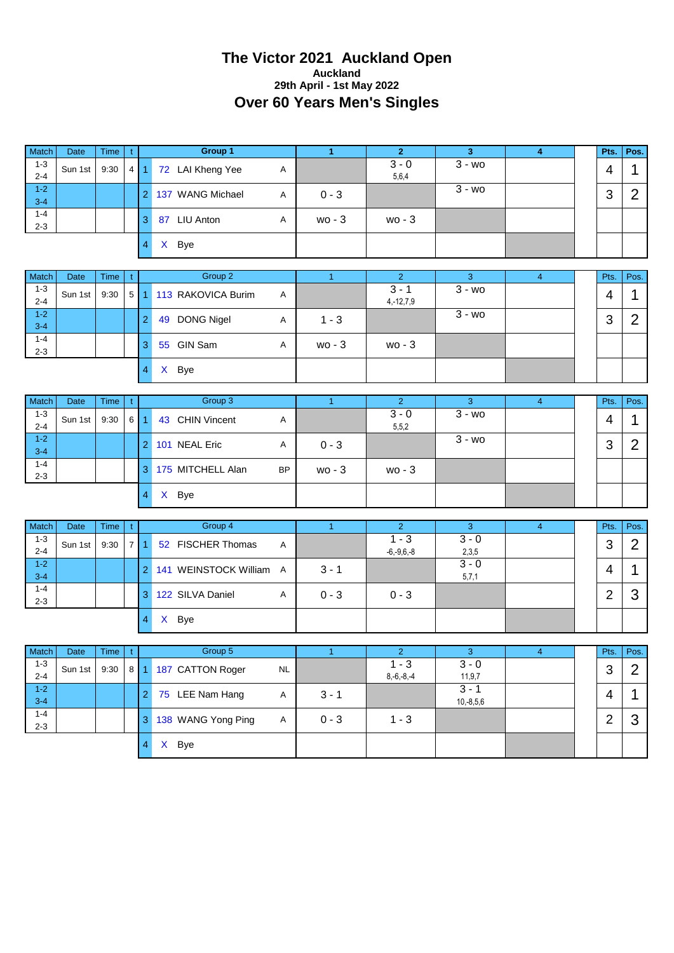#### **The Victor 2021 Auckland Open Auckland 29th April - 1st May 2022 Over 60 Years Men's Singles**

| <b>Match</b> | <b>Date</b> | <b>Time</b> |            |   | Group 1                    |   |          |          |         |  | Pts. | Pos. |
|--------------|-------------|-------------|------------|---|----------------------------|---|----------|----------|---------|--|------|------|
| $1 - 3$      | Sun 1st     | 9:30        | $4 \mid 1$ |   | 72 LAI Kheng Yee           | A |          | $3 - 0$  | $3 - w$ |  | 4    |      |
| $2 - 4$      |             |             |            |   |                            |   |          | 5,6,4    |         |  |      |      |
| $1 - 2$      |             |             |            |   | <b>WANG Michael</b><br>137 | A | $0 - 3$  |          | $3 - w$ |  | 3    | n    |
| $3 - 4$      |             |             |            |   |                            |   |          |          |         |  |      |      |
| $1 - 4$      |             |             |            | З | LIU Anton<br>87            | A | $wo - 3$ | $wo - 3$ |         |  |      |      |
| $2 - 3$      |             |             |            |   |                            |   |          |          |         |  |      |      |
|              |             |             |            | 4 | Bye<br>X.                  |   |          |          |         |  |      |      |

| <b>Match</b> | <b>Date</b> | <b>Time</b> |   | Group 2                |   |          |                |           |  | Pts. | Pos. |
|--------------|-------------|-------------|---|------------------------|---|----------|----------------|-----------|--|------|------|
| $1 - 3$      | Sun 1st     | 9:30        |   | 5 1 113 RAKOVICA Burim | A |          | $3 - 3$        | $3 - w$ o |  | 4    |      |
| $2 - 4$      |             |             |   |                        |   |          | $4, -12, 7, 9$ |           |  |      |      |
| $1 - 2$      |             |             | റ | 49 DONG Nigel          |   | $1 - 3$  |                | $3 - w$   |  | ◠    |      |
| $3 - 4$      |             |             |   |                        | Α |          |                |           |  | P    |      |
| $1 - 4$      |             |             |   | GIN Sam<br>55          |   |          |                |           |  |      |      |
| $2 - 3$      |             |             | З |                        | A | $wo - 3$ | $wo - 3$       |           |  |      |      |
|              |             |             |   | Bye<br>$\mathsf{X}$    |   |          |                |           |  |      |      |

| Match              | Date    | <b>Time</b> |       | Group 3           |           |          |                    |           |  | Pts.   | Pos. |
|--------------------|---------|-------------|-------|-------------------|-----------|----------|--------------------|-----------|--|--------|------|
| $1 - 3$<br>$2 - 4$ | Sun 1st | 9:30        | 6   1 | 43 CHIN Vincent   | Α         |          | $3 - 0$<br>5, 5, 2 | $3 - w_0$ |  | 4      |      |
| $1 - 2$<br>$3 - 4$ |         |             |       | 101 NEAL Eric     | A         | $0 - 3$  |                    | $3 - w$   |  | ≏<br>O |      |
| $1 - 4$<br>$2 - 3$ |         |             |       | 175 MITCHELL Alan | <b>BP</b> | $wo - 3$ | $wo - 3$           |           |  |        |      |
|                    |         |             |       | Bye<br>X.         |           |          |                    |           |  |        |      |

| Match   | Date    | <b>Time</b> |   | Group 4                    |   |         |                 |         |  | Pts. | Pos. |
|---------|---------|-------------|---|----------------------------|---|---------|-----------------|---------|--|------|------|
| $1 - 3$ | Sun 1st | 9:30        |   | 52 FISCHER Thomas          | A |         | $1 - 3$         | $3 - 0$ |  | ◠    | ⌒    |
| $2 - 4$ |         |             |   |                            |   |         | $-6, -9, 6, -8$ | 2,3,5   |  | J    |      |
| $-1-2$  |         |             |   | WEINSTOCK William A<br>141 |   | $3 - 1$ |                 | $3 - 0$ |  | ⊿    |      |
| $3 - 4$ |         |             |   |                            |   |         |                 | 5,7,1   |  |      |      |
| $1 - 4$ |         |             | З | 122 SILVA Daniel           |   | $0 - 3$ | $0 - 3$         |         |  | ╭    |      |
| $2 - 3$ |         |             |   |                            | A |         |                 |         |  |      |      |
|         |         |             |   | Bye<br>$\lambda$           |   |         |                 |         |  |      |      |

| Match   | Date    | Time |   | Group 5              |           |         |              |             |  | Pts.     | Pos. |
|---------|---------|------|---|----------------------|-----------|---------|--------------|-------------|--|----------|------|
| $1 - 3$ | Sun 1st | 9:30 |   | 8 1 187 CATTON Roger | <b>NL</b> |         | $1 - 3$      | $3 - 0$     |  | ◠        | ⌒    |
| $2 - 4$ |         |      |   |                      |           |         | $8,-6,-8,-4$ | 11,9,7      |  | J        |      |
| $1 - 2$ |         |      | റ | 75 LEE Nam Hang      | A         | $3 - 1$ |              | 3 - 1       |  | $\Delta$ |      |
| $3 - 4$ |         |      |   |                      |           |         |              | $10,-8,5,6$ |  |          |      |
| $1 - 4$ |         |      | 3 | 138 WANG Yong Ping   | A         | $0 - 3$ | $1 - 3$      |             |  | ◠        |      |
| $2 - 3$ |         |      |   |                      |           |         |              |             |  |          |      |
|         |         |      |   | Bye<br>$\mathsf{x}$  |           |         |              |             |  |          |      |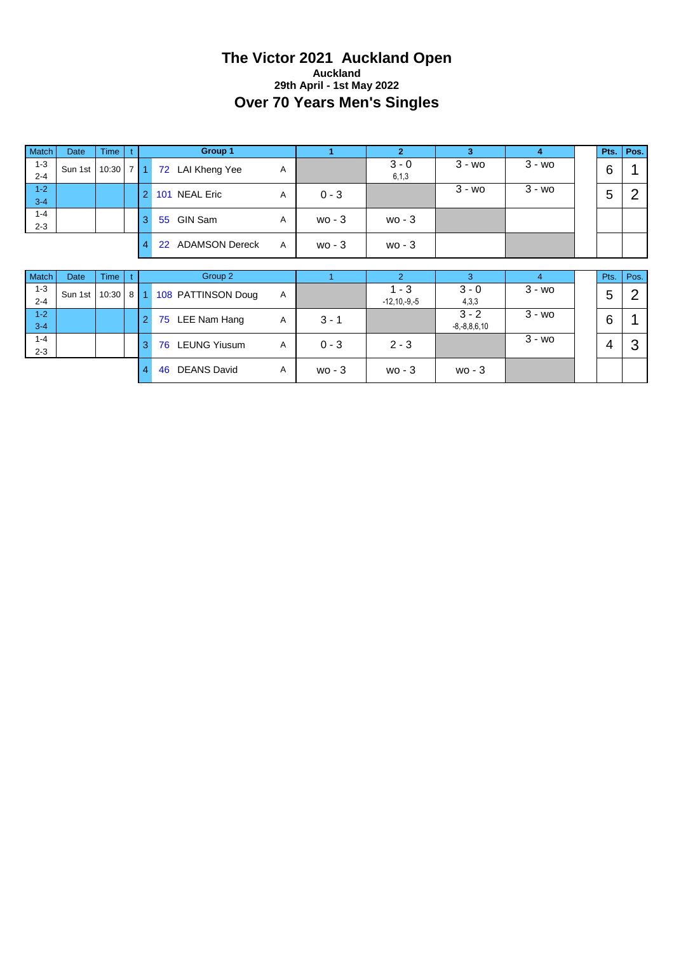#### **The Victor 2021 Auckland Open Auckland 29th April - 1st May 2022 Over 70 Years Men's Singles**

| Match              | <b>Date</b> | <b>Time</b> |     |                | Group 1                     |              |          | $\overline{2}$               | 3                             | $\overline{\bf{4}}$ | Pts.           | Pos. |
|--------------------|-------------|-------------|-----|----------------|-----------------------------|--------------|----------|------------------------------|-------------------------------|---------------------|----------------|------|
| $1 - 3$<br>$2 - 4$ | Sun 1st     | 10:30       | 711 |                | 72 LAI Kheng Yee            | A            |          | $3 - 0$<br>6, 1, 3           | $3 - w$                       | $3 - w$ o           | 6              |      |
| $1 - 2$<br>$3 - 4$ |             |             |     | $\overline{2}$ | <b>NEAL Eric</b><br>101     | A            | $0 - 3$  |                              | $3 - w_0$                     | $3 - w_0$           | 5              | 2    |
| $1 - 4$<br>$2 - 3$ |             |             |     | 3              | <b>GIN Sam</b><br>55        | A            | $wo - 3$ | $wo - 3$                     |                               |                     |                |      |
|                    |             |             |     | $\overline{4}$ | <b>ADAMSON Dereck</b><br>22 | $\mathsf{A}$ | $wo - 3$ | $wo-3$                       |                               |                     |                |      |
|                    |             |             |     |                |                             |              |          |                              |                               |                     |                |      |
|                    |             |             |     |                |                             |              |          |                              |                               |                     |                |      |
| Match              | <b>Date</b> | <b>Time</b> |     |                | Group 2                     |              |          | $\mathcal{P}$                | $\overline{3}$                | $\overline{4}$      | Pts.           | Pos. |
| $1 - 3$<br>$2 - 4$ | Sun 1st     | 10:30       |     |                | 8 1 108 PATTINSON Doug      | A            |          | $1 - 3$<br>$-12, 10, -9, -5$ | $3 - 0$<br>4,3,3              | $3 - w$ o           | 5              | 2    |
| $1 - 2$<br>$3 - 4$ |             |             |     | $\overline{2}$ | LEE Nam Hang<br>75          | Α            | $3 - 1$  |                              | $3 - 2$<br>$-8, -8, 8, 6, 10$ | $3 - w_0$           | 6              |      |
| $1 - 4$<br>$2 - 3$ |             |             |     | 3              | <b>LEUNG Yiusum</b><br>76   | A            | $0 - 3$  | $2 - 3$                      |                               | $3 - w_0$           | $\overline{4}$ | 3    |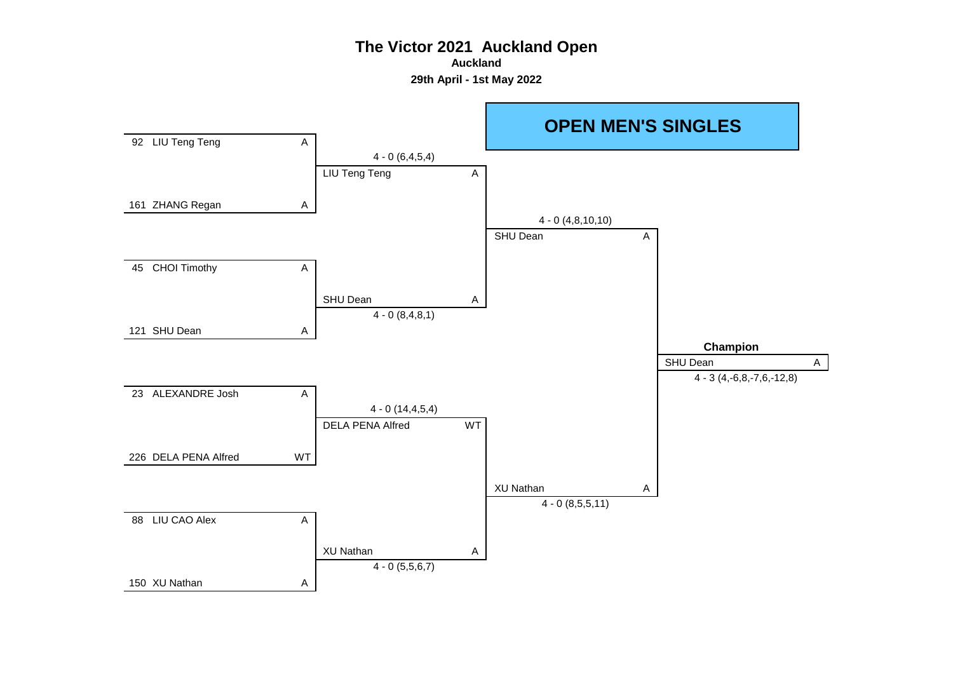**Auckland**

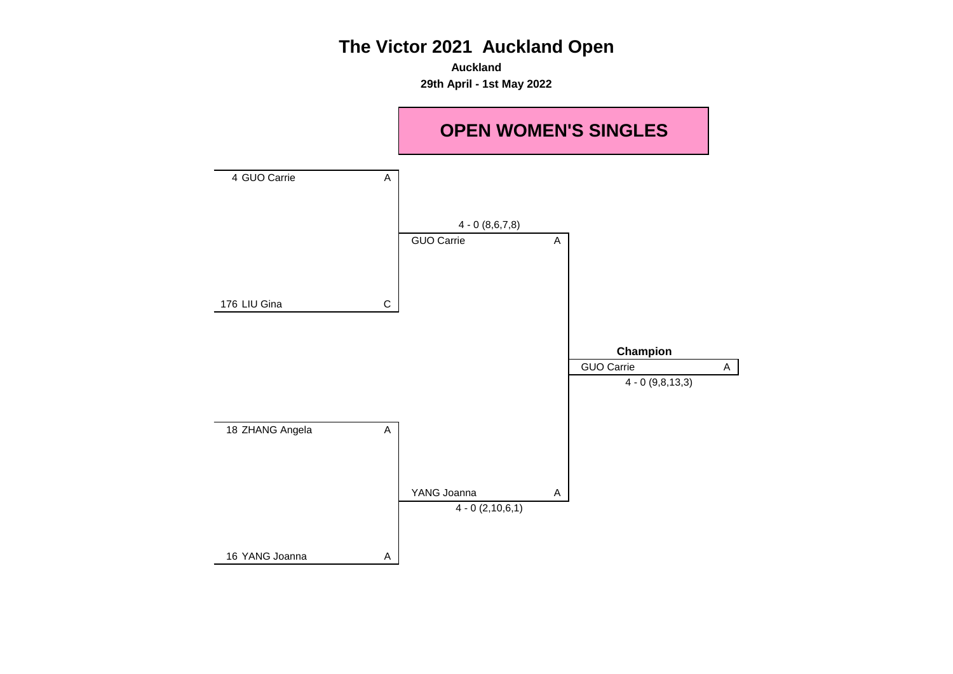**Auckland 29th April - 1st May 2022**

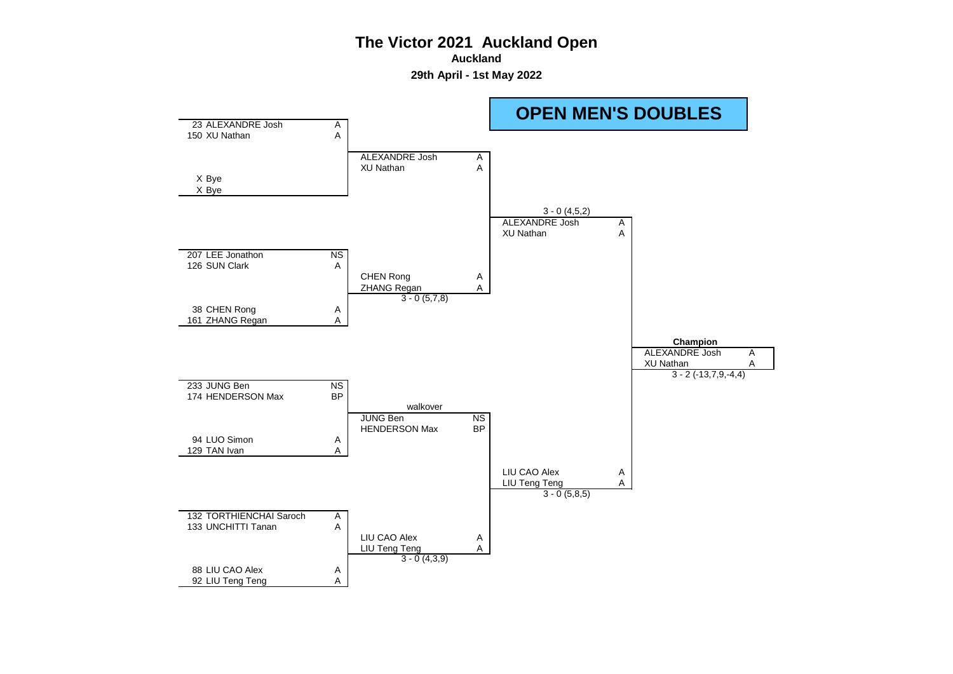**Auckland**

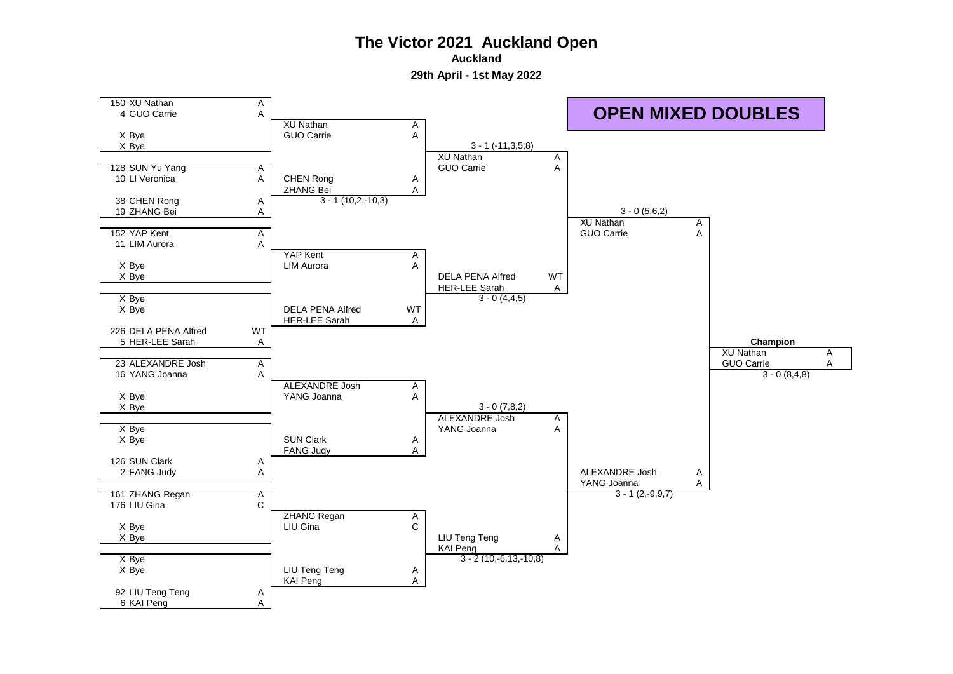**Auckland**

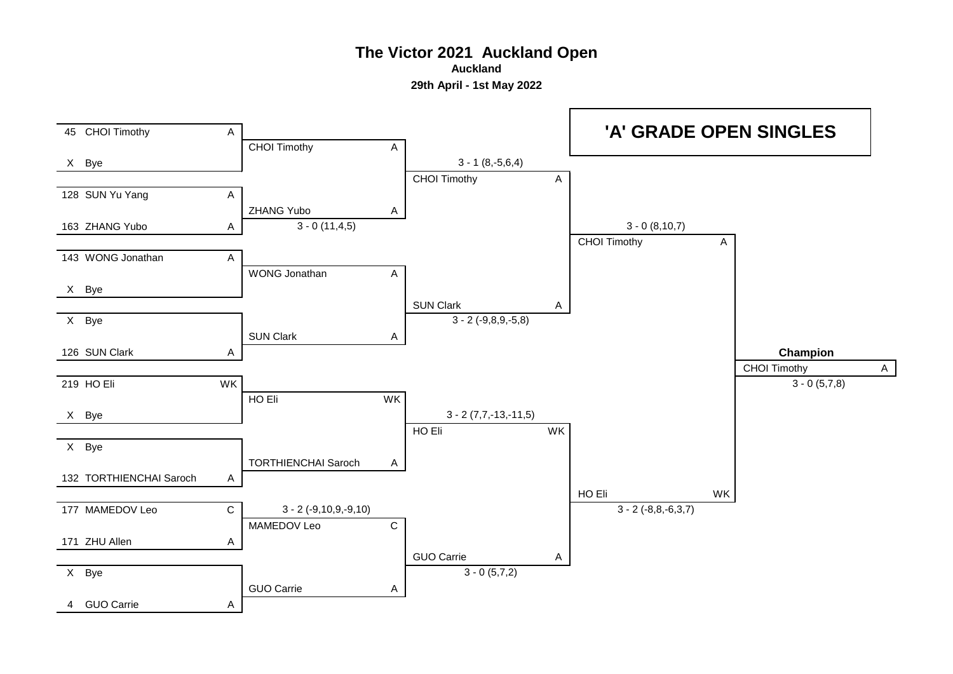**Auckland**

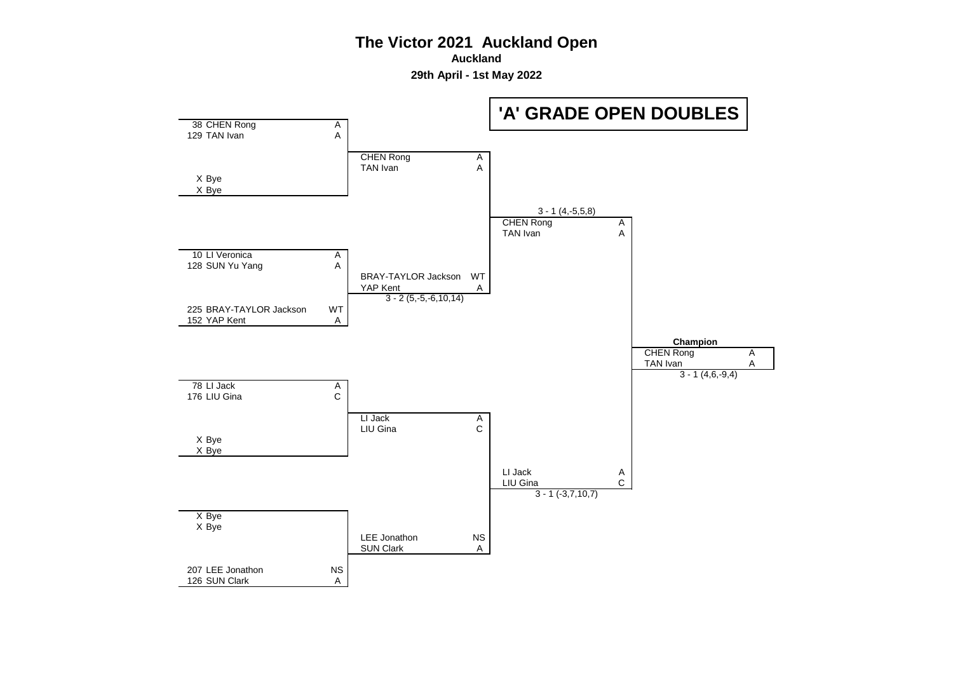**Auckland**

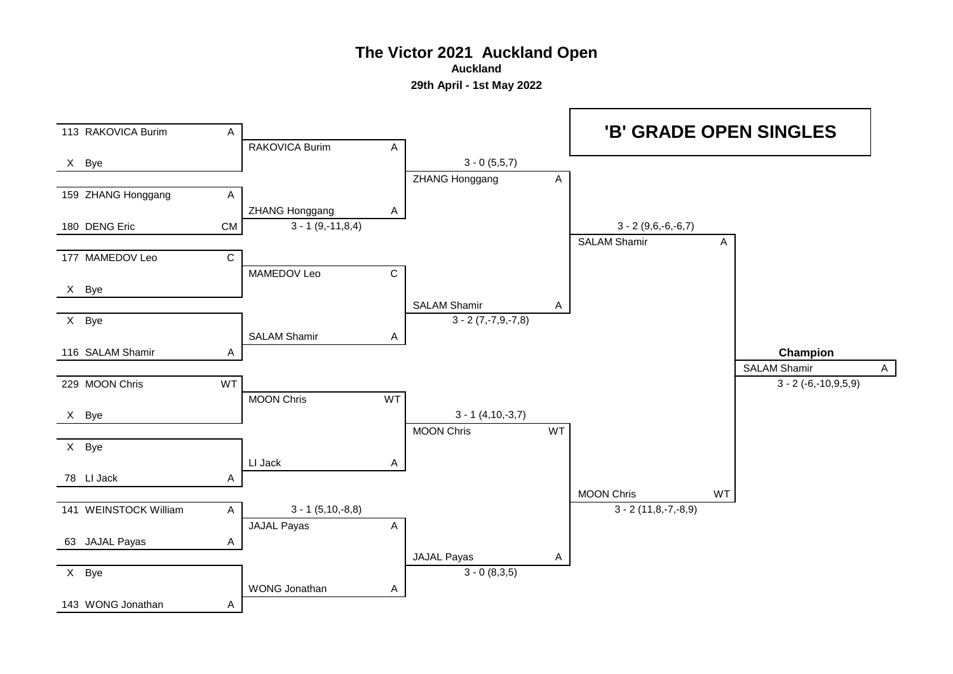**Auckland**

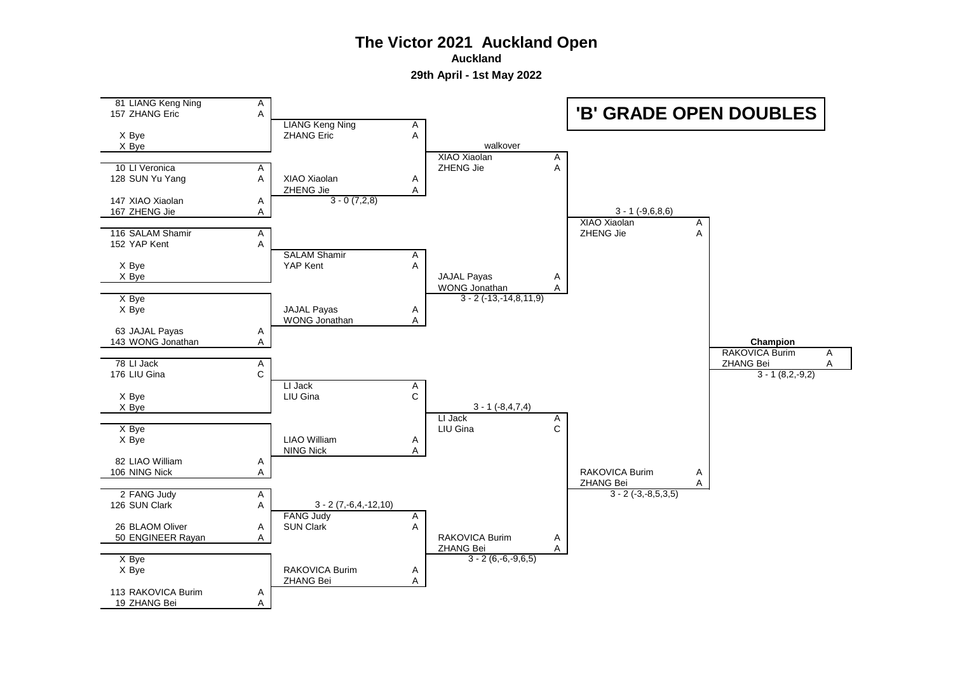**Auckland**

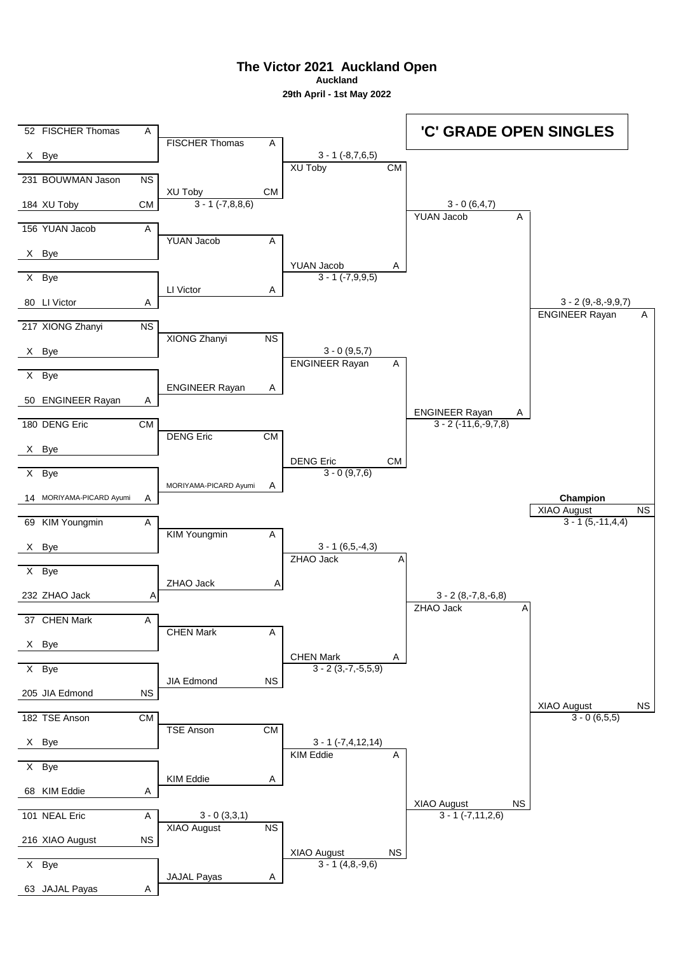**Auckland**

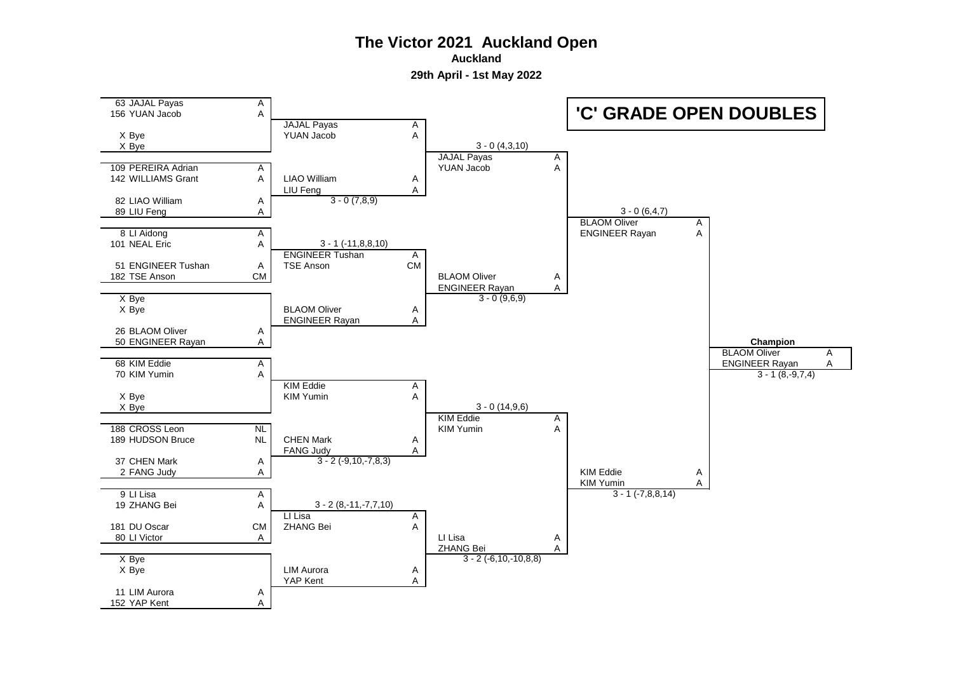**Auckland**

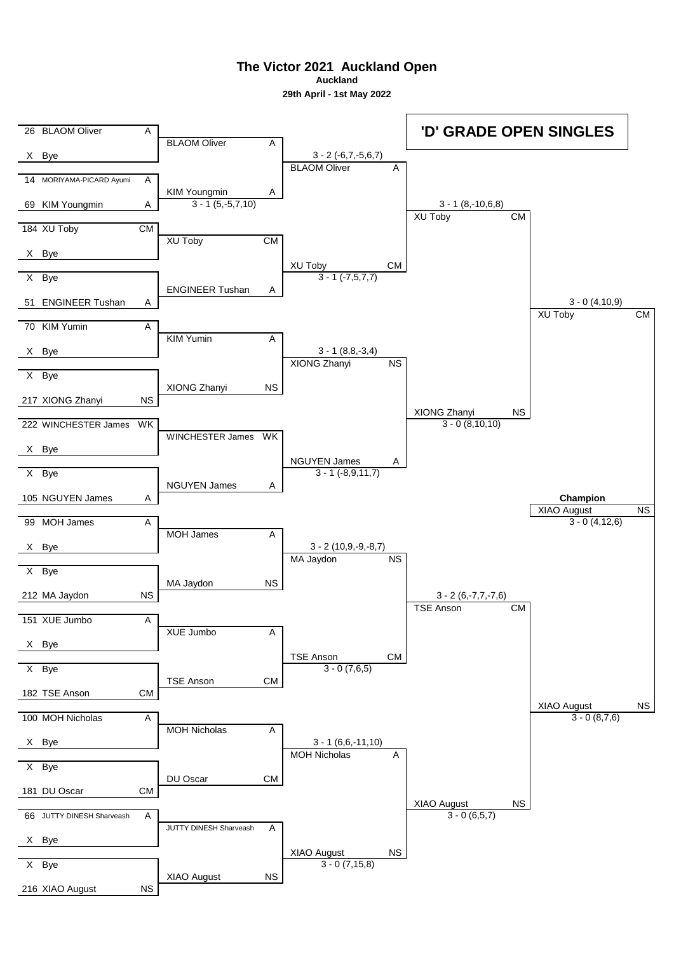**Auckland**

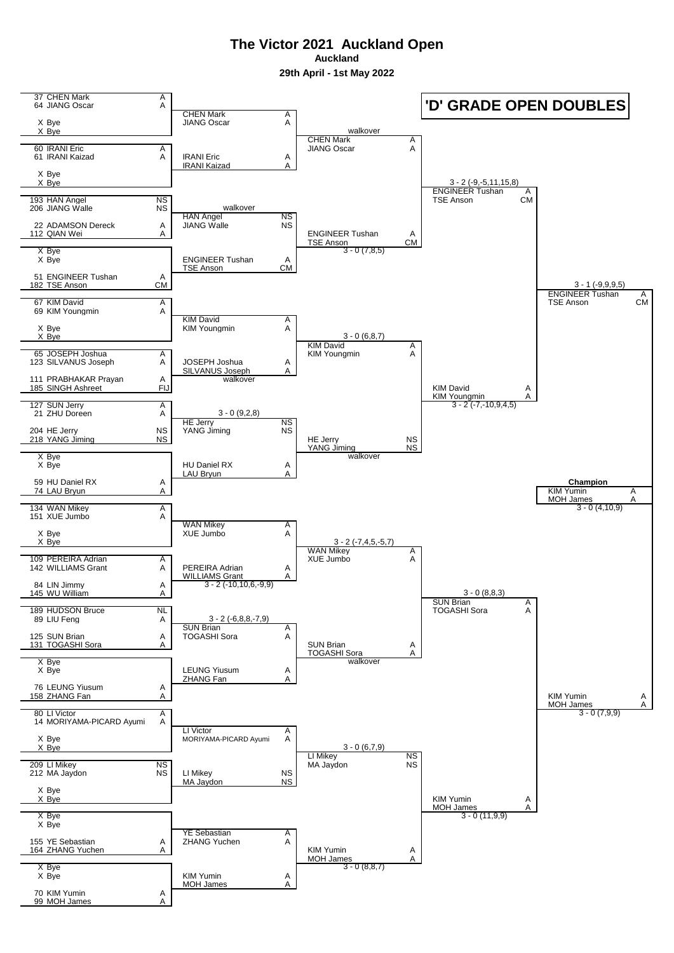**Auckland 29th April - 1st May 2022**

37 CHEN Mark A<br>64 JIANG Oscar A 64 JIANG Oscar A ا<del>R</del>N Mark A<br>ANG Oscar A JIANG Oscar X Bye<br>X Bye CHEN Mark A<br>IIANG Oscar A 60 IRANI Eric A JIANG Oscar A 61 IRANI Kaizad A IRANI Eric A **IRANI Kaiza** X Bye X Bye ENGINEER Tushan A<br>TSE Anson CM ابوري بين العبد العبد الحسن بين الحسن الحسن الحسن الحسن الحسن الحسن الحسن<br>الحسن الحسن الحسن الحسن الحسن الحسن<br>الحسن الحسن الحسن الحسن الحسن الحسن الحسن الحسن الحسن الحسن الحسن الحسن الحس 206 JIANG Walle HAN Angel<br>
JIANG Walle NS 22 ADAMSON Dereck A<br>112 QIAN Wei A 112 ENGINEER Tushan A<br>112 Anson CM  $TSE$  Anson X Bye<br>X Bye ENGINEER Tushan A<br>TSE Anson CM **TSE Anson** 51 ENGINEER Tushan A<br>182 TSE Anson CM 182 TSE Anson ENGINEER Tushan A<br>TSE Anson CM 67 KIM David A TSE Anson CM 69 KIM Youngmin A KIM David<br>KIM Younamin A X Bye KIM Youngmin X Bye KIM David<br>KIM Youngmin A 65 JOSEPH Joshua A<br>I23 SILVANUS Joseph A JOSEPH Joshua A 123 SILVANUS Joseph SILVANUS Joseph 111 PRABHAKAR Prayan A<br>185 SINGH Ashreet Fl. 185 SINGH Ashreet FIJ FIJ KIM David A KIM Youngmin A 3 - 2 (-7,-10,9,4,5) 127 SUN Jerry A<br>
21 ZHU Doreen A 21 ZHU Doreen HE Jerry NS<br>
YANG Jiming NS 204 HE Jerry NS<br>218 YANG Jiming NS 218 YANG Jiming NS NATURE NS HE Jerry NS NS NATURE AND NOT NO NO. 1.<br>218 YANG Jiming NS NS NS NATURE NS NS YANG Jiming X Bye<br>X Bye HU Daniel RX A LAU Brvun 59 HU Daniel RX A **Champion** 74 LAU Bryun A KIM Yumin A MOH James A 134 WAN Mikey A<br>151 XUE Jumbo A 151 XUE Jumbo WAN Mikey A<br>XUE Jumbo A X Bye XUE Jumbo X Bye  $WAN MikeV$ <br>XUE Jumbo A 109 PEREIRA Adrian A<br>142 WILLIAMS Grant A PEREIRA Adrian A 142 WILLIAMS Grant WILLIAMS Grant A 3 - 2 (-10,10,6,-9,9) 84 LIN Jimmy A<br>145 WU William A 145 WU William SUN Brian A<br>TOGASHI Sora A 189 HUDSON Bruce NL<br>89 LIU Feng A 89 LIU Feng SUN Brian A<br>TOGASHI Sora A 125 SUN Brian A TOGASHI Sora 131 TOGASHI Sora A SUN Brian A TOGASHI Sora A X Bye<br>X Bye LEUNG Yiusum A ZHANG Fan 76 LEUNG Yiusum A 158 ZHANG Fan A KIM Yumin A MOH James 80 LI Victor A<br>14 MORIYAMA-PICARD Avumi A 14 MORIYAMA-PICARD Ayumi LI Victor A X Bye MORIYAMA-PICARD Ayumi X Bye LI Mikey No. 2014<br>MA Javdon NS 209 LI Mikey NS NS LI Mikey NS NS NA Jaydon 212 MA Javdon MA Javdon NS X Bye X Bye KIM Yumin A  $MOH$  James  $A$ X Bye X Bye YE Sebastian A<br>ZHANG Yuchen A 155 YE Sebastian A<br>164 ZHANG Yuchen A 164 ZHANG Yuchen A KIM Yumin A MOH James X Bye<br>X Bye KIM Yumin A<br>MOH James A **MOH James** 70 KIM Yumin A 99 MOH James **'D' GRADE OPEN DOUBLES** walkover 3 - 2 (-9,-5,11,15,8) walkover  $3 - 0(7, 8, 5)$ 3 - 1 (-9,9,9,5) 3 - 0 (6,8,7) walkover 3 - 0 (9,2,8) <u>walkover</u>  $-0(4,10,9)$ 3 - 2 (-7,4,5,-5,7) 3 - 0 (8,8,3)  $3 - 2 (-6, 8, 8, -7, 9)$ walkover  $\frac{3.188}{3 - 0}$  (11.9.9)  $\frac{3}{3}$  - 0 (8,8,7) 3 - 0 (6,7,9)  $\frac{11163}{3 - 0}$  (7.9.9)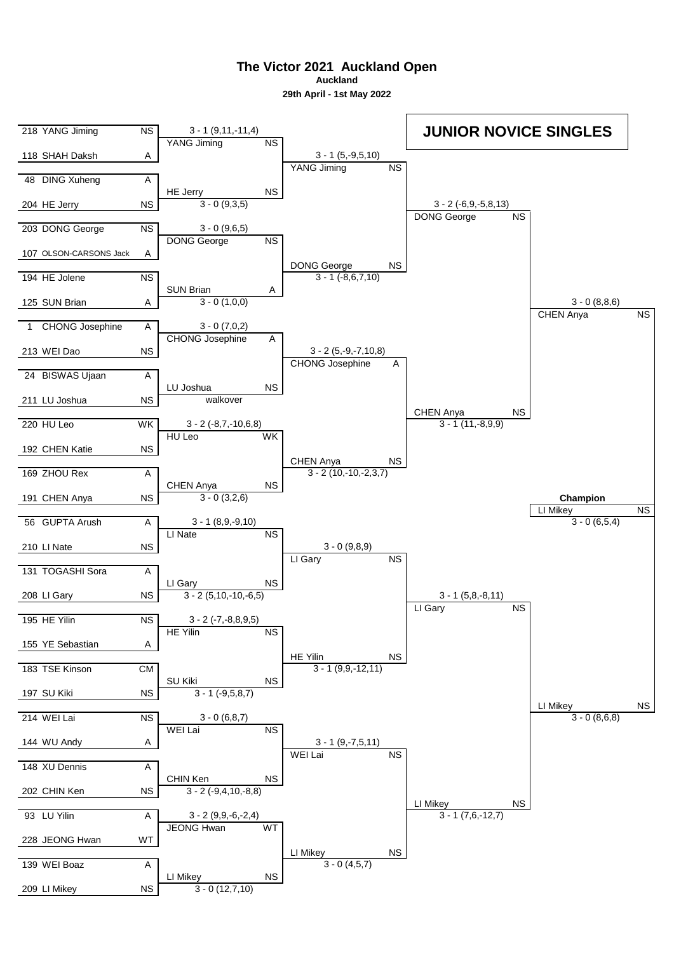**Auckland**

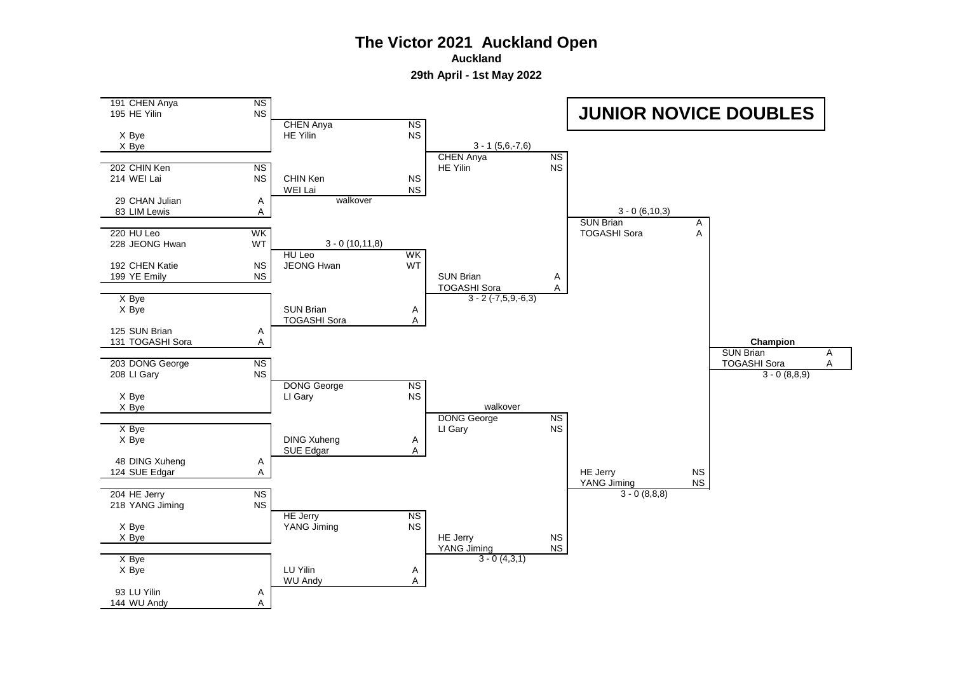**Auckland**

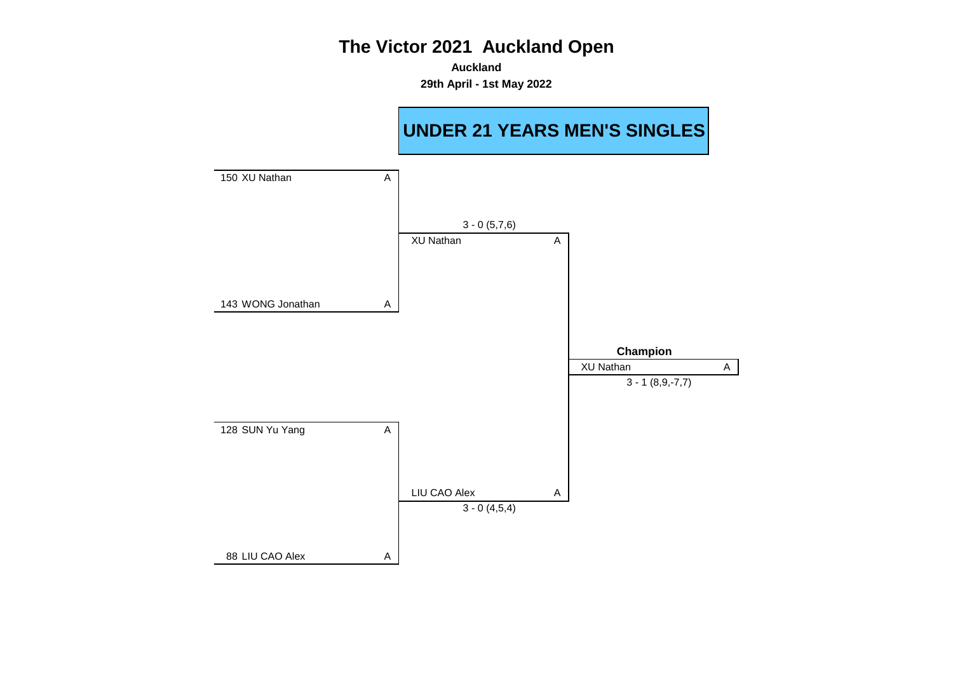**Auckland 29th April - 1st May 2022**

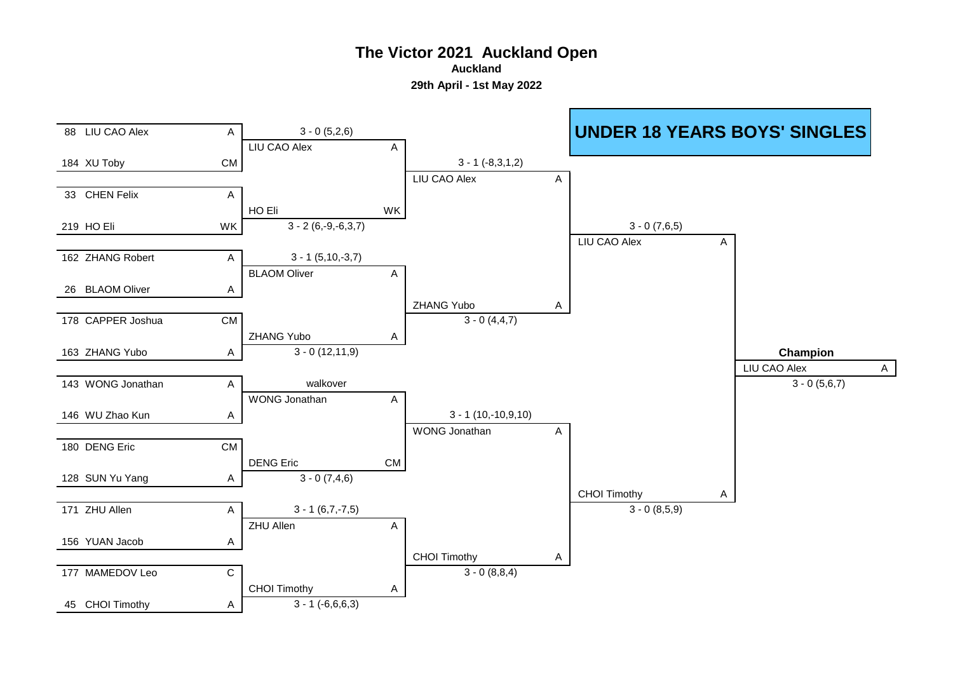**Auckland**

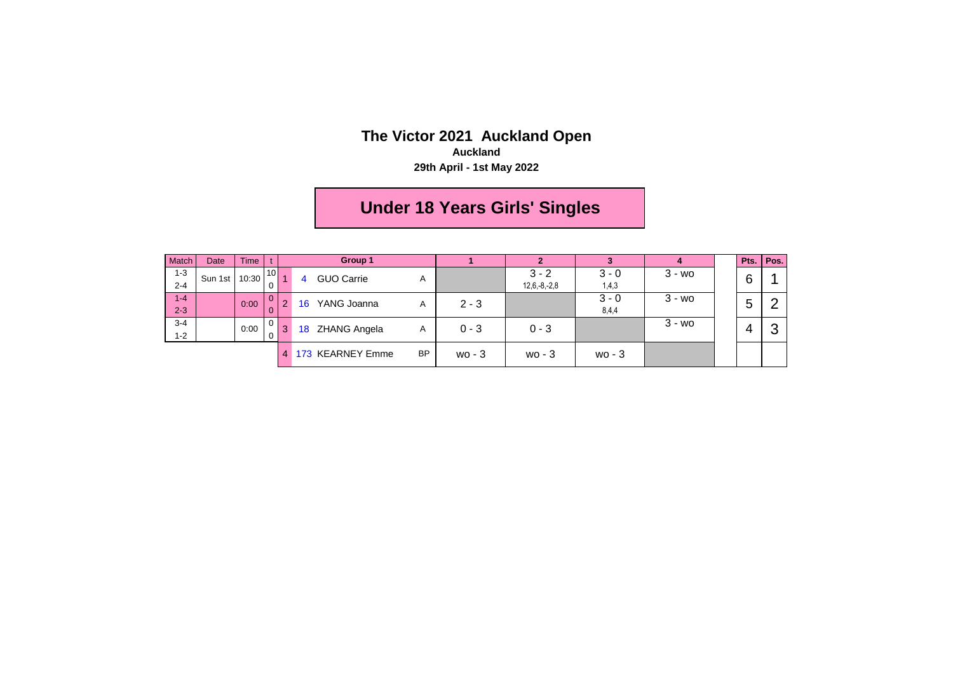**Auckland**

**29th April - 1st May 2022**

# **Under 18 Years Girls' Singles**

| Match   | Date    | <b>Time</b> |                 |          |    | Group 1             |           |                |          |          |           | Pts. | Pos. |  |  |  |  |  |  |       |  |  |  |
|---------|---------|-------------|-----------------|----------|----|---------------------|-----------|----------------|----------|----------|-----------|------|------|--|--|--|--|--|--|-------|--|--|--|
| $1 - 3$ | Sun 1st | 10:30       | 10 <sup>1</sup> |          | 4  | <b>GUO Carrie</b>   | A         |                | $3 - 2$  | $3 - 0$  | $3 - w$ o | 6    |      |  |  |  |  |  |  |       |  |  |  |
| $2 - 4$ |         |             |                 |          |    |                     |           | $12,6,-8,-2,8$ | 1,4,3    |          |           |      |      |  |  |  |  |  |  |       |  |  |  |
| $1-4$   |         | 0:00        | υ               | $\Omega$ | 16 | YANG Joanna         | A         | $2 - 3$        |          | $3 - 0$  | $3 - w$ o | 5    | ⌒    |  |  |  |  |  |  |       |  |  |  |
| $2 - 3$ |         |             |                 |          |    |                     |           |                |          |          |           |      |      |  |  |  |  |  |  | 8,4,4 |  |  |  |
| $3 - 4$ |         | 0:00        | υ               | 3        | 18 |                     |           | $0 - 3$        | $0 - 3$  |          | $3 - w$ o |      | ◠    |  |  |  |  |  |  |       |  |  |  |
| $1 - 2$ |         |             |                 |          |    | <b>ZHANG Angela</b> | A         |                |          |          |           | 4    |      |  |  |  |  |  |  |       |  |  |  |
|         |         |             |                 |          |    | 173 KEARNEY Emme    | <b>BP</b> | $wo - 3$       | $wo - 3$ | $wo - 3$ |           |      |      |  |  |  |  |  |  |       |  |  |  |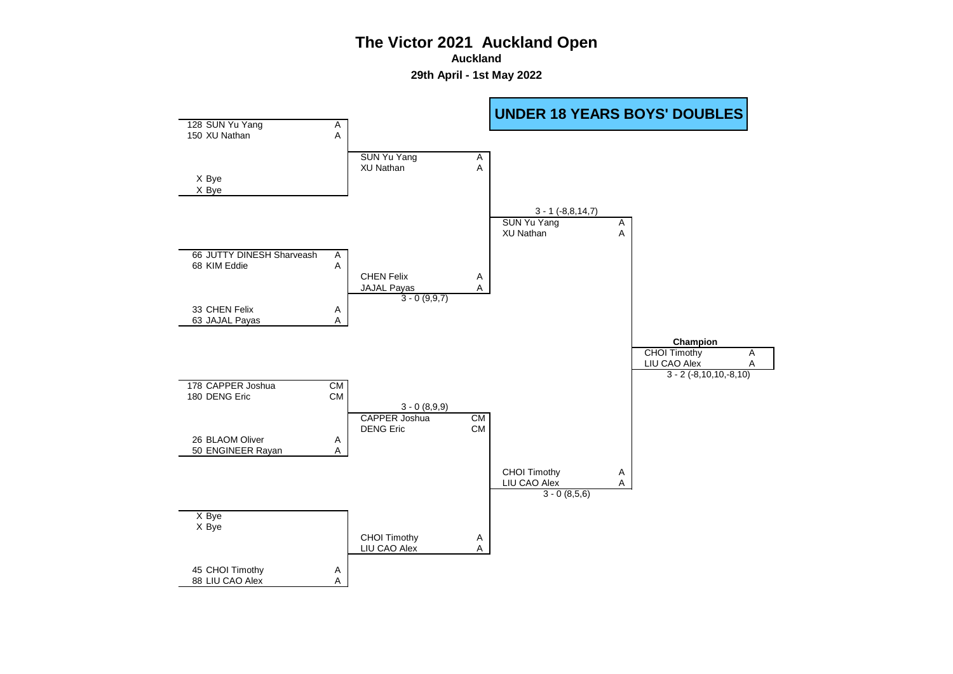**Auckland**

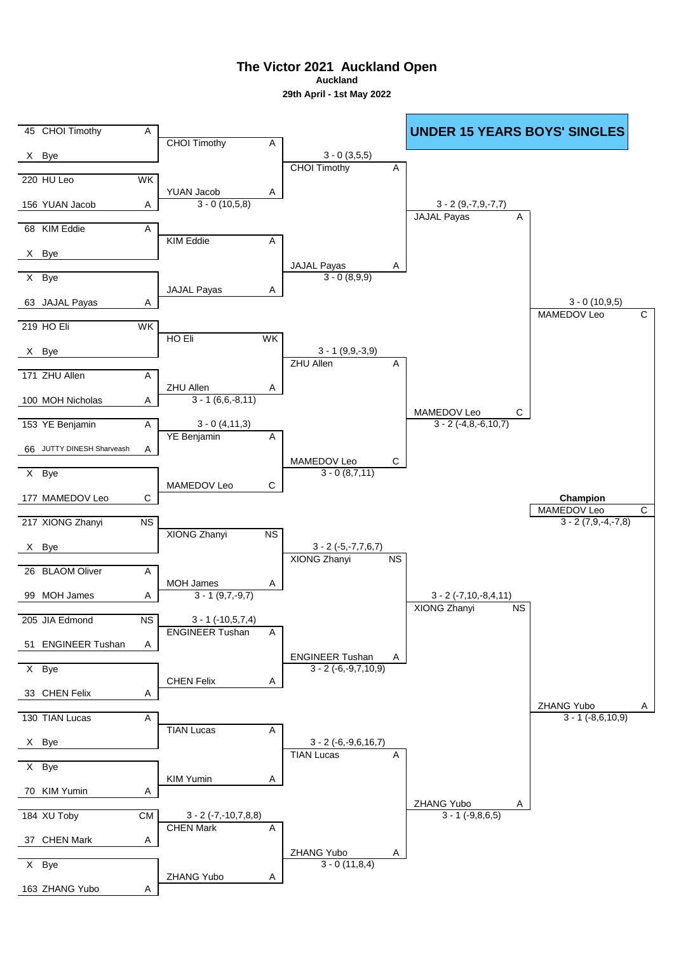**The Victor 2021 Auckland Open Auckland**

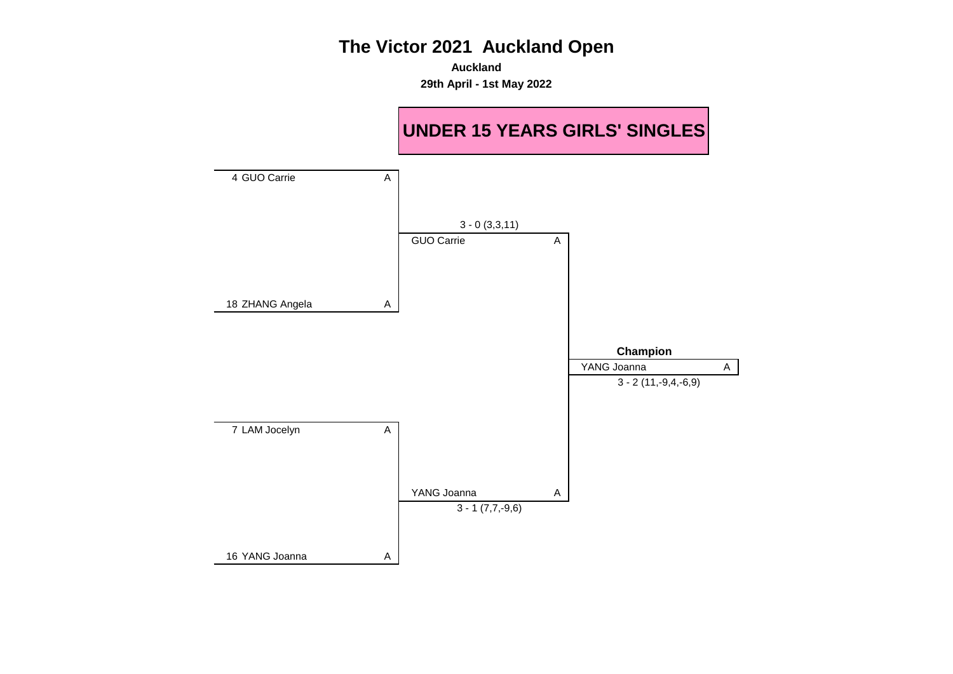**Auckland 29th April - 1st May 2022**

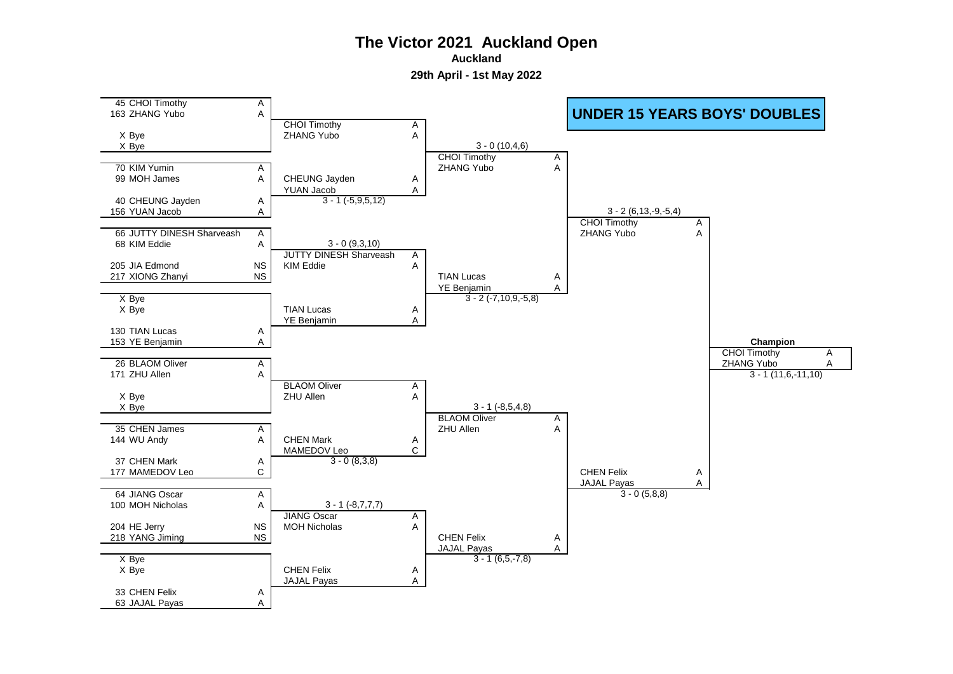**Auckland**

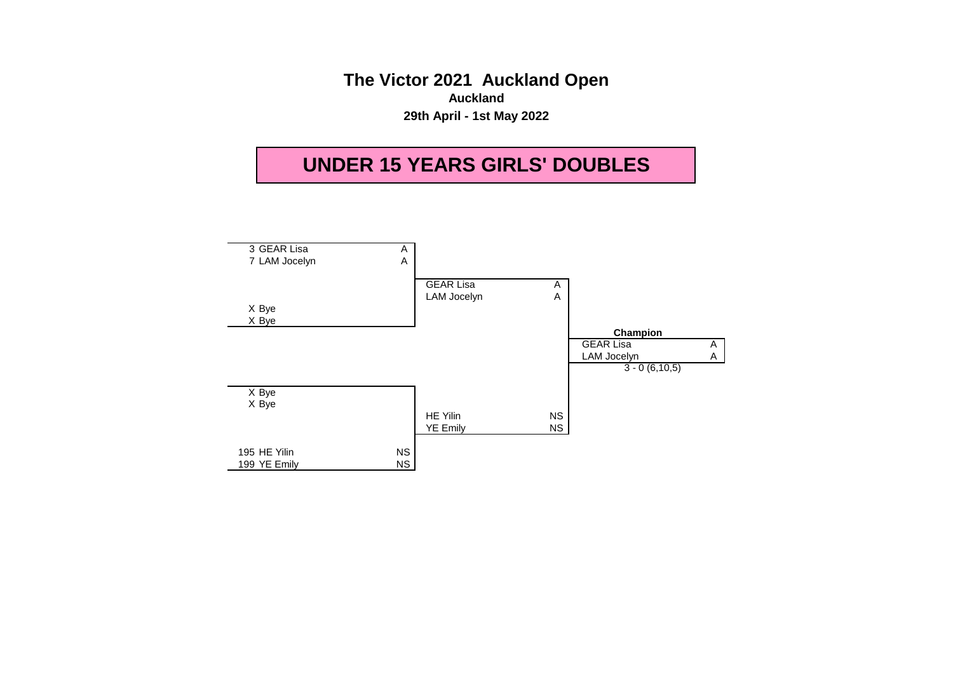**The Victor 2021 Auckland Open Auckland 29th April - 1st May 2022**

# **UNDER 15 YEARS GIRLS' DOUBLES**

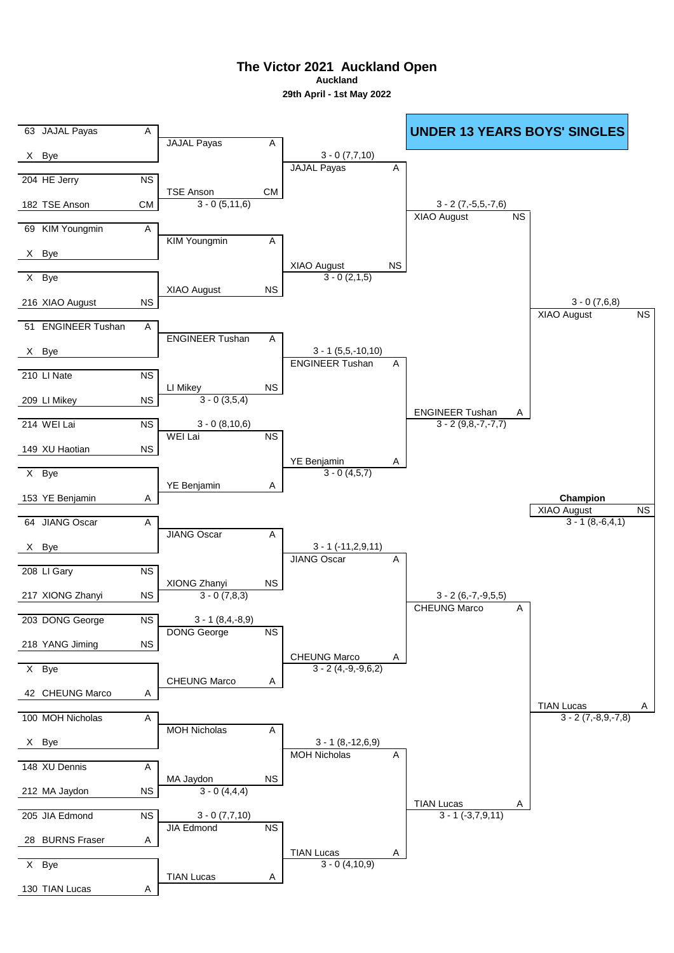**The Victor 2021 Auckland Open Auckland**

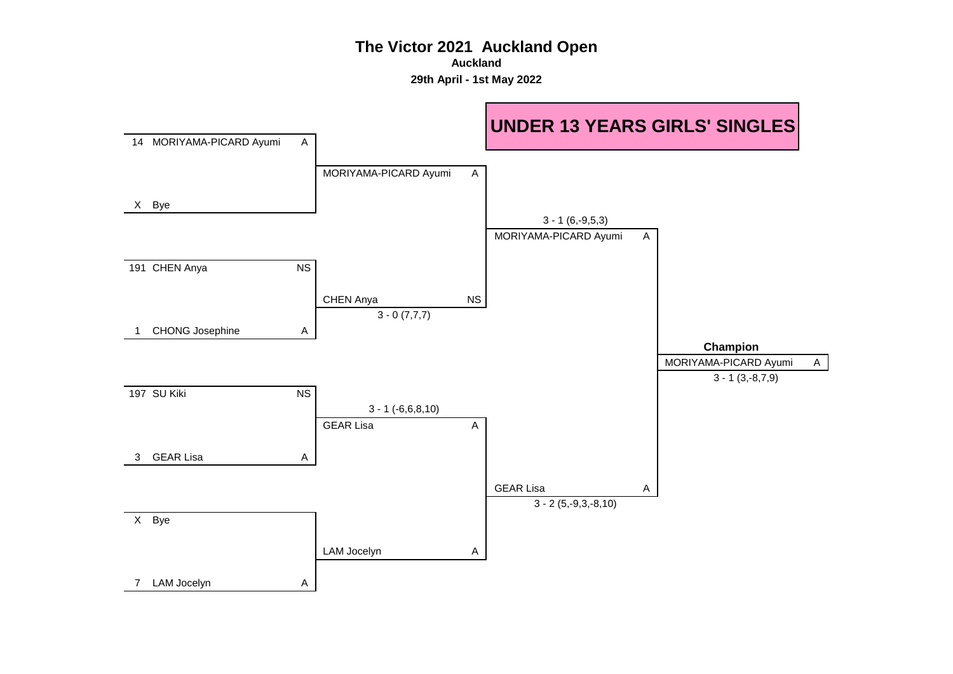**Auckland**

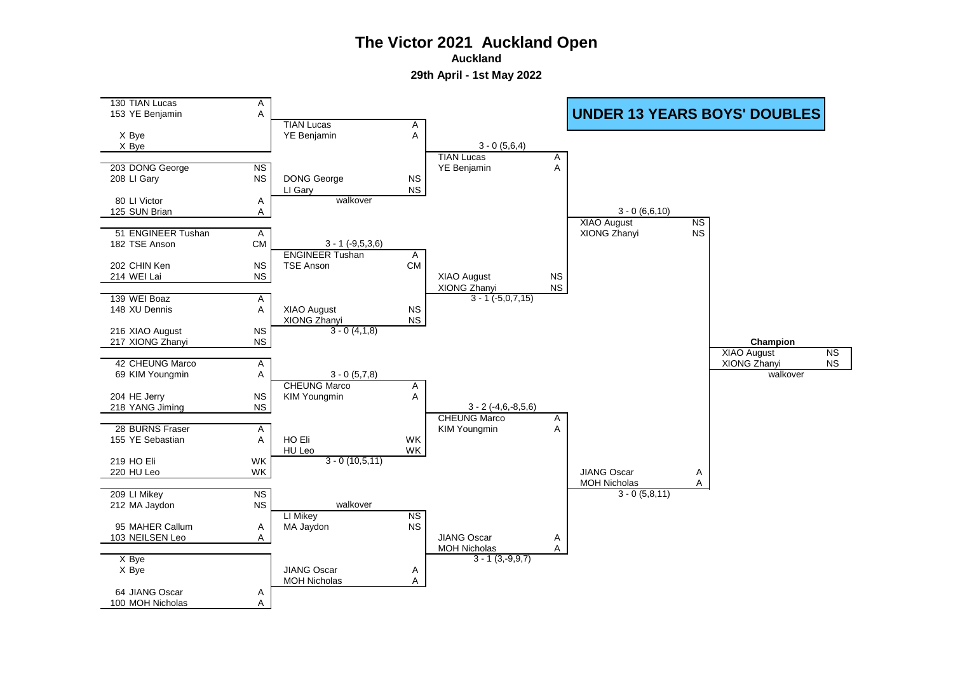**Auckland**

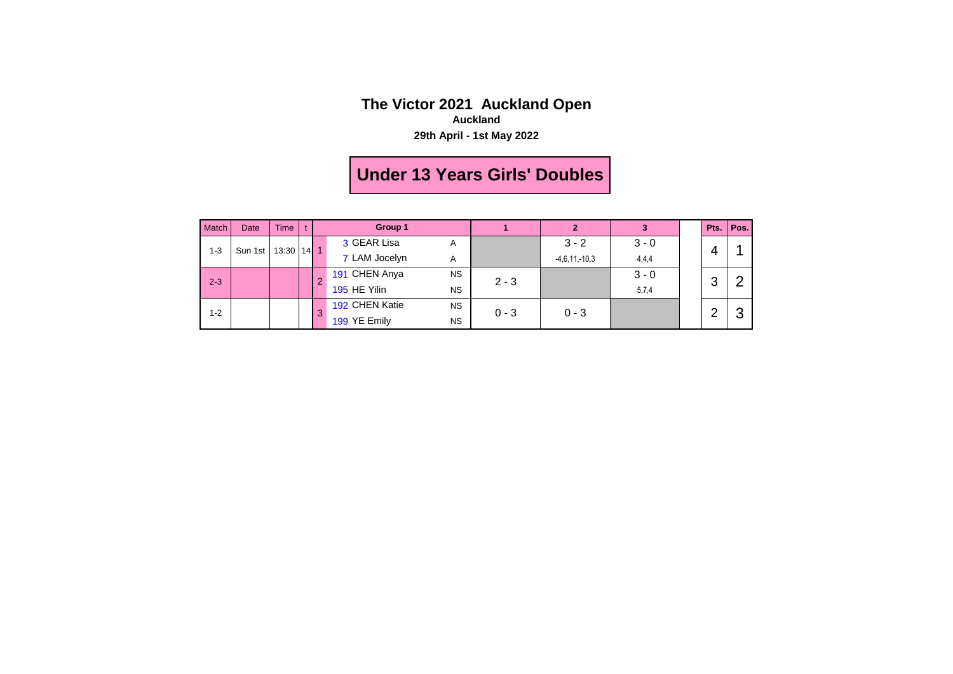#### **The Victor 2021 Auckland Open Auckland**

**29th April - 1st May 2022**

# **Under 13 Years Girls' Doubles**

| Match   | Date    | <b>Time</b> |        | Group 1 |                |           | $\mathbf{2}$ |                 |         |   | Pts.   Pos. |  |
|---------|---------|-------------|--------|---------|----------------|-----------|--------------|-----------------|---------|---|-------------|--|
| $1 - 3$ | Sun 1st | 13:30       | $14$ 1 |         | 3 GEAR Lisa    | Α         |              | $3 - 2$         | $3 - 0$ | 4 |             |  |
|         |         |             |        |         | 7 LAM Jocelyn  | Α         |              | $-4,6,11,-10,3$ | 4,4,4   |   |             |  |
| $2 - 3$ |         |             |        | 2       | 191 CHEN Anya  | <b>NS</b> | $2 - 3$      |                 | $3 - 0$ |   | 3           |  |
|         |         |             |        |         | 195 HE Yilin   | <b>NS</b> |              |                 | 5,7,4   |   |             |  |
| $1 - 2$ |         |             |        | 3       | 192 CHEN Katie | <b>NS</b> | $0 - 3$      | $0 - 3$         |         |   | ⌒           |  |
|         |         |             |        |         | 199 YE Emily   | <b>NS</b> |              |                 |         |   |             |  |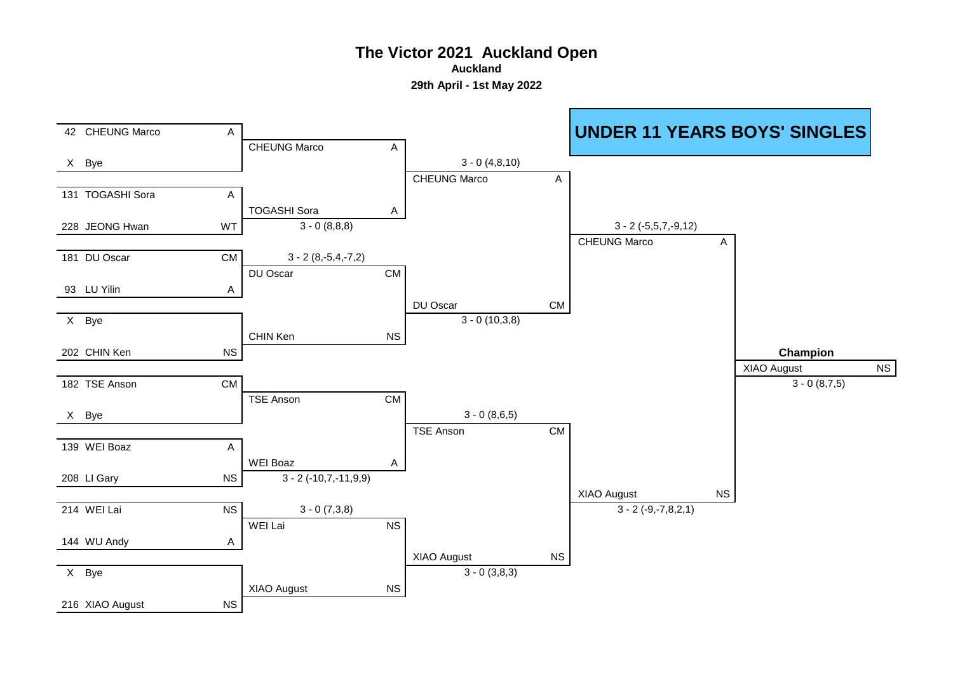**Auckland**

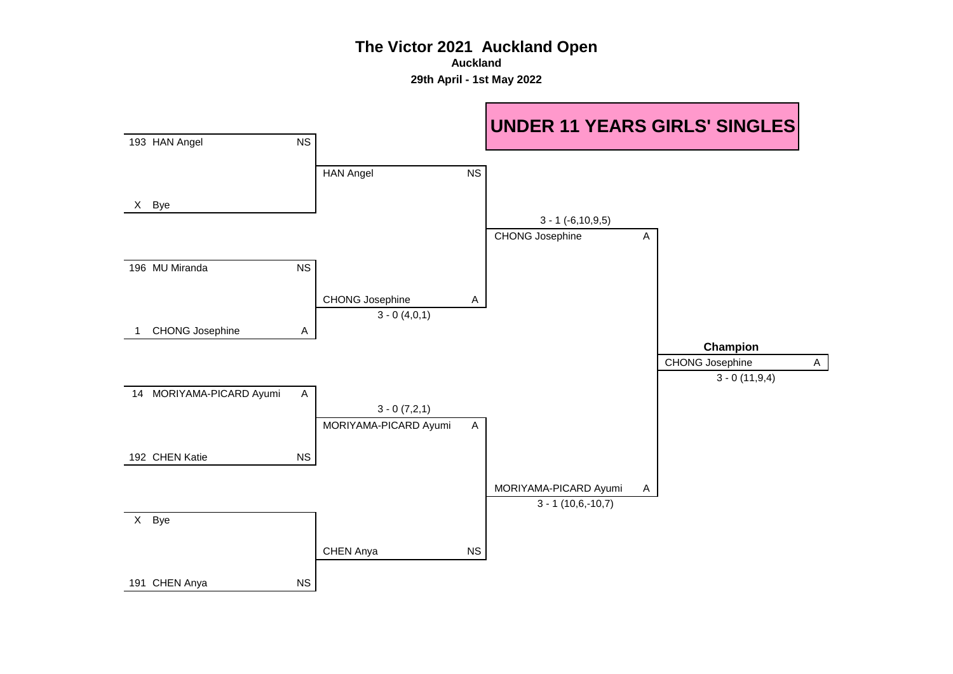**Auckland**

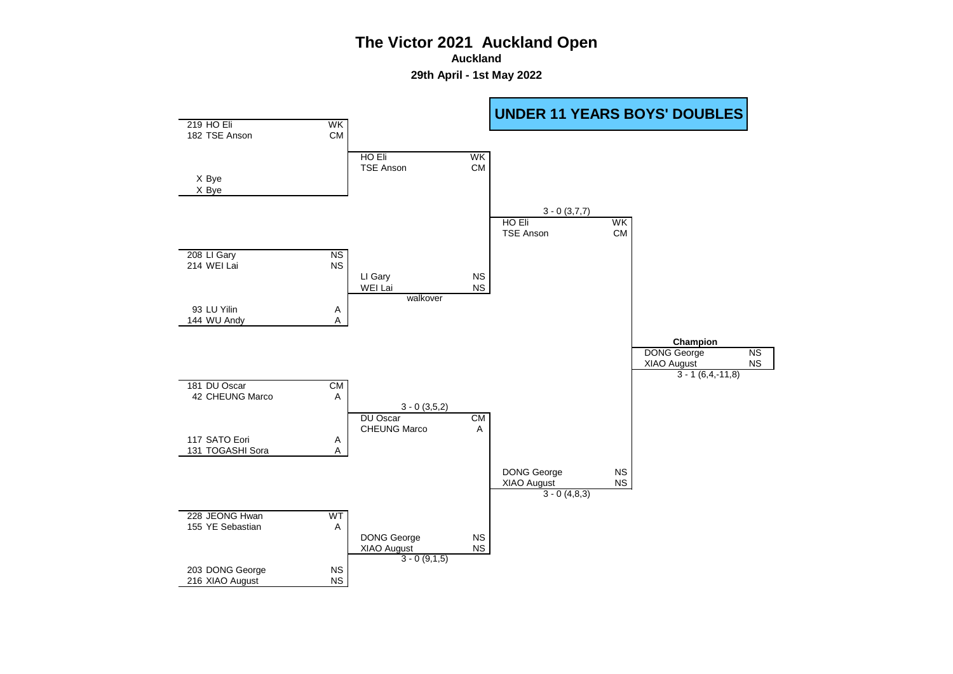**Auckland**

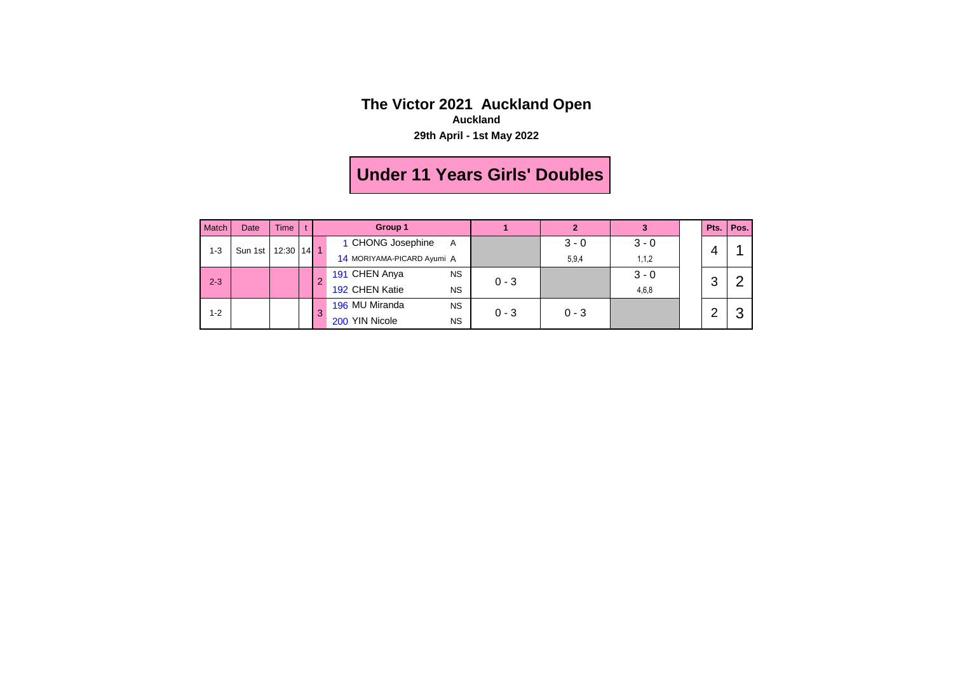#### **The Victor 2021 Auckland Open Auckland**

**29th April - 1st May 2022**

# **Under 11 Years Girls' Doubles**

| Match   | Date    | Time         |  | Group 1 |                             |         | $\mathbf{2}$ | 3       | Pts. | Pos. |
|---------|---------|--------------|--|---------|-----------------------------|---------|--------------|---------|------|------|
| $1 - 3$ | Sun 1st | $12:30$ 14 1 |  |         | 1 CHONG Josephine<br>A      |         | $3 - 0$      | $3 - 0$ |      |      |
|         |         |              |  |         | 14 MORIYAMA-PICARD Ayumi A  |         | 5,9,4        | 1, 1, 2 | 4    |      |
| $2 - 3$ |         |              |  | 0       | 191 CHEN Anya<br><b>NS</b>  | $0 - 3$ |              | $3 - 0$ | 3    |      |
|         |         |              |  |         | 192 CHEN Katie<br><b>NS</b> |         |              | 4,6,8   |      |      |
| $1 - 2$ |         |              |  | 3       | 196 MU Miranda<br><b>NS</b> |         |              |         | ◠    |      |
|         |         |              |  |         | 200 YIN Nicole<br><b>NS</b> | $0 - 3$ | $0 - 3$      |         |      |      |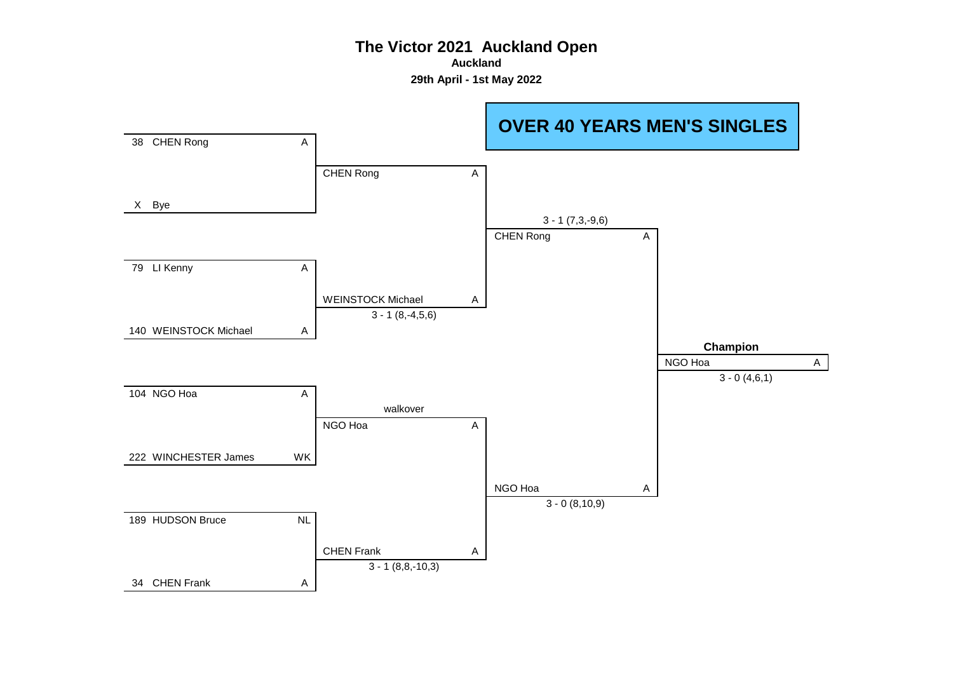**Auckland**

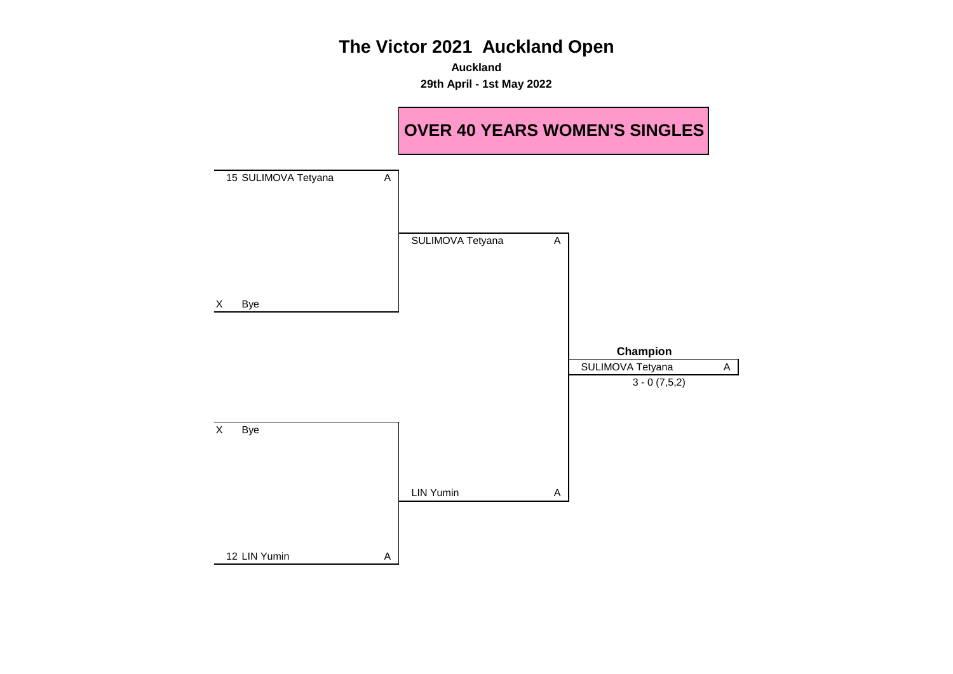**Auckland 29th April - 1st May 2022**

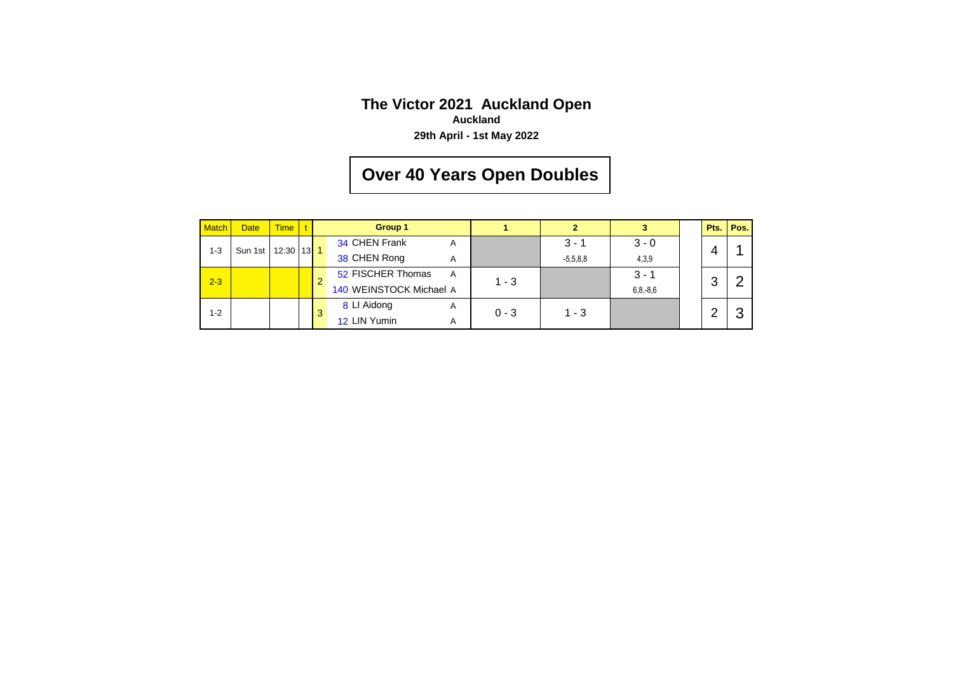### **The Victor 2021 Auckland Open Auckland**

**29th April - 1st May 2022**

# **Over 40 Years Open Doubles**

| <b>Match</b> | <b>Date</b> | <b>Time</b>      |  | Group 1 |                         |   | 2       | 3          |               | Pts. | Pos. |  |
|--------------|-------------|------------------|--|---------|-------------------------|---|---------|------------|---------------|------|------|--|
| $1 - 3$      | Sun 1st     | $12:30$   13   1 |  |         | 34 CHEN Frank           | A |         | $3 - 1$    | $3 - 0$       |      |      |  |
|              |             |                  |  |         | 38 CHEN Rong            | Α |         | $-5,5,8,8$ | 4,3,9         |      | 4    |  |
| $2 - 3$      |             |                  |  | 2       | 52 FISCHER Thomas       | A | $1 - 3$ |            | $3 - 1$       | 3    |      |  |
|              |             |                  |  |         | 140 WEINSTOCK Michael A |   |         |            | $6, 8, -8, 6$ |      |      |  |
| $1 - 2$      |             |                  |  | 3       | 8 LI Aidong             | A | $0 - 3$ | $1 - 3$    |               |      | ◠    |  |
|              |             |                  |  |         | 12 LIN Yumin            | A |         |            |               |      |      |  |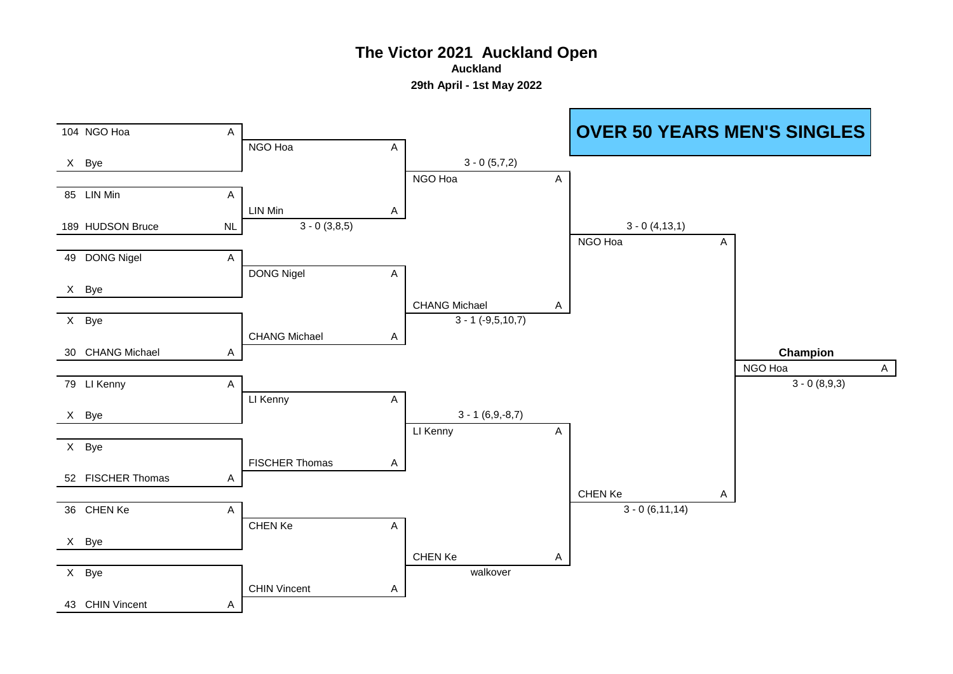**Auckland**

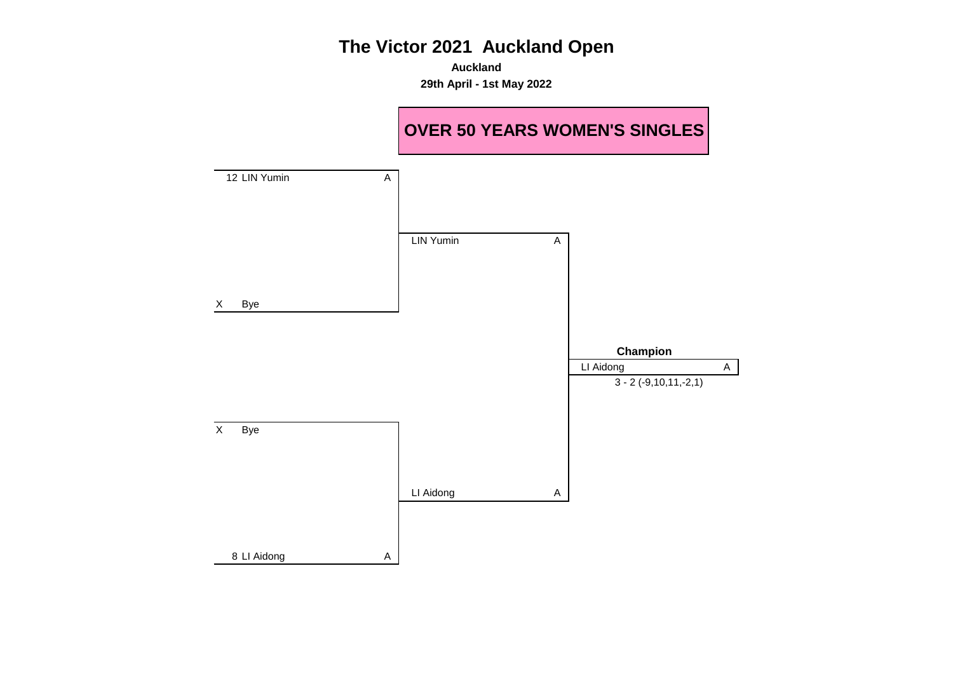**Auckland 29th April - 1st May 2022**

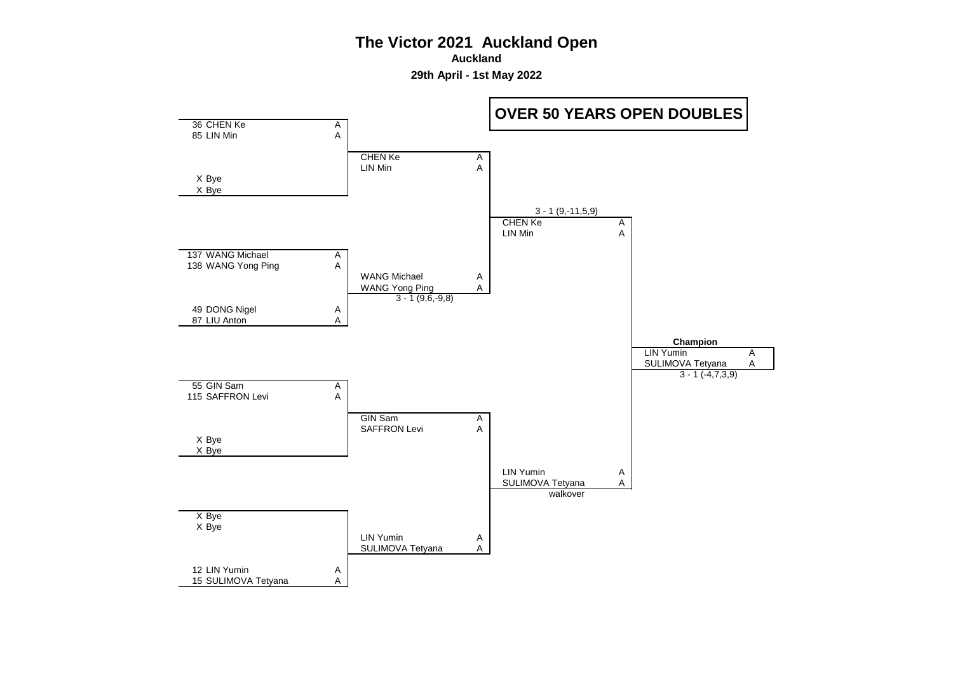**Auckland**

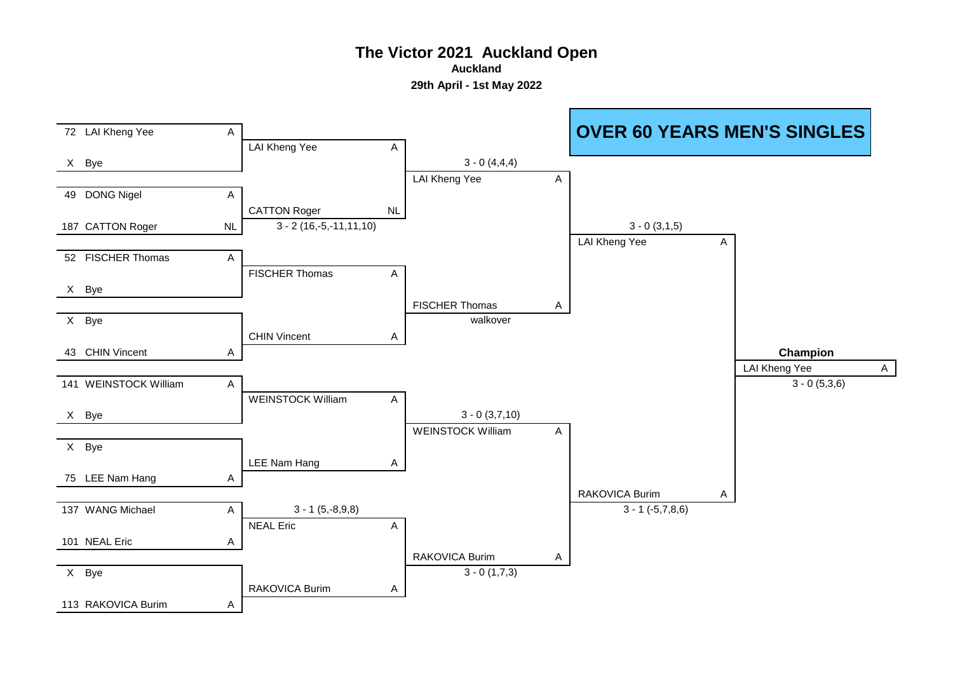**Auckland**

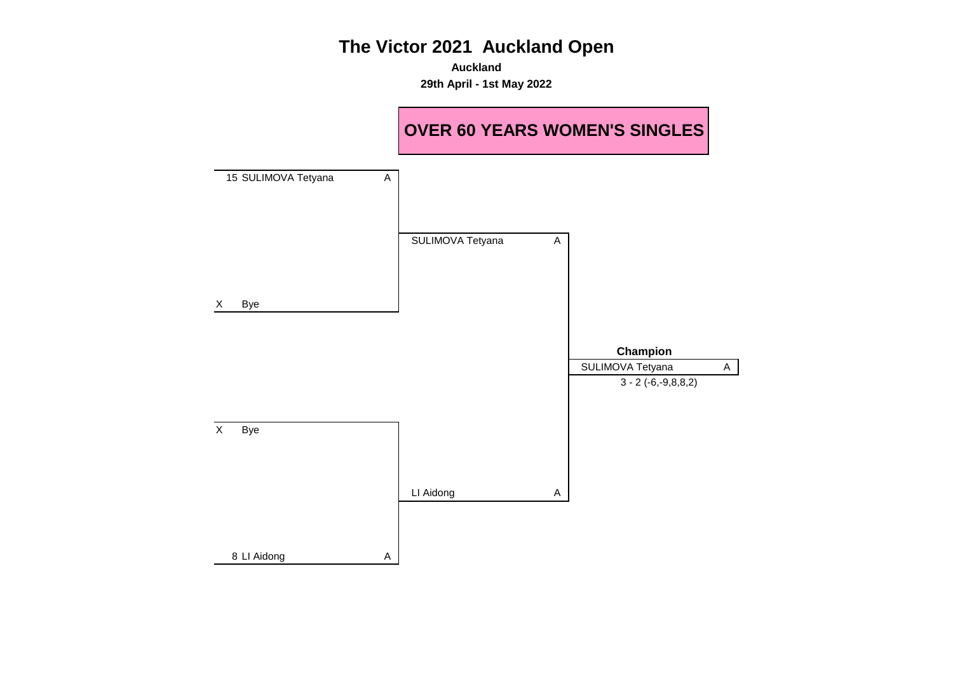**Auckland 29th April - 1st May 2022**

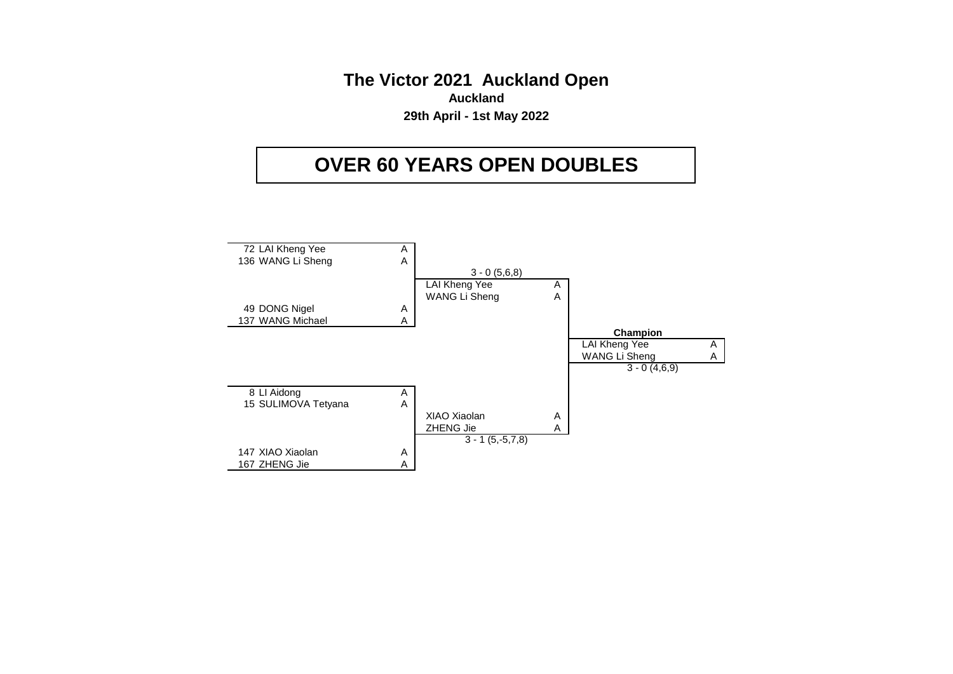**The Victor 2021 Auckland Open Auckland 29th April - 1st May 2022**

# **OVER 60 YEARS OPEN DOUBLES**

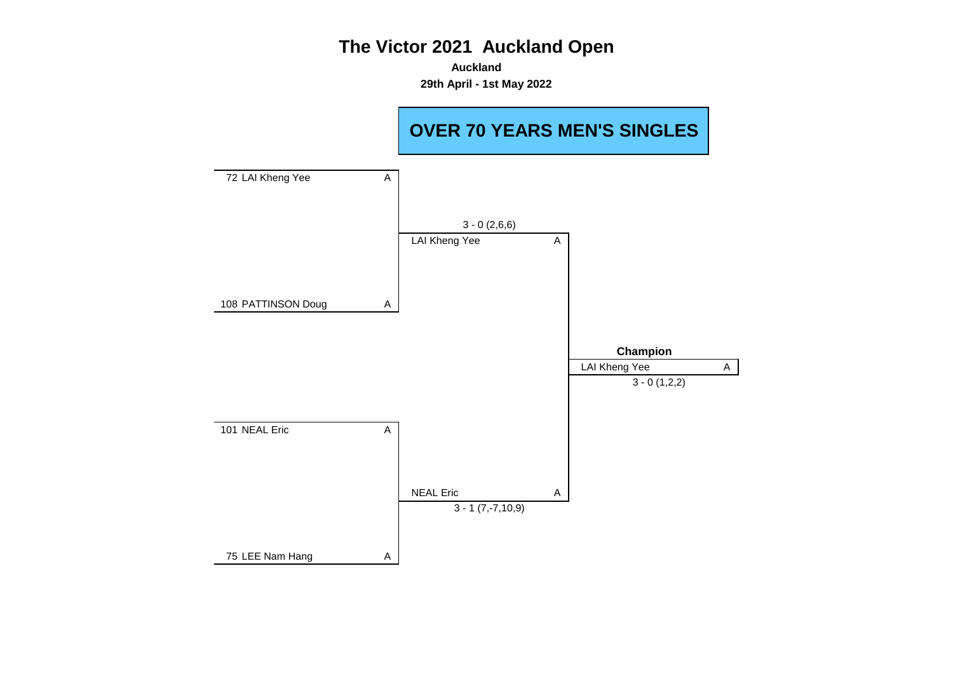**Auckland 29th April - 1st May 2022**

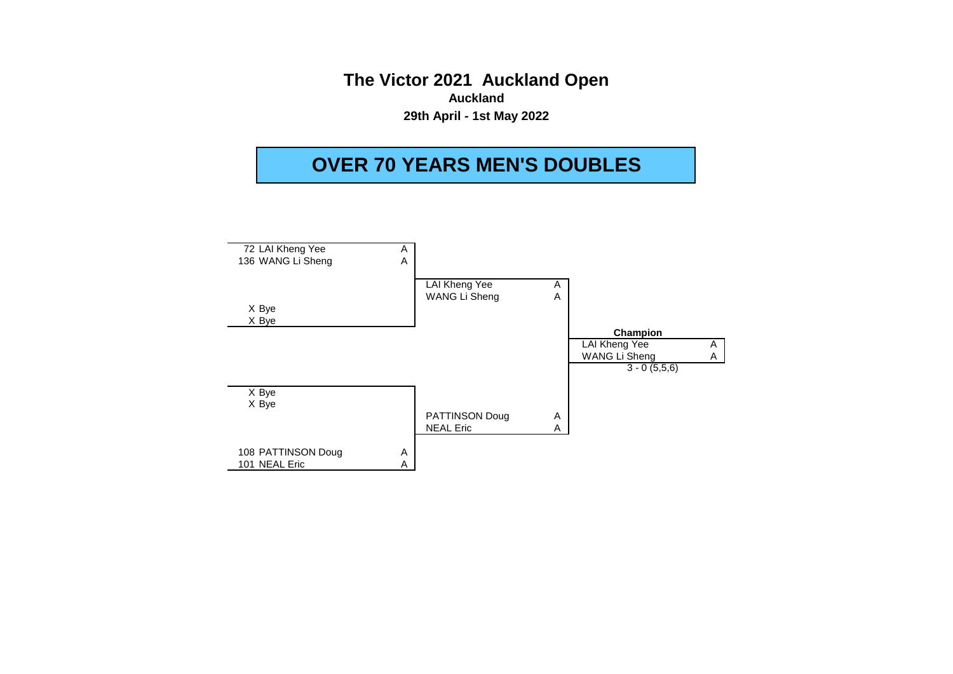**The Victor 2021 Auckland Open Auckland 29th April - 1st May 2022**

# **OVER 70 YEARS MEN'S DOUBLES**